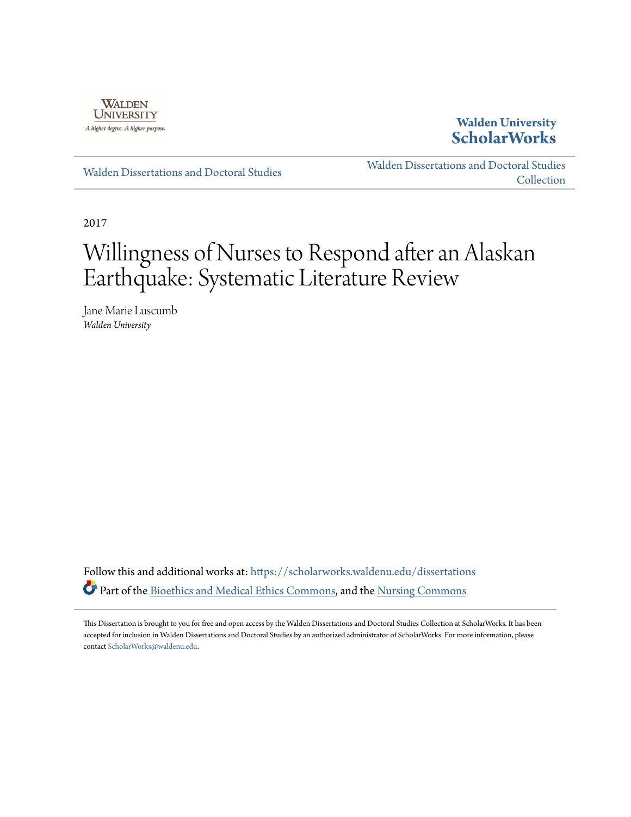

## **Walden University [ScholarWorks](https://scholarworks.waldenu.edu?utm_source=scholarworks.waldenu.edu%2Fdissertations%2F3567&utm_medium=PDF&utm_campaign=PDFCoverPages)**

[Walden Dissertations and Doctoral Studies](https://scholarworks.waldenu.edu/dissertations?utm_source=scholarworks.waldenu.edu%2Fdissertations%2F3567&utm_medium=PDF&utm_campaign=PDFCoverPages)

[Walden Dissertations and Doctoral Studies](https://scholarworks.waldenu.edu/dissanddoc?utm_source=scholarworks.waldenu.edu%2Fdissertations%2F3567&utm_medium=PDF&utm_campaign=PDFCoverPages) **[Collection](https://scholarworks.waldenu.edu/dissanddoc?utm_source=scholarworks.waldenu.edu%2Fdissertations%2F3567&utm_medium=PDF&utm_campaign=PDFCoverPages)** 

2017

# Willingness of Nurses to Respond after an Alaskan Earthquake: Systematic Literature Review

Jane Marie Luscumb *Walden University*

Follow this and additional works at: [https://scholarworks.waldenu.edu/dissertations](https://scholarworks.waldenu.edu/dissertations?utm_source=scholarworks.waldenu.edu%2Fdissertations%2F3567&utm_medium=PDF&utm_campaign=PDFCoverPages) Part of the [Bioethics and Medical Ethics Commons,](http://network.bepress.com/hgg/discipline/650?utm_source=scholarworks.waldenu.edu%2Fdissertations%2F3567&utm_medium=PDF&utm_campaign=PDFCoverPages) and the [Nursing Commons](http://network.bepress.com/hgg/discipline/718?utm_source=scholarworks.waldenu.edu%2Fdissertations%2F3567&utm_medium=PDF&utm_campaign=PDFCoverPages)

This Dissertation is brought to you for free and open access by the Walden Dissertations and Doctoral Studies Collection at ScholarWorks. It has been accepted for inclusion in Walden Dissertations and Doctoral Studies by an authorized administrator of ScholarWorks. For more information, please contact [ScholarWorks@waldenu.edu](mailto:ScholarWorks@waldenu.edu).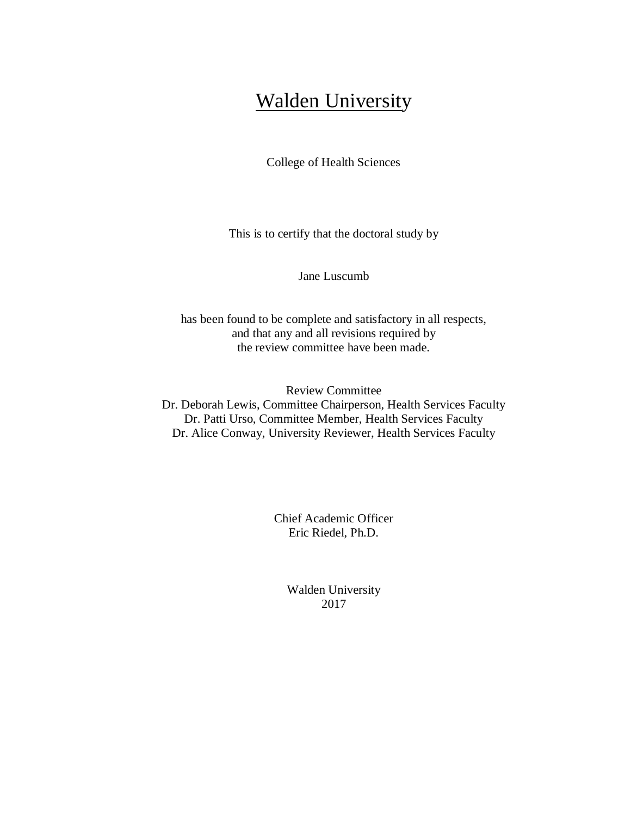## Walden University

College of Health Sciences

This is to certify that the doctoral study by

Jane Luscumb

has been found to be complete and satisfactory in all respects, and that any and all revisions required by the review committee have been made.

Review Committee Dr. Deborah Lewis, Committee Chairperson, Health Services Faculty Dr. Patti Urso, Committee Member, Health Services Faculty Dr. Alice Conway, University Reviewer, Health Services Faculty

> Chief Academic Officer Eric Riedel, Ph.D.

> > Walden University 2017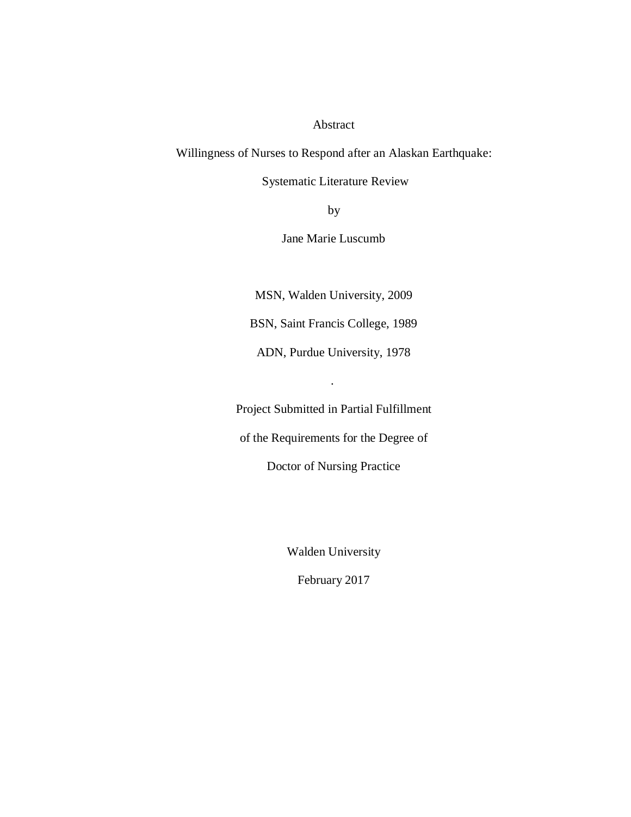### Abstract

Willingness of Nurses to Respond after an Alaskan Earthquake:

Systematic Literature Review

by

Jane Marie Luscumb

MSN, Walden University, 2009

BSN, Saint Francis College, 1989

ADN, Purdue University, 1978

.

Project Submitted in Partial Fulfillment

of the Requirements for the Degree of

Doctor of Nursing Practice

Walden University

February 2017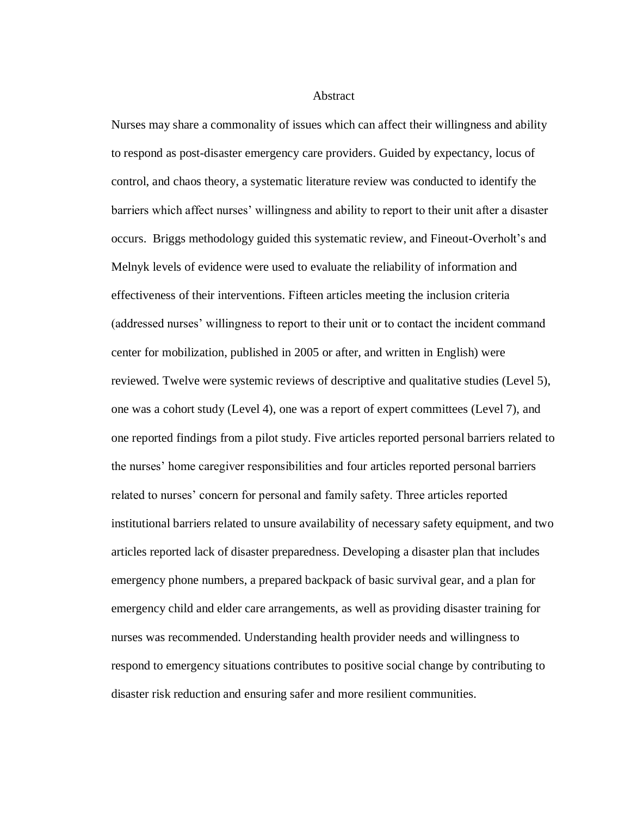#### Abstract

Nurses may share a commonality of issues which can affect their willingness and ability to respond as post-disaster emergency care providers. Guided by expectancy, locus of control, and chaos theory, a systematic literature review was conducted to identify the barriers which affect nurses' willingness and ability to report to their unit after a disaster occurs. Briggs methodology guided this systematic review, and Fineout-Overholt's and Melnyk levels of evidence were used to evaluate the reliability of information and effectiveness of their interventions. Fifteen articles meeting the inclusion criteria (addressed nurses' willingness to report to their unit or to contact the incident command center for mobilization, published in 2005 or after, and written in English) were reviewed. Twelve were systemic reviews of descriptive and qualitative studies (Level 5), one was a cohort study (Level 4), one was a report of expert committees (Level 7), and one reported findings from a pilot study. Five articles reported personal barriers related to the nurses' home caregiver responsibilities and four articles reported personal barriers related to nurses' concern for personal and family safety. Three articles reported institutional barriers related to unsure availability of necessary safety equipment, and two articles reported lack of disaster preparedness. Developing a disaster plan that includes emergency phone numbers, a prepared backpack of basic survival gear, and a plan for emergency child and elder care arrangements, as well as providing disaster training for nurses was recommended. Understanding health provider needs and willingness to respond to emergency situations contributes to positive social change by contributing to disaster risk reduction and ensuring safer and more resilient communities.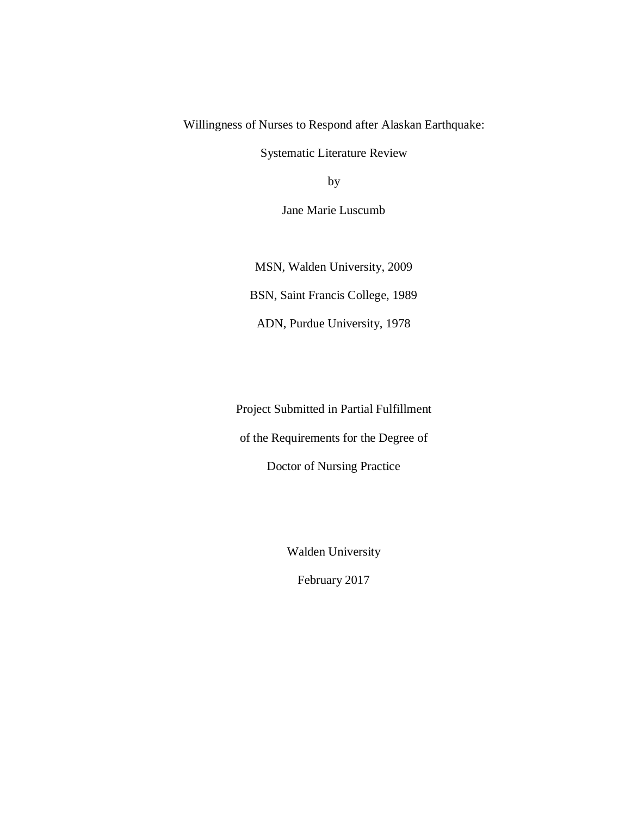Willingness of Nurses to Respond after Alaskan Earthquake:

Systematic Literature Review

by

Jane Marie Luscumb

MSN, Walden University, 2009 BSN, Saint Francis College, 1989 ADN, Purdue University, 1978

Project Submitted in Partial Fulfillment

of the Requirements for the Degree of

Doctor of Nursing Practice

Walden University

February 2017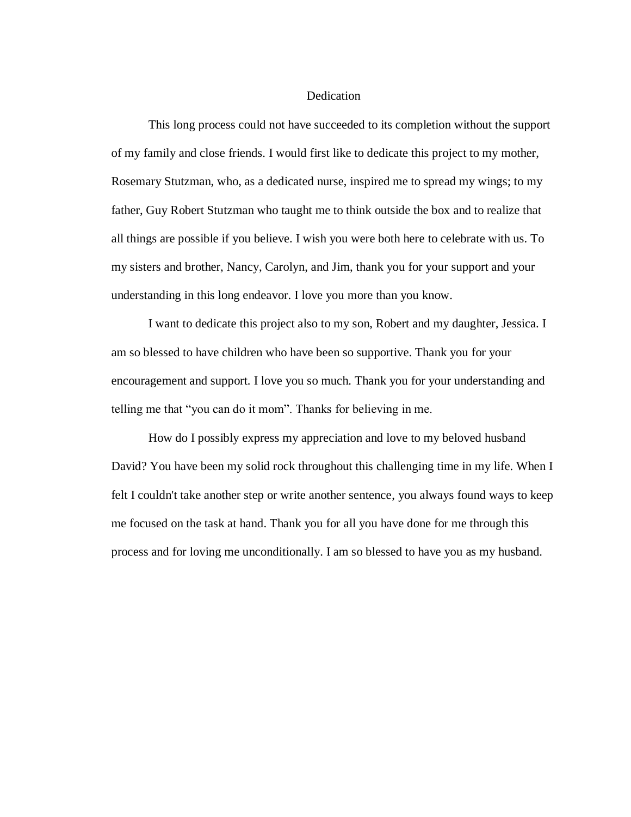#### Dedication

This long process could not have succeeded to its completion without the support of my family and close friends. I would first like to dedicate this project to my mother, Rosemary Stutzman, who, as a dedicated nurse, inspired me to spread my wings; to my father, Guy Robert Stutzman who taught me to think outside the box and to realize that all things are possible if you believe. I wish you were both here to celebrate with us. To my sisters and brother, Nancy, Carolyn, and Jim, thank you for your support and your understanding in this long endeavor. I love you more than you know.

I want to dedicate this project also to my son, Robert and my daughter, Jessica. I am so blessed to have children who have been so supportive. Thank you for your encouragement and support. I love you so much. Thank you for your understanding and telling me that "you can do it mom". Thanks for believing in me.

How do I possibly express my appreciation and love to my beloved husband David? You have been my solid rock throughout this challenging time in my life. When I felt I couldn't take another step or write another sentence, you always found ways to keep me focused on the task at hand. Thank you for all you have done for me through this process and for loving me unconditionally. I am so blessed to have you as my husband.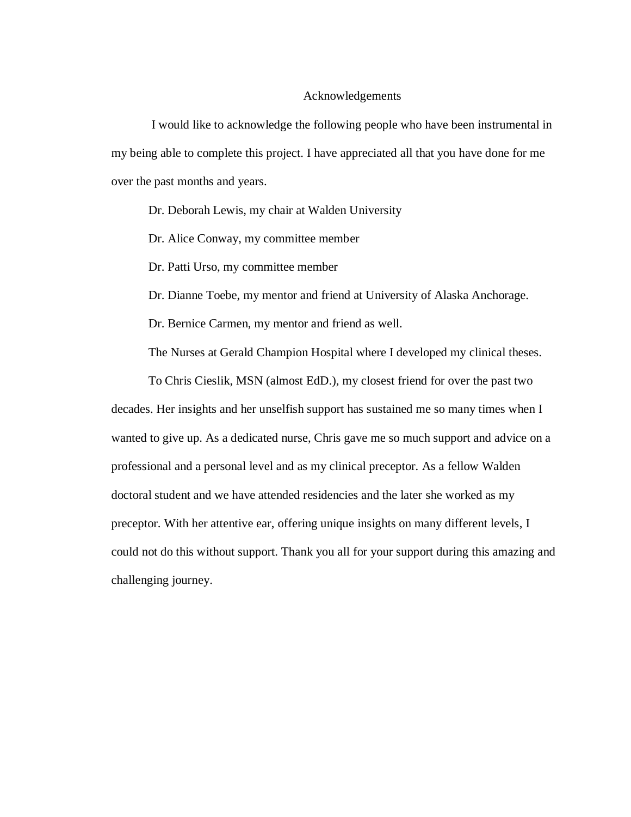#### Acknowledgements

I would like to acknowledge the following people who have been instrumental in my being able to complete this project. I have appreciated all that you have done for me over the past months and years.

Dr. Deborah Lewis, my chair at Walden University

Dr. Alice Conway, my committee member

Dr. Patti Urso, my committee member

Dr. Dianne Toebe, my mentor and friend at University of Alaska Anchorage.

Dr. Bernice Carmen, my mentor and friend as well.

The Nurses at Gerald Champion Hospital where I developed my clinical theses.

To Chris Cieslik, MSN (almost EdD.), my closest friend for over the past two decades. Her insights and her unselfish support has sustained me so many times when I wanted to give up. As a dedicated nurse, Chris gave me so much support and advice on a professional and a personal level and as my clinical preceptor. As a fellow Walden doctoral student and we have attended residencies and the later she worked as my preceptor. With her attentive ear, offering unique insights on many different levels, I could not do this without support. Thank you all for your support during this amazing and challenging journey.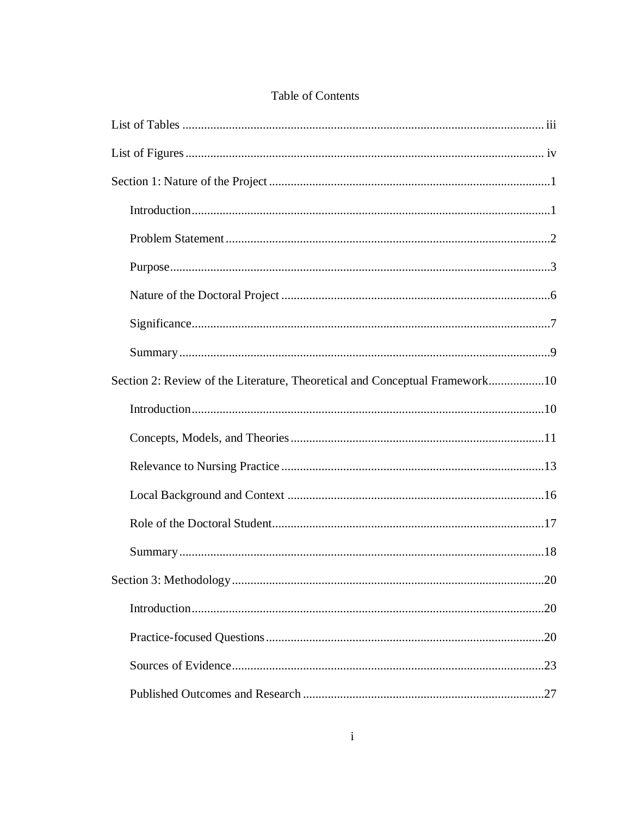| Section 2: Review of the Literature, Theoretical and Conceptual Framework10 |
|-----------------------------------------------------------------------------|
|                                                                             |
|                                                                             |
|                                                                             |
|                                                                             |
|                                                                             |
|                                                                             |
|                                                                             |
|                                                                             |
|                                                                             |
|                                                                             |
|                                                                             |

## Table of Contents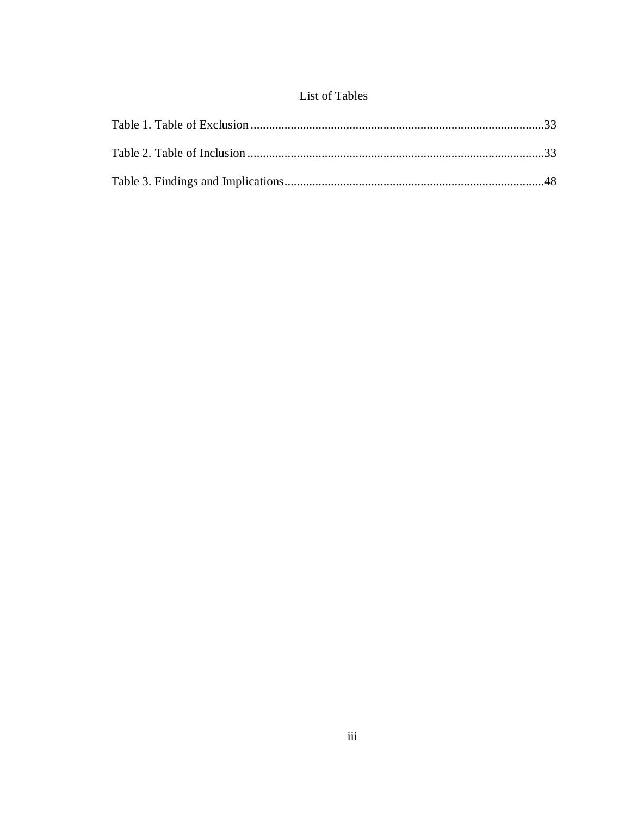## List of Tables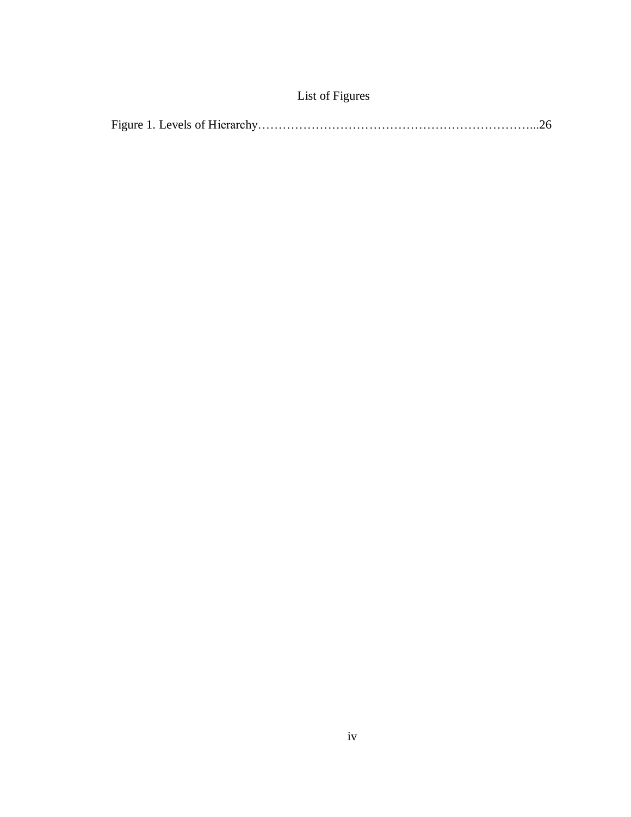| List of Figures |  |  |
|-----------------|--|--|
|                 |  |  |

|--|--|--|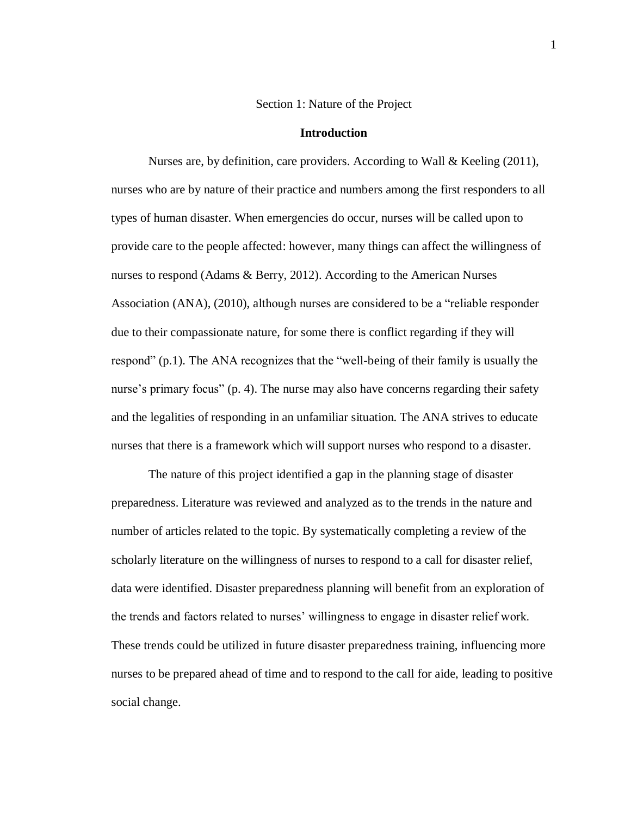#### Section 1: Nature of the Project

#### **Introduction**

Nurses are, by definition, care providers. According to Wall & Keeling  $(2011)$ , nurses who are by nature of their practice and numbers among the first responders to all types of human disaster. When emergencies do occur, nurses will be called upon to provide care to the people affected: however, many things can affect the willingness of nurses to respond (Adams & Berry, 2012). According to the American Nurses Association (ANA), (2010), although nurses are considered to be a "reliable responder due to their compassionate nature, for some there is conflict regarding if they will respond" (p.1). The ANA recognizes that the "well-being of their family is usually the nurse's primary focus" (p. 4). The nurse may also have concerns regarding their safety and the legalities of responding in an unfamiliar situation. The ANA strives to educate nurses that there is a framework which will support nurses who respond to a disaster.

The nature of this project identified a gap in the planning stage of disaster preparedness. Literature was reviewed and analyzed as to the trends in the nature and number of articles related to the topic. By systematically completing a review of the scholarly literature on the willingness of nurses to respond to a call for disaster relief, data were identified. Disaster preparedness planning will benefit from an exploration of the trends and factors related to nurses' willingness to engage in disaster relief work. These trends could be utilized in future disaster preparedness training, influencing more nurses to be prepared ahead of time and to respond to the call for aide, leading to positive social change.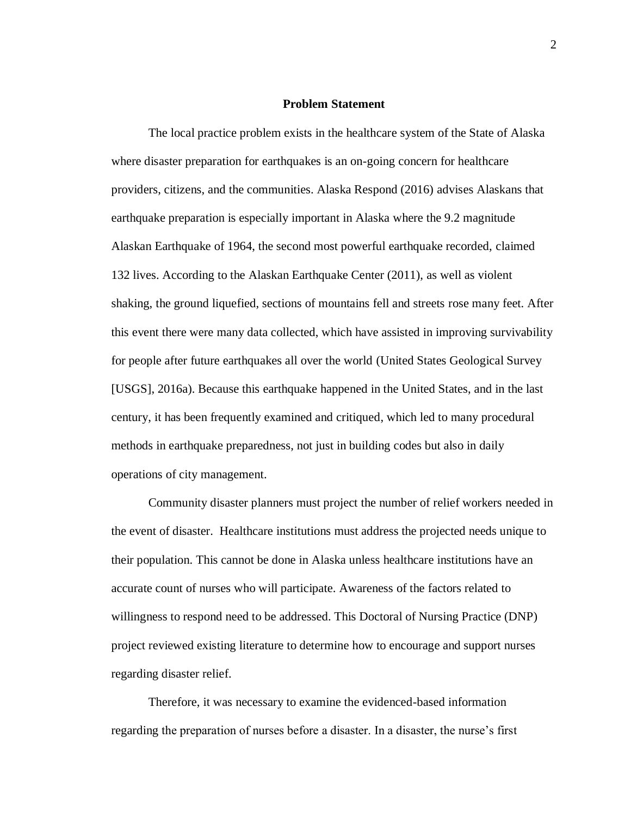#### **Problem Statement**

The local practice problem exists in the healthcare system of the State of Alaska where disaster preparation for earthquakes is an on-going concern for healthcare providers, citizens, and the communities. Alaska Respond (2016) advises Alaskans that earthquake preparation is especially important in Alaska where the 9.2 magnitude Alaskan Earthquake of 1964, the second most powerful earthquake recorded, claimed 132 lives. According to the Alaskan Earthquake Center (2011), as well as violent shaking, the ground liquefied, sections of mountains fell and streets rose many feet. After this event there were many data collected, which have assisted in improving survivability for people after future earthquakes all over the world (United States Geological Survey [USGS], 2016a). Because this earthquake happened in the United States, and in the last century, it has been frequently examined and critiqued, which led to many procedural methods in earthquake preparedness, not just in building codes but also in daily operations of city management.

Community disaster planners must project the number of relief workers needed in the event of disaster. Healthcare institutions must address the projected needs unique to their population. This cannot be done in Alaska unless healthcare institutions have an accurate count of nurses who will participate. Awareness of the factors related to willingness to respond need to be addressed. This Doctoral of Nursing Practice (DNP) project reviewed existing literature to determine how to encourage and support nurses regarding disaster relief.

Therefore, it was necessary to examine the evidenced-based information regarding the preparation of nurses before a disaster. In a disaster, the nurse's first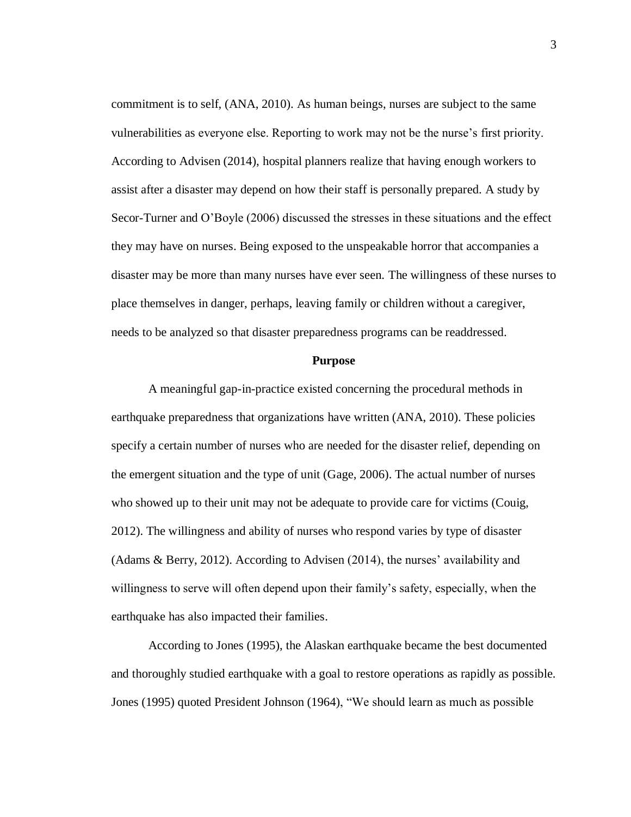commitment is to self, (ANA, 2010). As human beings, nurses are subject to the same vulnerabilities as everyone else. Reporting to work may not be the nurse's first priority. According to Advisen (2014), hospital planners realize that having enough workers to assist after a disaster may depend on how their staff is personally prepared. A study by Secor-Turner and O'Boyle (2006) discussed the stresses in these situations and the effect they may have on nurses. Being exposed to the unspeakable horror that accompanies a disaster may be more than many nurses have ever seen. The willingness of these nurses to place themselves in danger, perhaps, leaving family or children without a caregiver, needs to be analyzed so that disaster preparedness programs can be readdressed.

#### **Purpose**

A meaningful gap-in-practice existed concerning the procedural methods in earthquake preparedness that organizations have written (ANA, 2010). These policies specify a certain number of nurses who are needed for the disaster relief, depending on the emergent situation and the type of unit (Gage, 2006). The actual number of nurses who showed up to their unit may not be adequate to provide care for victims (Couig, 2012). The willingness and ability of nurses who respond varies by type of disaster (Adams & Berry, 2012). According to Advisen (2014), the nurses' availability and willingness to serve will often depend upon their family's safety, especially, when the earthquake has also impacted their families.

According to Jones (1995), the Alaskan earthquake became the best documented and thoroughly studied earthquake with a goal to restore operations as rapidly as possible. Jones (1995) quoted President Johnson (1964), "We should learn as much as possible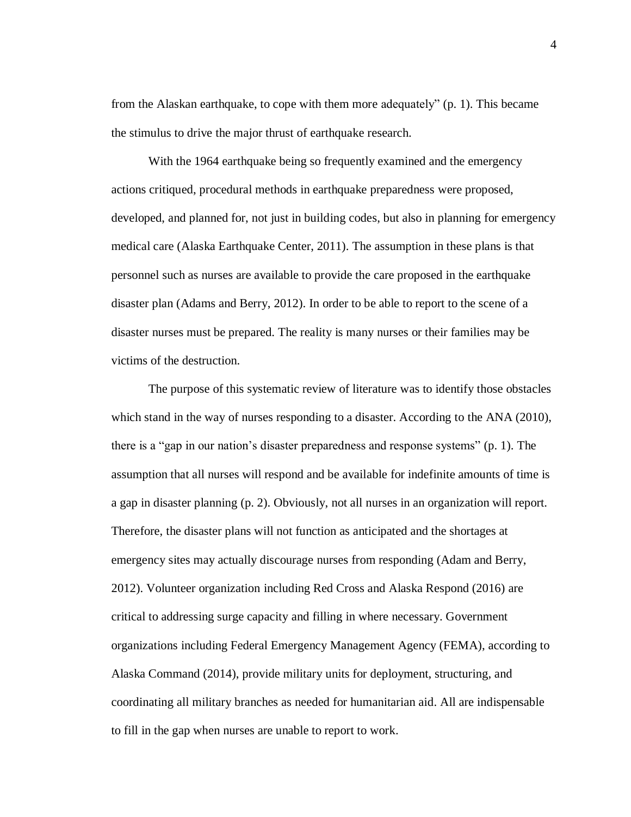from the Alaskan earthquake, to cope with them more adequately" (p. 1). This became the stimulus to drive the major thrust of earthquake research.

With the 1964 earthquake being so frequently examined and the emergency actions critiqued, procedural methods in earthquake preparedness were proposed, developed, and planned for, not just in building codes, but also in planning for emergency medical care (Alaska Earthquake Center, 2011). The assumption in these plans is that personnel such as nurses are available to provide the care proposed in the earthquake disaster plan (Adams and Berry, 2012). In order to be able to report to the scene of a disaster nurses must be prepared. The reality is many nurses or their families may be victims of the destruction.

The purpose of this systematic review of literature was to identify those obstacles which stand in the way of nurses responding to a disaster. According to the ANA (2010), there is a "gap in our nation's disaster preparedness and response systems" (p. 1). The assumption that all nurses will respond and be available for indefinite amounts of time is a gap in disaster planning (p. 2). Obviously, not all nurses in an organization will report. Therefore, the disaster plans will not function as anticipated and the shortages at emergency sites may actually discourage nurses from responding (Adam and Berry, 2012). Volunteer organization including Red Cross and Alaska Respond (2016) are critical to addressing surge capacity and filling in where necessary. Government organizations including Federal Emergency Management Agency (FEMA), according to Alaska Command (2014), provide military units for deployment, structuring, and coordinating all military branches as needed for humanitarian aid. All are indispensable to fill in the gap when nurses are unable to report to work.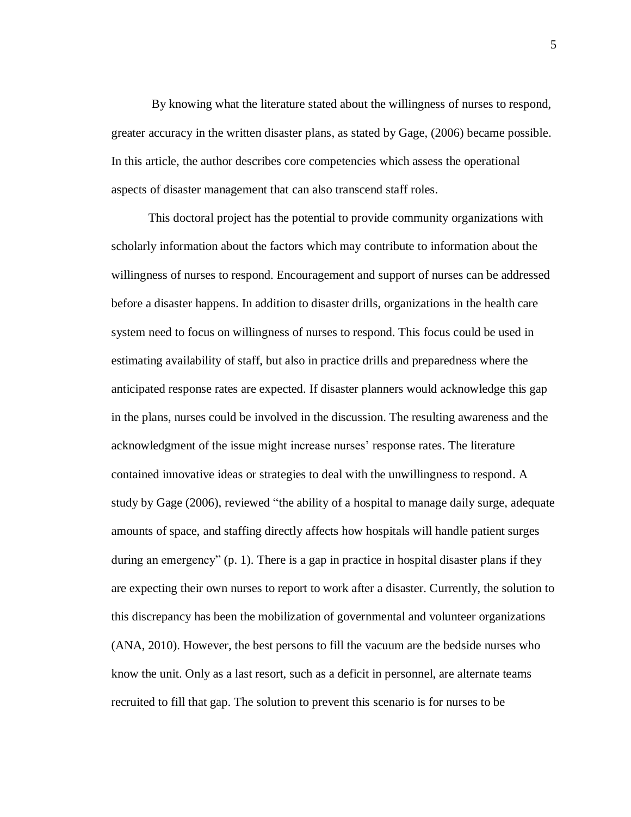By knowing what the literature stated about the willingness of nurses to respond, greater accuracy in the written disaster plans, as stated by Gage, (2006) became possible. In this article, the author describes core competencies which assess the operational aspects of disaster management that can also transcend staff roles.

This doctoral project has the potential to provide community organizations with scholarly information about the factors which may contribute to information about the willingness of nurses to respond. Encouragement and support of nurses can be addressed before a disaster happens. In addition to disaster drills, organizations in the health care system need to focus on willingness of nurses to respond. This focus could be used in estimating availability of staff, but also in practice drills and preparedness where the anticipated response rates are expected. If disaster planners would acknowledge this gap in the plans, nurses could be involved in the discussion. The resulting awareness and the acknowledgment of the issue might increase nurses' response rates. The literature contained innovative ideas or strategies to deal with the unwillingness to respond. A study by Gage (2006), reviewed "the ability of a hospital to manage daily surge, adequate amounts of space, and staffing directly affects how hospitals will handle patient surges during an emergency" (p. 1). There is a gap in practice in hospital disaster plans if they are expecting their own nurses to report to work after a disaster. Currently, the solution to this discrepancy has been the mobilization of governmental and volunteer organizations (ANA, 2010). However, the best persons to fill the vacuum are the bedside nurses who know the unit. Only as a last resort, such as a deficit in personnel, are alternate teams recruited to fill that gap. The solution to prevent this scenario is for nurses to be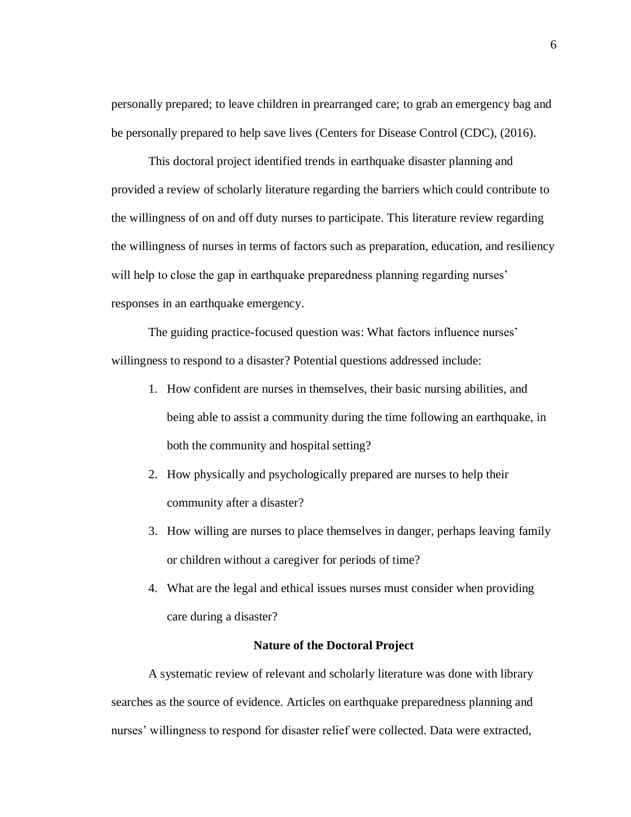personally prepared; to leave children in prearranged care; to grab an emergency bag and be personally prepared to help save lives (Centers for Disease Control (CDC), (2016).

This doctoral project identified trends in earthquake disaster planning and provided a review of scholarly literature regarding the barriers which could contribute to the willingness of on and off duty nurses to participate. This literature review regarding the willingness of nurses in terms of factors such as preparation, education, and resiliency will help to close the gap in earthquake preparedness planning regarding nurses' responses in an earthquake emergency.

The guiding practice-focused question was: What factors influence nurses' willingness to respond to a disaster? Potential questions addressed include:

- 1. How confident are nurses in themselves, their basic nursing abilities, and being able to assist a community during the time following an earthquake, in both the community and hospital setting?
- 2. How physically and psychologically prepared are nurses to help their community after a disaster?
- 3. How willing are nurses to place themselves in danger, perhaps leaving family or children without a caregiver for periods of time?
- 4. What are the legal and ethical issues nurses must consider when providing care during a disaster?

#### **Nature of the Doctoral Project**

A systematic review of relevant and scholarly literature was done with library searches as the source of evidence. Articles on earthquake preparedness planning and nurses' willingness to respond for disaster relief were collected. Data were extracted,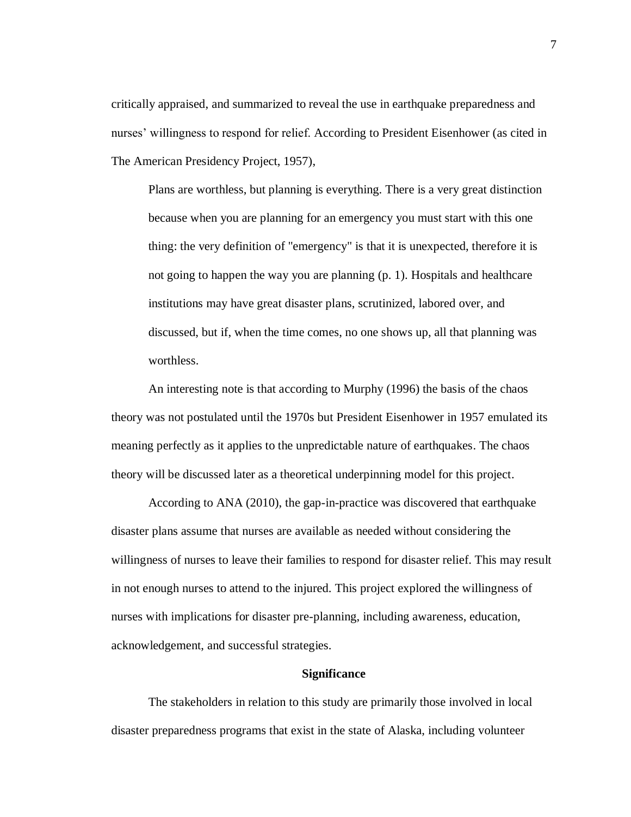critically appraised, and summarized to reveal the use in earthquake preparedness and nurses' willingness to respond for relief. According to President Eisenhower (as cited in The American Presidency Project, 1957),

Plans are worthless, but planning is everything. There is a very great distinction because when you are planning for an emergency you must start with this one thing: the very definition of "emergency" is that it is unexpected, therefore it is not going to happen the way you are planning (p. 1). Hospitals and healthcare institutions may have great disaster plans, scrutinized, labored over, and discussed, but if, when the time comes, no one shows up, all that planning was worthless.

An interesting note is that according to Murphy (1996) the basis of the chaos theory was not postulated until the 1970s but President Eisenhower in 1957 emulated its meaning perfectly as it applies to the unpredictable nature of earthquakes. The chaos theory will be discussed later as a theoretical underpinning model for this project.

According to ANA (2010), the gap-in-practice was discovered that earthquake disaster plans assume that nurses are available as needed without considering the willingness of nurses to leave their families to respond for disaster relief. This may result in not enough nurses to attend to the injured. This project explored the willingness of nurses with implications for disaster pre-planning, including awareness, education, acknowledgement, and successful strategies.

#### **Significance**

The stakeholders in relation to this study are primarily those involved in local disaster preparedness programs that exist in the state of Alaska, including volunteer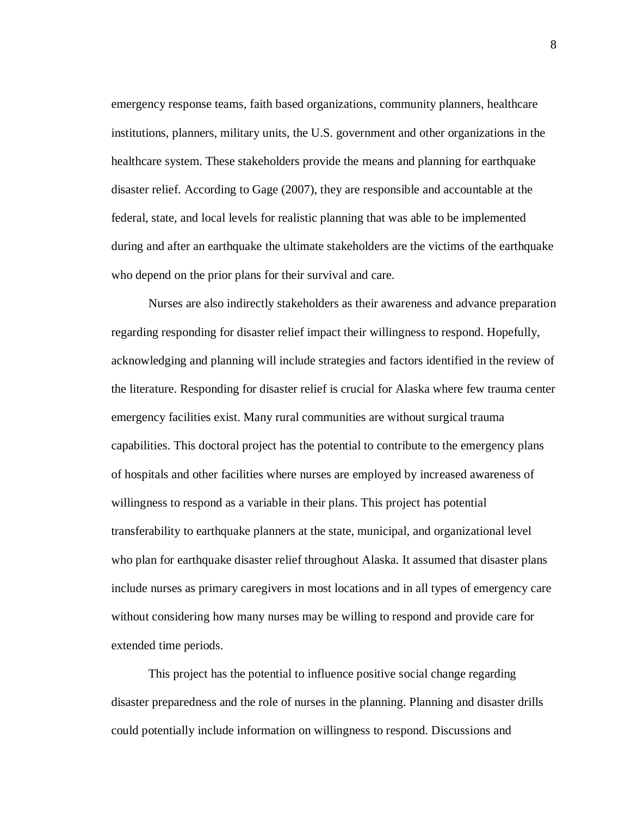emergency response teams, faith based organizations, community planners, healthcare institutions, planners, military units, the U.S. government and other organizations in the healthcare system. These stakeholders provide the means and planning for earthquake disaster relief. According to Gage (2007), they are responsible and accountable at the federal, state, and local levels for realistic planning that was able to be implemented during and after an earthquake the ultimate stakeholders are the victims of the earthquake who depend on the prior plans for their survival and care.

Nurses are also indirectly stakeholders as their awareness and advance preparation regarding responding for disaster relief impact their willingness to respond. Hopefully, acknowledging and planning will include strategies and factors identified in the review of the literature. Responding for disaster relief is crucial for Alaska where few trauma center emergency facilities exist. Many rural communities are without surgical trauma capabilities. This doctoral project has the potential to contribute to the emergency plans of hospitals and other facilities where nurses are employed by increased awareness of willingness to respond as a variable in their plans. This project has potential transferability to earthquake planners at the state, municipal, and organizational level who plan for earthquake disaster relief throughout Alaska. It assumed that disaster plans include nurses as primary caregivers in most locations and in all types of emergency care without considering how many nurses may be willing to respond and provide care for extended time periods.

This project has the potential to influence positive social change regarding disaster preparedness and the role of nurses in the planning. Planning and disaster drills could potentially include information on willingness to respond. Discussions and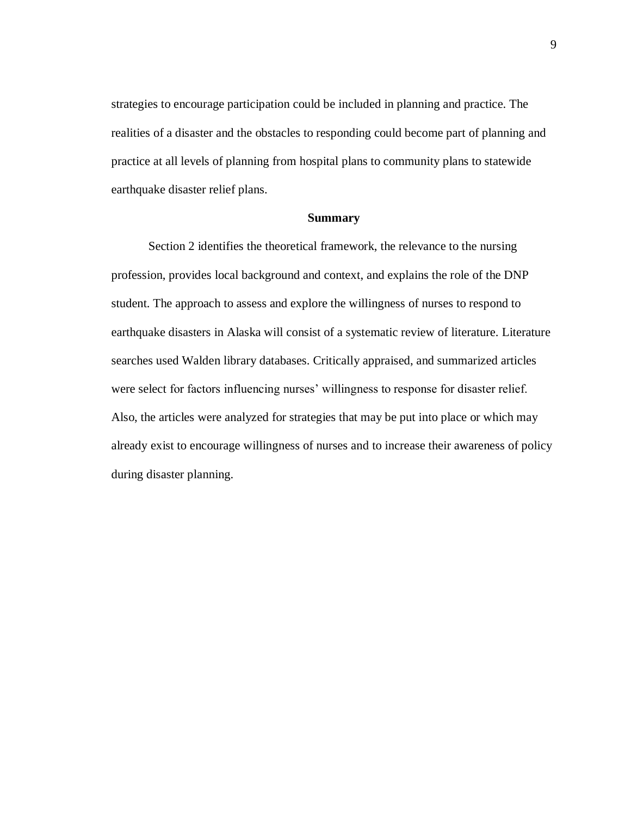strategies to encourage participation could be included in planning and practice. The realities of a disaster and the obstacles to responding could become part of planning and practice at all levels of planning from hospital plans to community plans to statewide earthquake disaster relief plans.

#### **Summary**

Section 2 identifies the theoretical framework, the relevance to the nursing profession, provides local background and context, and explains the role of the DNP student. The approach to assess and explore the willingness of nurses to respond to earthquake disasters in Alaska will consist of a systematic review of literature. Literature searches used Walden library databases. Critically appraised, and summarized articles were select for factors influencing nurses' willingness to response for disaster relief. Also, the articles were analyzed for strategies that may be put into place or which may already exist to encourage willingness of nurses and to increase their awareness of policy during disaster planning.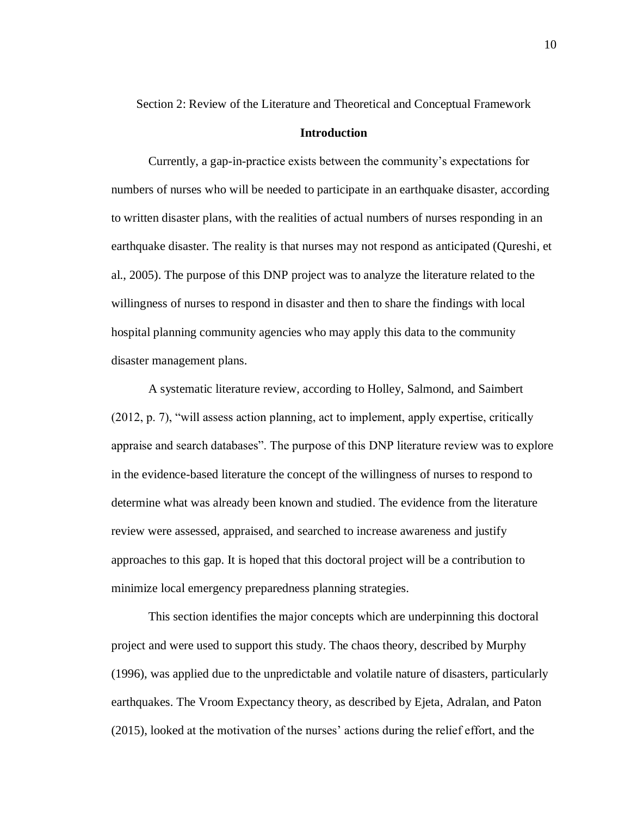Section 2: Review of the Literature and Theoretical and Conceptual Framework

#### **Introduction**

Currently, a gap-in-practice exists between the community's expectations for numbers of nurses who will be needed to participate in an earthquake disaster, according to written disaster plans, with the realities of actual numbers of nurses responding in an earthquake disaster. The reality is that nurses may not respond as anticipated (Qureshi, et al., 2005). The purpose of this DNP project was to analyze the literature related to the willingness of nurses to respond in disaster and then to share the findings with local hospital planning community agencies who may apply this data to the community disaster management plans.

A systematic literature review, according to Holley, Salmond, and Saimbert (2012, p. 7), "will assess action planning, act to implement, apply expertise, critically appraise and search databases". The purpose of this DNP literature review was to explore in the evidence-based literature the concept of the willingness of nurses to respond to determine what was already been known and studied. The evidence from the literature review were assessed, appraised, and searched to increase awareness and justify approaches to this gap. It is hoped that this doctoral project will be a contribution to minimize local emergency preparedness planning strategies.

This section identifies the major concepts which are underpinning this doctoral project and were used to support this study. The chaos theory, described by Murphy (1996), was applied due to the unpredictable and volatile nature of disasters, particularly earthquakes. The Vroom Expectancy theory, as described by Ejeta, Adralan, and Paton (2015), looked at the motivation of the nurses' actions during the relief effort, and the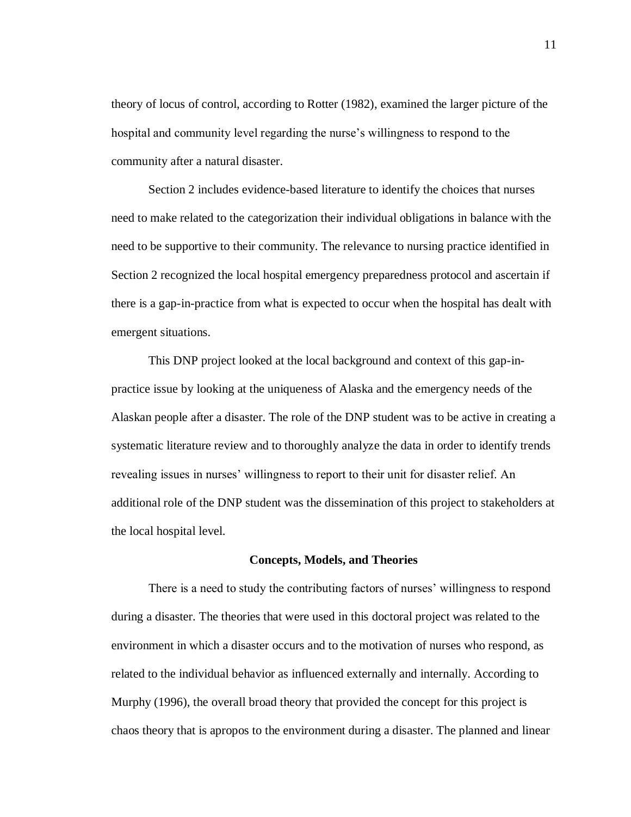theory of locus of control, according to Rotter (1982), examined the larger picture of the hospital and community level regarding the nurse's willingness to respond to the community after a natural disaster.

Section 2 includes evidence-based literature to identify the choices that nurses need to make related to the categorization their individual obligations in balance with the need to be supportive to their community. The relevance to nursing practice identified in Section 2 recognized the local hospital emergency preparedness protocol and ascertain if there is a gap-in-practice from what is expected to occur when the hospital has dealt with emergent situations.

This DNP project looked at the local background and context of this gap-inpractice issue by looking at the uniqueness of Alaska and the emergency needs of the Alaskan people after a disaster. The role of the DNP student was to be active in creating a systematic literature review and to thoroughly analyze the data in order to identify trends revealing issues in nurses' willingness to report to their unit for disaster relief. An additional role of the DNP student was the dissemination of this project to stakeholders at the local hospital level.

#### **Concepts, Models, and Theories**

There is a need to study the contributing factors of nurses' willingness to respond during a disaster. The theories that were used in this doctoral project was related to the environment in which a disaster occurs and to the motivation of nurses who respond, as related to the individual behavior as influenced externally and internally. According to Murphy (1996), the overall broad theory that provided the concept for this project is chaos theory that is apropos to the environment during a disaster. The planned and linear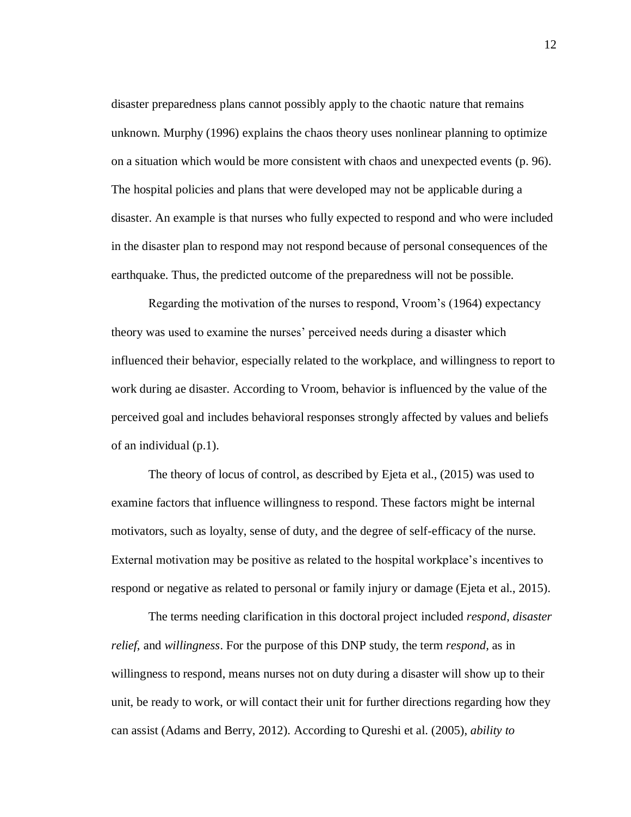disaster preparedness plans cannot possibly apply to the chaotic nature that remains unknown. Murphy (1996) explains the chaos theory uses nonlinear planning to optimize on a situation which would be more consistent with chaos and unexpected events (p. 96). The hospital policies and plans that were developed may not be applicable during a disaster. An example is that nurses who fully expected to respond and who were included in the disaster plan to respond may not respond because of personal consequences of the earthquake. Thus, the predicted outcome of the preparedness will not be possible.

Regarding the motivation of the nurses to respond, Vroom's (1964) expectancy theory was used to examine the nurses' perceived needs during a disaster which influenced their behavior, especially related to the workplace, and willingness to report to work during ae disaster. According to Vroom, behavior is influenced by the value of the perceived goal and includes behavioral responses strongly affected by values and beliefs of an individual (p.1).

The theory of locus of control, as described by Ejeta et al., (2015) was used to examine factors that influence willingness to respond. These factors might be internal motivators, such as loyalty, sense of duty, and the degree of self-efficacy of the nurse. External motivation may be positive as related to the hospital workplace's incentives to respond or negative as related to personal or family injury or damage (Ejeta et al., 2015).

The terms needing clarification in this doctoral project included *respond*, *disaster relief*, and *willingness*. For the purpose of this DNP study, the term *respond,* as in willingness to respond, means nurses not on duty during a disaster will show up to their unit, be ready to work, or will contact their unit for further directions regarding how they can assist (Adams and Berry, 2012). According to Qureshi et al. (2005), *ability to*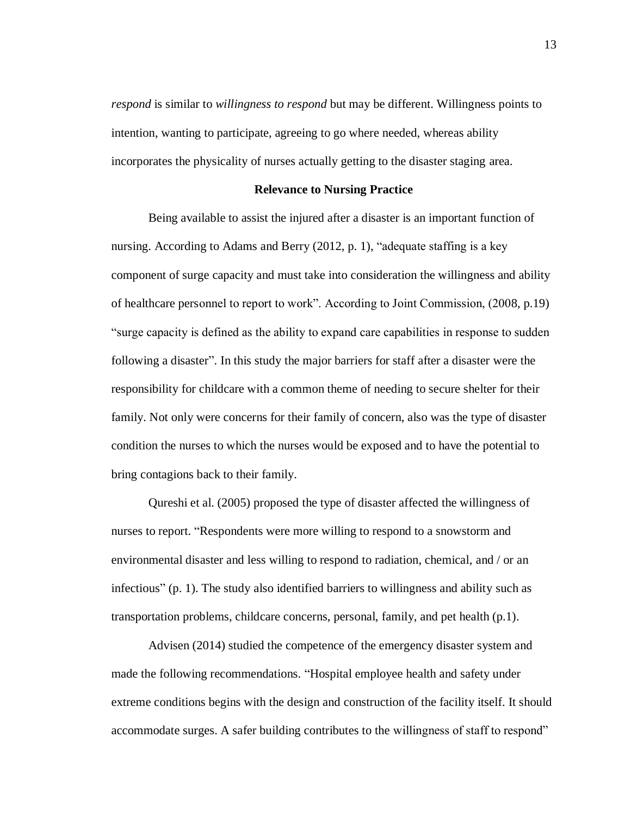*respond* is similar to *willingness to respond* but may be different. Willingness points to intention, wanting to participate, agreeing to go where needed, whereas ability incorporates the physicality of nurses actually getting to the disaster staging area.

#### **Relevance to Nursing Practice**

Being available to assist the injured after a disaster is an important function of nursing. According to Adams and Berry (2012, p. 1), "adequate staffing is a key component of surge capacity and must take into consideration the willingness and ability of healthcare personnel to report to work". According to Joint Commission, (2008, p.19) "surge capacity is defined as the ability to expand care capabilities in response to sudden following a disaster". In this study the major barriers for staff after a disaster were the responsibility for childcare with a common theme of needing to secure shelter for their family. Not only were concerns for their family of concern, also was the type of disaster condition the nurses to which the nurses would be exposed and to have the potential to bring contagions back to their family.

Qureshi et al. (2005) proposed the type of disaster affected the willingness of nurses to report. "Respondents were more willing to respond to a snowstorm and environmental disaster and less willing to respond to radiation, chemical, and / or an infectious" (p. 1). The study also identified barriers to willingness and ability such as transportation problems, childcare concerns, personal, family, and pet health (p.1).

Advisen (2014) studied the competence of the emergency disaster system and made the following recommendations. "Hospital employee health and safety under extreme conditions begins with the design and construction of the facility itself. It should accommodate surges. A safer building contributes to the willingness of staff to respond"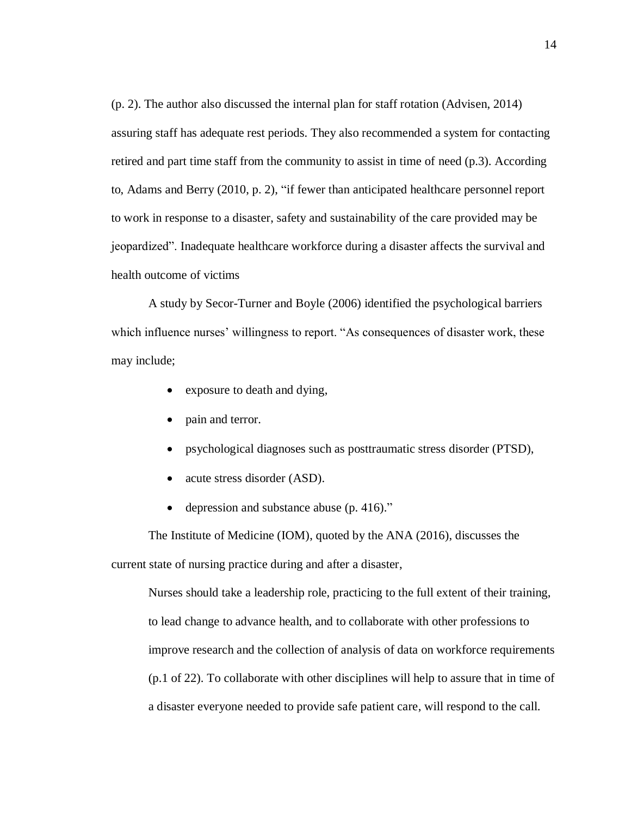(p. 2). The author also discussed the internal plan for staff rotation (Advisen, 2014) assuring staff has adequate rest periods. They also recommended a system for contacting retired and part time staff from the community to assist in time of need (p.3). According to, Adams and Berry (2010, p. 2), "if fewer than anticipated healthcare personnel report to work in response to a disaster, safety and sustainability of the care provided may be jeopardized". Inadequate healthcare workforce during a disaster affects the survival and health outcome of victims

A study by Secor-Turner and Boyle (2006) identified the psychological barriers which influence nurses' willingness to report. "As consequences of disaster work, these may include;

- exposure to death and dying,
- pain and terror.
- psychological diagnoses such as posttraumatic stress disorder (PTSD),
- acute stress disorder (ASD).
- depression and substance abuse (p. 416)."

The Institute of Medicine (IOM), quoted by the ANA (2016), discusses the current state of nursing practice during and after a disaster,

Nurses should take a leadership role, practicing to the full extent of their training, to lead change to advance health, and to collaborate with other professions to improve research and the collection of analysis of data on workforce requirements (p.1 of 22). To collaborate with other disciplines will help to assure that in time of a disaster everyone needed to provide safe patient care, will respond to the call.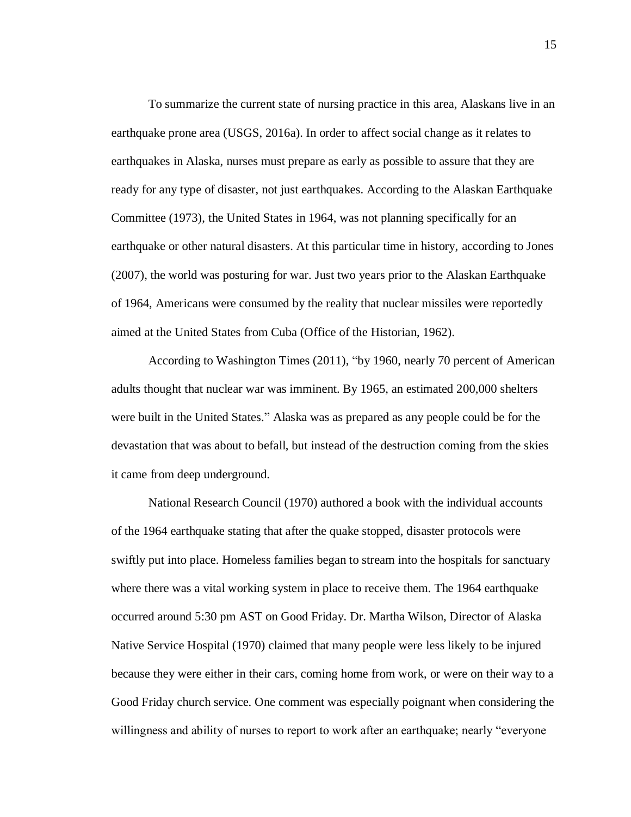To summarize the current state of nursing practice in this area, Alaskans live in an earthquake prone area (USGS, 2016a). In order to affect social change as it relates to earthquakes in Alaska, nurses must prepare as early as possible to assure that they are ready for any type of disaster, not just earthquakes. According to the Alaskan Earthquake Committee (1973), the United States in 1964, was not planning specifically for an earthquake or other natural disasters. At this particular time in history, according to Jones (2007), the world was posturing for war. Just two years prior to the Alaskan Earthquake of 1964, Americans were consumed by the reality that nuclear missiles were reportedly aimed at the United States from Cuba (Office of the Historian, 1962).

According to Washington Times (2011), "by 1960, nearly 70 percent of American adults thought that nuclear war was imminent. By 1965, an estimated 200,000 shelters were built in the United States." Alaska was as prepared as any people could be for the devastation that was about to befall, but instead of the destruction coming from the skies it came from deep underground.

National Research Council (1970) authored a book with the individual accounts of the 1964 earthquake stating that after the quake stopped, disaster protocols were swiftly put into place. Homeless families began to stream into the hospitals for sanctuary where there was a vital working system in place to receive them. The 1964 earthquake occurred around 5:30 pm AST on Good Friday. Dr. Martha Wilson, Director of Alaska Native Service Hospital (1970) claimed that many people were less likely to be injured because they were either in their cars, coming home from work, or were on their way to a Good Friday church service. One comment was especially poignant when considering the willingness and ability of nurses to report to work after an earthquake; nearly "everyone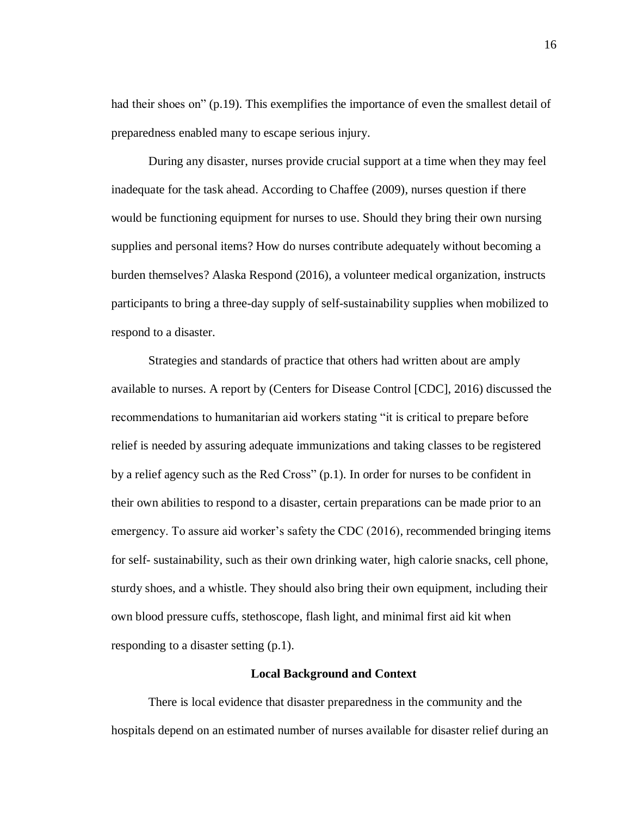had their shoes on" (p.19). This exemplifies the importance of even the smallest detail of preparedness enabled many to escape serious injury.

During any disaster, nurses provide crucial support at a time when they may feel inadequate for the task ahead. According to Chaffee (2009), nurses question if there would be functioning equipment for nurses to use. Should they bring their own nursing supplies and personal items? How do nurses contribute adequately without becoming a burden themselves? Alaska Respond (2016), a volunteer medical organization, instructs participants to bring a three-day supply of self-sustainability supplies when mobilized to respond to a disaster.

Strategies and standards of practice that others had written about are amply available to nurses. A report by (Centers for Disease Control [CDC], 2016) discussed the recommendations to humanitarian aid workers stating "it is critical to prepare before relief is needed by assuring adequate immunizations and taking classes to be registered by a relief agency such as the Red Cross" (p.1). In order for nurses to be confident in their own abilities to respond to a disaster, certain preparations can be made prior to an emergency. To assure aid worker's safety the CDC (2016), recommended bringing items for self- sustainability, such as their own drinking water, high calorie snacks, cell phone, sturdy shoes, and a whistle. They should also bring their own equipment, including their own blood pressure cuffs, stethoscope, flash light, and minimal first aid kit when responding to a disaster setting (p.1).

#### **Local Background and Context**

There is local evidence that disaster preparedness in the community and the hospitals depend on an estimated number of nurses available for disaster relief during an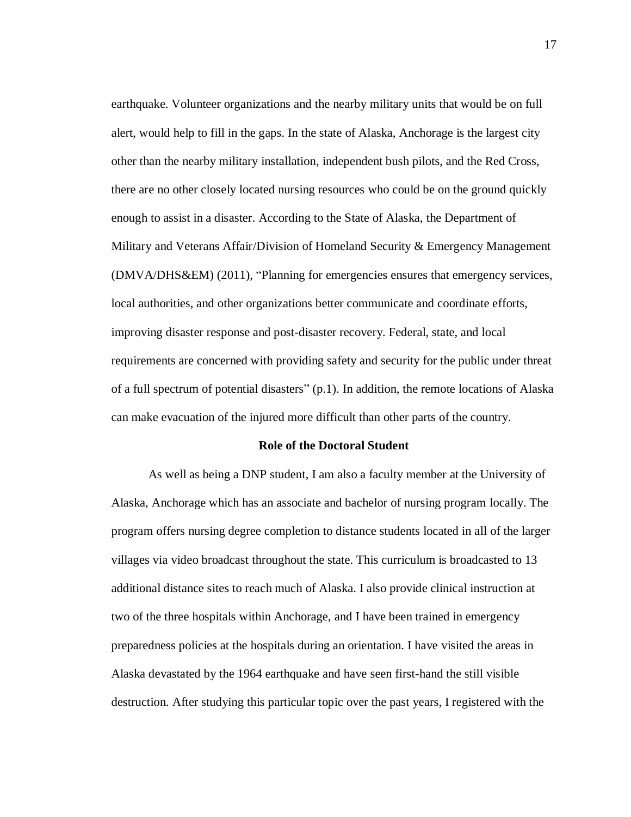earthquake. Volunteer organizations and the nearby military units that would be on full alert, would help to fill in the gaps. In the state of Alaska, Anchorage is the largest city other than the nearby military installation, independent bush pilots, and the Red Cross, there are no other closely located nursing resources who could be on the ground quickly enough to assist in a disaster. According to the State of Alaska, the Department of Military and Veterans Affair/Division of Homeland Security & Emergency Management (DMVA/DHS&EM) (2011), "Planning for emergencies ensures that emergency services, local authorities, and other organizations better communicate and coordinate efforts, improving disaster response and post-disaster recovery. Federal, state, and local requirements are concerned with providing safety and security for the public under threat of a full spectrum of potential disasters" (p.1). In addition, the remote locations of Alaska can make evacuation of the injured more difficult than other parts of the country.

#### **Role of the Doctoral Student**

As well as being a DNP student, I am also a faculty member at the University of Alaska, Anchorage which has an associate and bachelor of nursing program locally. The program offers nursing degree completion to distance students located in all of the larger villages via video broadcast throughout the state. This curriculum is broadcasted to 13 additional distance sites to reach much of Alaska. I also provide clinical instruction at two of the three hospitals within Anchorage, and I have been trained in emergency preparedness policies at the hospitals during an orientation. I have visited the areas in Alaska devastated by the 1964 earthquake and have seen first-hand the still visible destruction. After studying this particular topic over the past years, I registered with the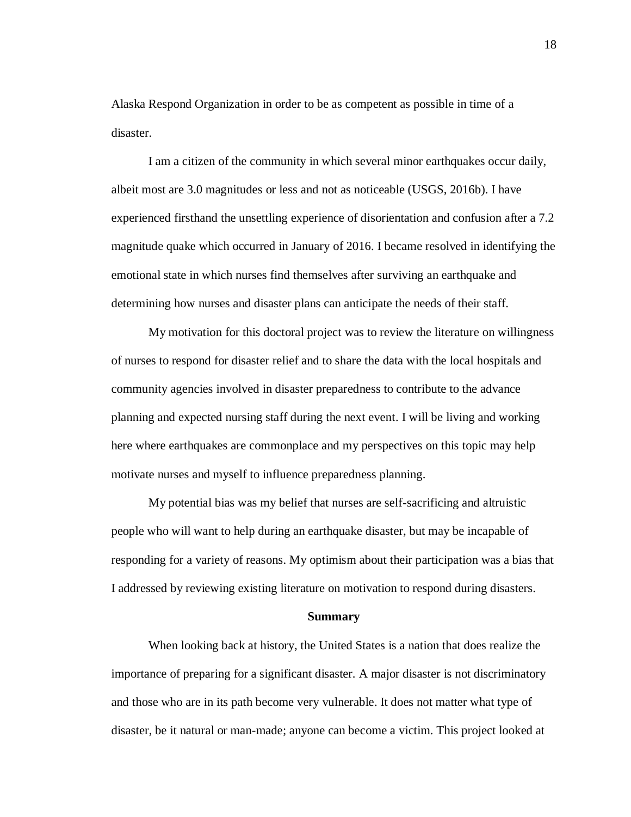Alaska Respond Organization in order to be as competent as possible in time of a disaster.

I am a citizen of the community in which several minor earthquakes occur daily, albeit most are 3.0 magnitudes or less and not as noticeable (USGS, 2016b). I have experienced firsthand the unsettling experience of disorientation and confusion after a 7.2 magnitude quake which occurred in January of 2016. I became resolved in identifying the emotional state in which nurses find themselves after surviving an earthquake and determining how nurses and disaster plans can anticipate the needs of their staff.

My motivation for this doctoral project was to review the literature on willingness of nurses to respond for disaster relief and to share the data with the local hospitals and community agencies involved in disaster preparedness to contribute to the advance planning and expected nursing staff during the next event. I will be living and working here where earthquakes are commonplace and my perspectives on this topic may help motivate nurses and myself to influence preparedness planning.

My potential bias was my belief that nurses are self-sacrificing and altruistic people who will want to help during an earthquake disaster, but may be incapable of responding for a variety of reasons. My optimism about their participation was a bias that I addressed by reviewing existing literature on motivation to respond during disasters.

#### **Summary**

When looking back at history, the United States is a nation that does realize the importance of preparing for a significant disaster. A major disaster is not discriminatory and those who are in its path become very vulnerable. It does not matter what type of disaster, be it natural or man-made; anyone can become a victim. This project looked at

18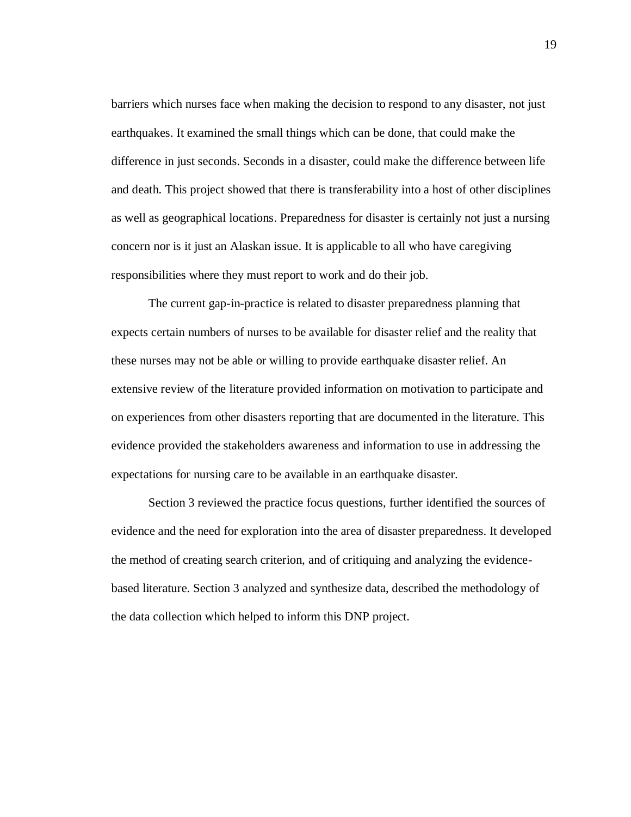barriers which nurses face when making the decision to respond to any disaster, not just earthquakes. It examined the small things which can be done, that could make the difference in just seconds. Seconds in a disaster, could make the difference between life and death. This project showed that there is transferability into a host of other disciplines as well as geographical locations. Preparedness for disaster is certainly not just a nursing concern nor is it just an Alaskan issue. It is applicable to all who have caregiving responsibilities where they must report to work and do their job.

The current gap-in-practice is related to disaster preparedness planning that expects certain numbers of nurses to be available for disaster relief and the reality that these nurses may not be able or willing to provide earthquake disaster relief. An extensive review of the literature provided information on motivation to participate and on experiences from other disasters reporting that are documented in the literature. This evidence provided the stakeholders awareness and information to use in addressing the expectations for nursing care to be available in an earthquake disaster.

Section 3 reviewed the practice focus questions, further identified the sources of evidence and the need for exploration into the area of disaster preparedness. It developed the method of creating search criterion, and of critiquing and analyzing the evidencebased literature. Section 3 analyzed and synthesize data, described the methodology of the data collection which helped to inform this DNP project.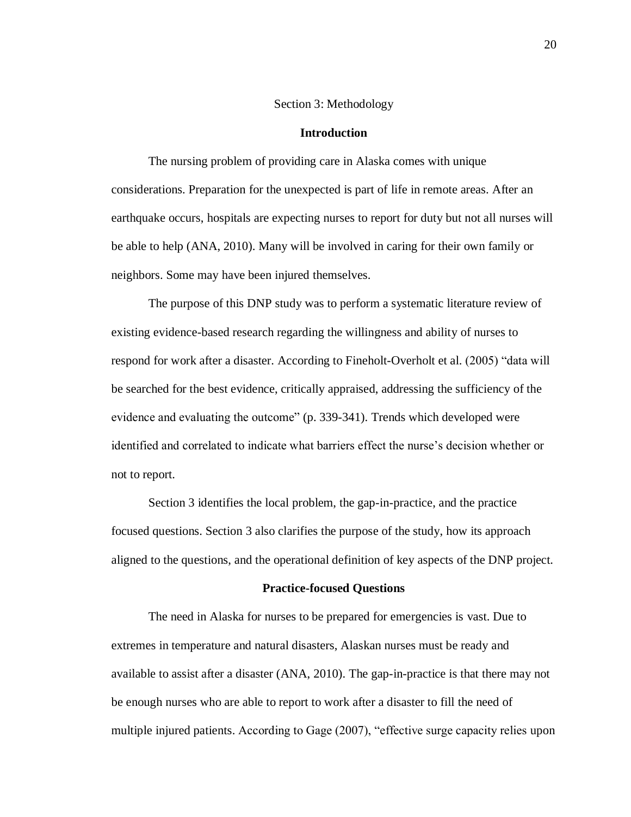#### Section 3: Methodology

#### **Introduction**

The nursing problem of providing care in Alaska comes with unique considerations. Preparation for the unexpected is part of life in remote areas. After an earthquake occurs, hospitals are expecting nurses to report for duty but not all nurses will be able to help (ANA, 2010). Many will be involved in caring for their own family or neighbors. Some may have been injured themselves.

The purpose of this DNP study was to perform a systematic literature review of existing evidence-based research regarding the willingness and ability of nurses to respond for work after a disaster. According to Fineholt-Overholt et al. (2005) "data will be searched for the best evidence, critically appraised, addressing the sufficiency of the evidence and evaluating the outcome" (p. 339-341). Trends which developed were identified and correlated to indicate what barriers effect the nurse's decision whether or not to report.

Section 3 identifies the local problem, the gap-in-practice, and the practice focused questions. Section 3 also clarifies the purpose of the study, how its approach aligned to the questions, and the operational definition of key aspects of the DNP project.

#### **Practice-focused Questions**

The need in Alaska for nurses to be prepared for emergencies is vast. Due to extremes in temperature and natural disasters, Alaskan nurses must be ready and available to assist after a disaster (ANA, 2010). The gap-in-practice is that there may not be enough nurses who are able to report to work after a disaster to fill the need of multiple injured patients. According to Gage (2007), "effective surge capacity relies upon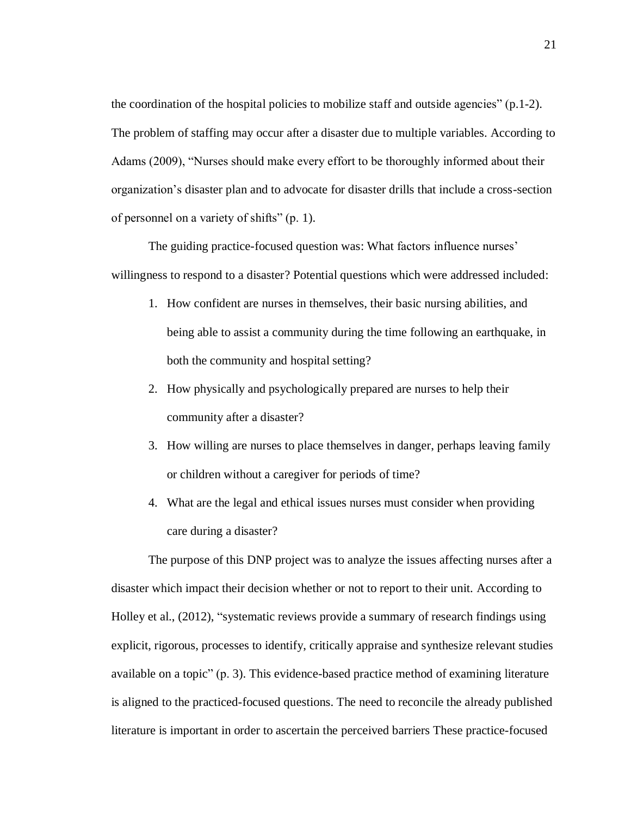the coordination of the hospital policies to mobilize staff and outside agencies"  $(p.1-2)$ . The problem of staffing may occur after a disaster due to multiple variables. According to Adams (2009), "Nurses should make every effort to be thoroughly informed about their organization's disaster plan and to advocate for disaster drills that include a cross-section of personnel on a variety of shifts" (p. 1).

The guiding practice-focused question was: What factors influence nurses' willingness to respond to a disaster? Potential questions which were addressed included:

- 1. How confident are nurses in themselves, their basic nursing abilities, and being able to assist a community during the time following an earthquake, in both the community and hospital setting?
- 2. How physically and psychologically prepared are nurses to help their community after a disaster?
- 3. How willing are nurses to place themselves in danger, perhaps leaving family or children without a caregiver for periods of time?
- 4. What are the legal and ethical issues nurses must consider when providing care during a disaster?

The purpose of this DNP project was to analyze the issues affecting nurses after a disaster which impact their decision whether or not to report to their unit. According to Holley et al., (2012), "systematic reviews provide a summary of research findings using explicit, rigorous, processes to identify, critically appraise and synthesize relevant studies available on a topic" (p. 3). This evidence-based practice method of examining literature is aligned to the practiced-focused questions. The need to reconcile the already published literature is important in order to ascertain the perceived barriers These practice-focused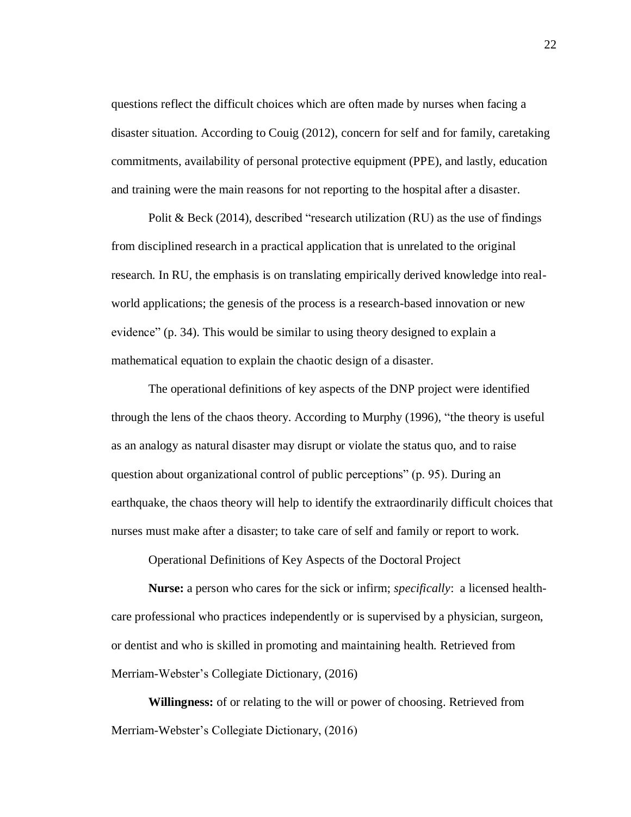questions reflect the difficult choices which are often made by nurses when facing a disaster situation. According to Couig (2012), concern for self and for family, caretaking commitments, availability of personal protective equipment (PPE), and lastly, education and training were the main reasons for not reporting to the hospital after a disaster.

Polit & Beck (2014), described "research utilization (RU) as the use of findings from disciplined research in a practical application that is unrelated to the original research. In RU, the emphasis is on translating empirically derived knowledge into realworld applications; the genesis of the process is a research-based innovation or new evidence" (p. 34). This would be similar to using theory designed to explain a mathematical equation to explain the chaotic design of a disaster.

The operational definitions of key aspects of the DNP project were identified through the lens of the chaos theory. According to Murphy (1996), "the theory is useful as an analogy as natural disaster may disrupt or violate the status quo, and to raise question about organizational control of public perceptions" (p. 95). During an earthquake, the chaos theory will help to identify the extraordinarily difficult choices that nurses must make after a disaster; to take care of self and family or report to work.

Operational Definitions of Key Aspects of the Doctoral Project

**Nurse:** a person who cares for the sick or infirm; *specifically*: a licensed healthcare professional who practices independently or is supervised by a physician, surgeon, or dentist and who is skilled in promoting and maintaining health. Retrieved from Merriam-Webster's Collegiate Dictionary, (2016)

**Willingness:** of or relating to the will or power of choosing. Retrieved from Merriam-Webster's Collegiate Dictionary, (2016)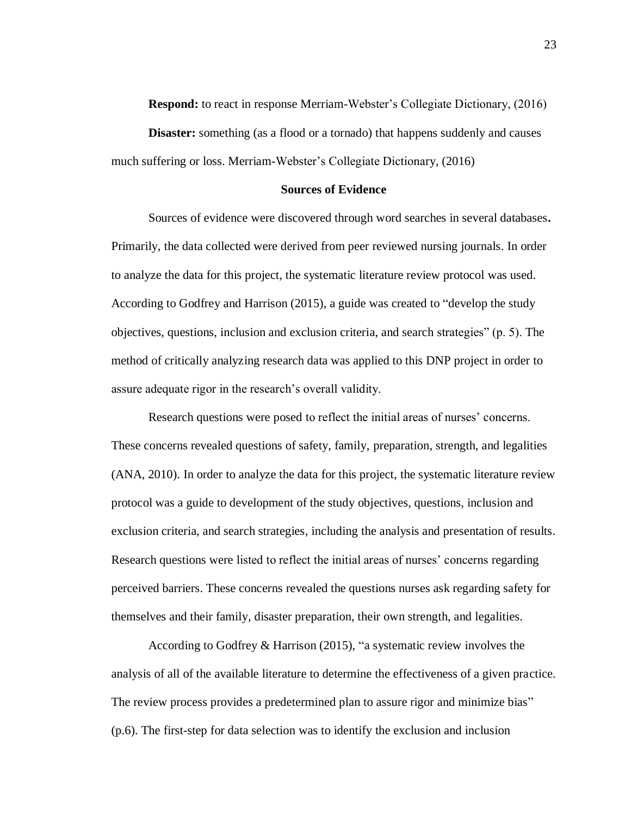**Respond:** to react in response Merriam-Webster's Collegiate Dictionary, (2016)

**Disaster:** something (as a flood or a tornado) that happens suddenly and causes much suffering or loss. Merriam-Webster's Collegiate Dictionary, (2016)

#### **Sources of Evidence**

Sources of evidence were discovered through word searches in several databases**.** Primarily, the data collected were derived from peer reviewed nursing journals. In order to analyze the data for this project, the systematic literature review protocol was used. According to Godfrey and Harrison (2015), a guide was created to "develop the study objectives, questions, inclusion and exclusion criteria, and search strategies" (p. 5). The method of critically analyzing research data was applied to this DNP project in order to assure adequate rigor in the research's overall validity.

Research questions were posed to reflect the initial areas of nurses' concerns. These concerns revealed questions of safety, family, preparation, strength, and legalities (ANA, 2010). In order to analyze the data for this project, the systematic literature review protocol was a guide to development of the study objectives, questions, inclusion and exclusion criteria, and search strategies, including the analysis and presentation of results. Research questions were listed to reflect the initial areas of nurses' concerns regarding perceived barriers. These concerns revealed the questions nurses ask regarding safety for themselves and their family, disaster preparation, their own strength, and legalities.

According to Godfrey & Harrison (2015), "a systematic review involves the analysis of all of the available literature to determine the effectiveness of a given practice. The review process provides a predetermined plan to assure rigor and minimize bias" (p.6). The first-step for data selection was to identify the exclusion and inclusion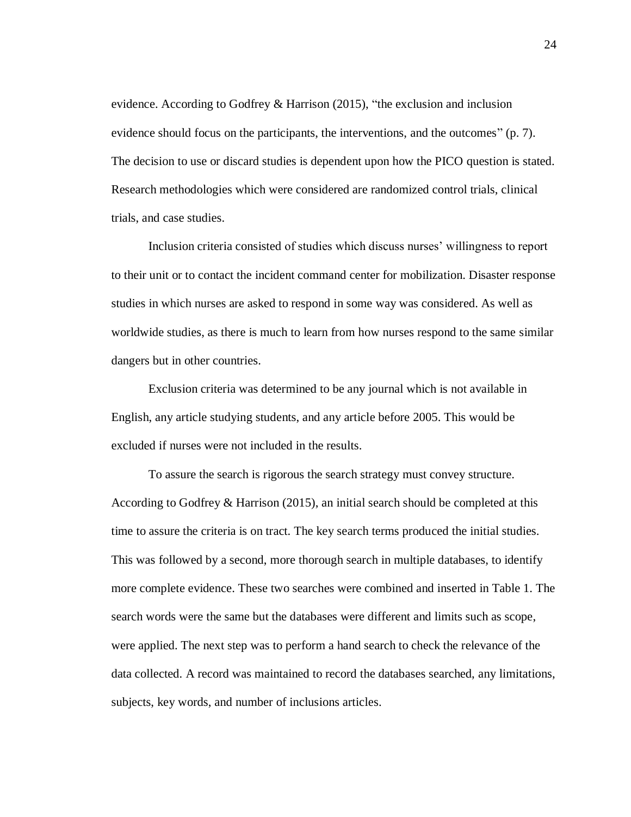evidence. According to Godfrey & Harrison (2015), "the exclusion and inclusion evidence should focus on the participants, the interventions, and the outcomes" (p. 7). The decision to use or discard studies is dependent upon how the PICO question is stated. Research methodologies which were considered are randomized control trials, clinical trials, and case studies.

Inclusion criteria consisted of studies which discuss nurses' willingness to report to their unit or to contact the incident command center for mobilization. Disaster response studies in which nurses are asked to respond in some way was considered. As well as worldwide studies, as there is much to learn from how nurses respond to the same similar dangers but in other countries.

Exclusion criteria was determined to be any journal which is not available in English, any article studying students, and any article before 2005. This would be excluded if nurses were not included in the results.

To assure the search is rigorous the search strategy must convey structure. According to Godfrey & Harrison (2015), an initial search should be completed at this time to assure the criteria is on tract. The key search terms produced the initial studies. This was followed by a second, more thorough search in multiple databases, to identify more complete evidence. These two searches were combined and inserted in Table 1. The search words were the same but the databases were different and limits such as scope, were applied. The next step was to perform a hand search to check the relevance of the data collected. A record was maintained to record the databases searched, any limitations, subjects, key words, and number of inclusions articles.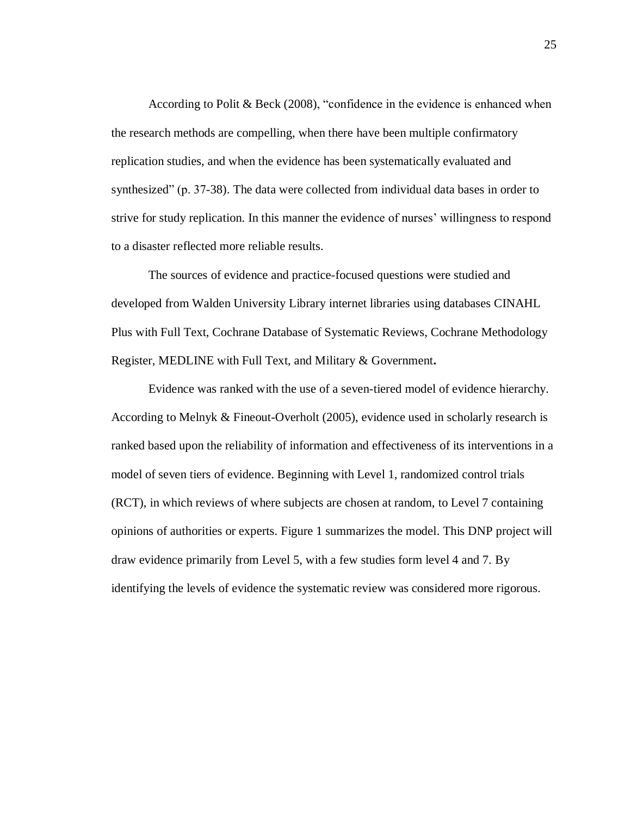According to Polit & Beck (2008), "confidence in the evidence is enhanced when the research methods are compelling, when there have been multiple confirmatory replication studies, and when the evidence has been systematically evaluated and synthesized" (p. 37-38). The data were collected from individual data bases in order to strive for study replication. In this manner the evidence of nurses' willingness to respond to a disaster reflected more reliable results.

The sources of evidence and practice-focused questions were studied and developed from Walden University Library internet libraries using databases CINAHL Plus with Full Text, Cochrane Database of Systematic Reviews, Cochrane Methodology Register, MEDLINE with Full Text, and Military & Government**.**

Evidence was ranked with the use of a seven-tiered model of evidence hierarchy. According to Melnyk & Fineout-Overholt (2005), evidence used in scholarly research is ranked based upon the reliability of information and effectiveness of its interventions in a model of seven tiers of evidence. Beginning with Level 1, randomized control trials (RCT), in which reviews of where subjects are chosen at random, to Level 7 containing opinions of authorities or experts. Figure 1 summarizes the model. This DNP project will draw evidence primarily from Level 5, with a few studies form level 4 and 7. By identifying the levels of evidence the systematic review was considered more rigorous.

25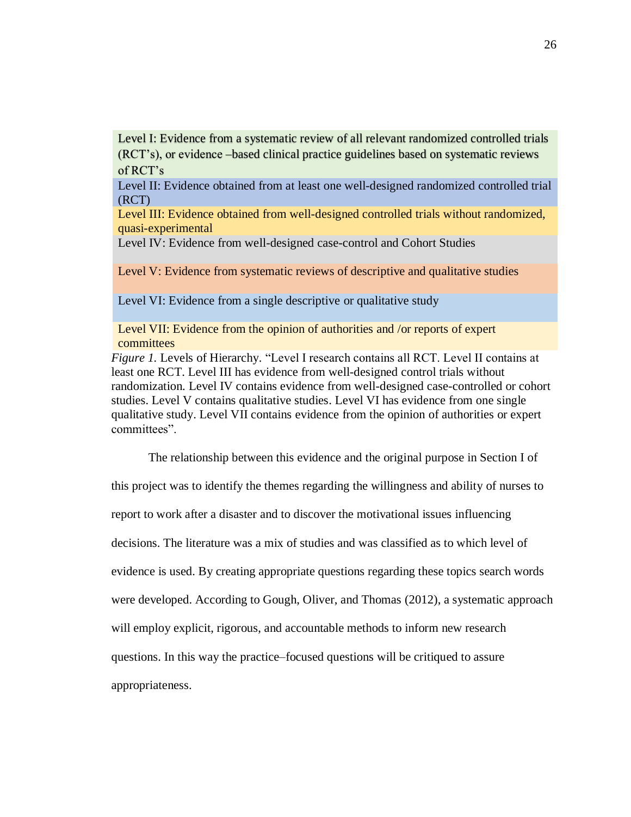Level I: Evidence from a systematic review of all relevant randomized controlled trials (RCT's), or evidence –based clinical practice guidelines based on systematic reviews of RCT's

Level II: Evidence obtained from at least one well-designed randomized controlled trial (RCT)

Level III: Evidence obtained from well-designed controlled trials without randomized, quasi-experimental

Level IV: Evidence from well-designed case-control and Cohort Studies

Level V: Evidence from systematic reviews of descriptive and qualitative studies

Level VI: Evidence from a single descriptive or qualitative study

Level VII: Evidence from the opinion of authorities and /or reports of expert committees

*Figure 1.* Levels of Hierarchy. "Level I research contains all RCT. Level II contains at least one RCT. Level III has evidence from well-designed control trials without randomization. Level IV contains evidence from well-designed case-controlled or cohort studies. Level V contains qualitative studies. Level VI has evidence from one single qualitative study. Level VII contains evidence from the opinion of authorities or expert committees".

The relationship between this evidence and the original purpose in Section I of this project was to identify the themes regarding the willingness and ability of nurses to report to work after a disaster and to discover the motivational issues influencing decisions. The literature was a mix of studies and was classified as to which level of evidence is used. By creating appropriate questions regarding these topics search words were developed. According to Gough, Oliver, and Thomas (2012), a systematic approach will employ explicit, rigorous, and accountable methods to inform new research questions. In this way the practice–focused questions will be critiqued to assure appropriateness.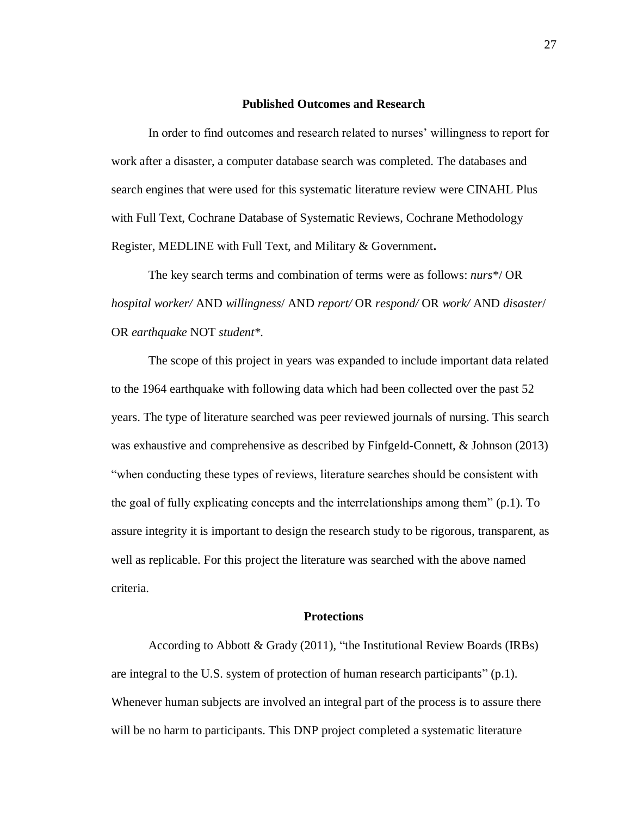# **Published Outcomes and Research**

In order to find outcomes and research related to nurses' willingness to report for work after a disaster, a computer database search was completed. The databases and search engines that were used for this systematic literature review were CINAHL Plus with Full Text, Cochrane Database of Systematic Reviews, Cochrane Methodology Register, MEDLINE with Full Text, and Military & Government**.**

The key search terms and combination of terms were as follows: *nurs*\*/ OR *hospital worker/* AND *willingness*/ AND *report/* OR *respond/* OR *work/* AND *disaster*/ OR *earthquake* NOT *student\*.*

The scope of this project in years was expanded to include important data related to the 1964 earthquake with following data which had been collected over the past 52 years. The type of literature searched was peer reviewed journals of nursing. This search was exhaustive and comprehensive as described by Finfgeld-Connett, & Johnson (2013) "when conducting these types of reviews, literature searches should be consistent with the goal of fully explicating concepts and the interrelationships among them" (p.1). To assure integrity it is important to design the research study to be rigorous, transparent, as well as replicable. For this project the literature was searched with the above named criteria.

# **Protections**

According to Abbott & Grady (2011), "the Institutional Review Boards (IRBs) are integral to the U.S. system of protection of human research participants" (p.1). Whenever human subjects are involved an integral part of the process is to assure there will be no harm to participants. This DNP project completed a systematic literature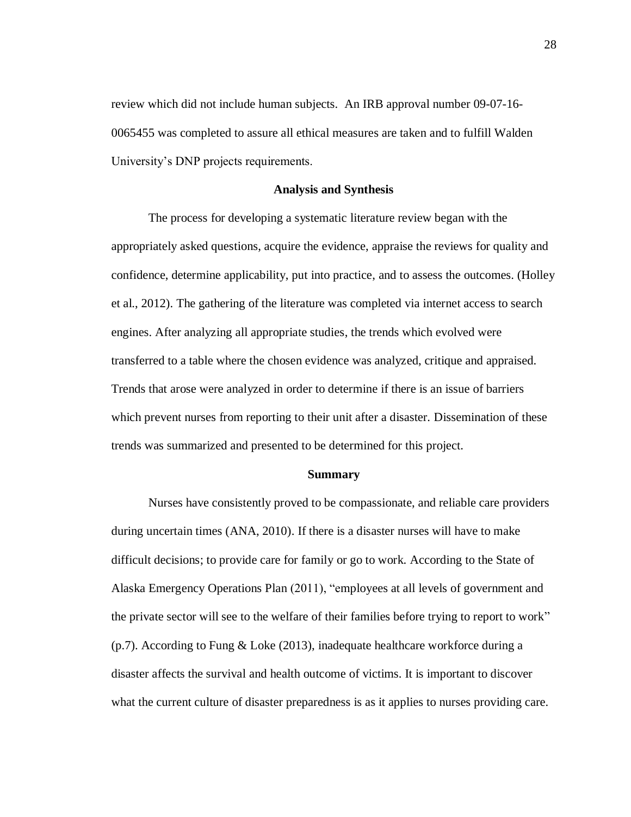review which did not include human subjects. An IRB approval number 09-07-16- 0065455 was completed to assure all ethical measures are taken and to fulfill Walden University's DNP projects requirements.

#### **Analysis and Synthesis**

The process for developing a systematic literature review began with the appropriately asked questions, acquire the evidence, appraise the reviews for quality and confidence, determine applicability, put into practice, and to assess the outcomes. (Holley et al., 2012). The gathering of the literature was completed via internet access to search engines. After analyzing all appropriate studies, the trends which evolved were transferred to a table where the chosen evidence was analyzed, critique and appraised. Trends that arose were analyzed in order to determine if there is an issue of barriers which prevent nurses from reporting to their unit after a disaster. Dissemination of these trends was summarized and presented to be determined for this project.

### **Summary**

Nurses have consistently proved to be compassionate, and reliable care providers during uncertain times (ANA, 2010). If there is a disaster nurses will have to make difficult decisions; to provide care for family or go to work. According to the State of Alaska Emergency Operations Plan (2011), "employees at all levels of government and the private sector will see to the welfare of their families before trying to report to work" (p.7). According to Fung & Loke (2013), inadequate healthcare workforce during a disaster affects the survival and health outcome of victims. It is important to discover what the current culture of disaster preparedness is as it applies to nurses providing care.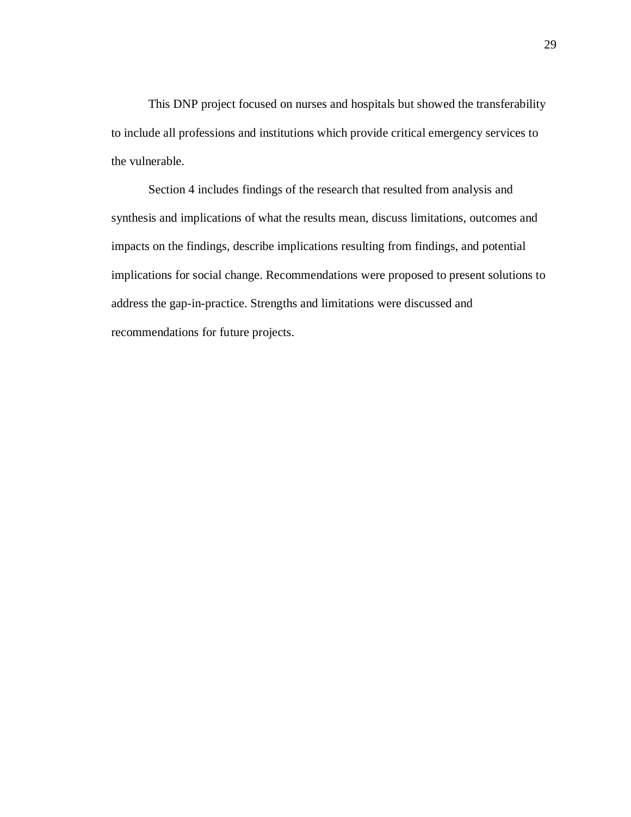This DNP project focused on nurses and hospitals but showed the transferability to include all professions and institutions which provide critical emergency services to the vulnerable.

Section 4 includes findings of the research that resulted from analysis and synthesis and implications of what the results mean, discuss limitations, outcomes and impacts on the findings, describe implications resulting from findings, and potential implications for social change. Recommendations were proposed to present solutions to address the gap-in-practice. Strengths and limitations were discussed and recommendations for future projects.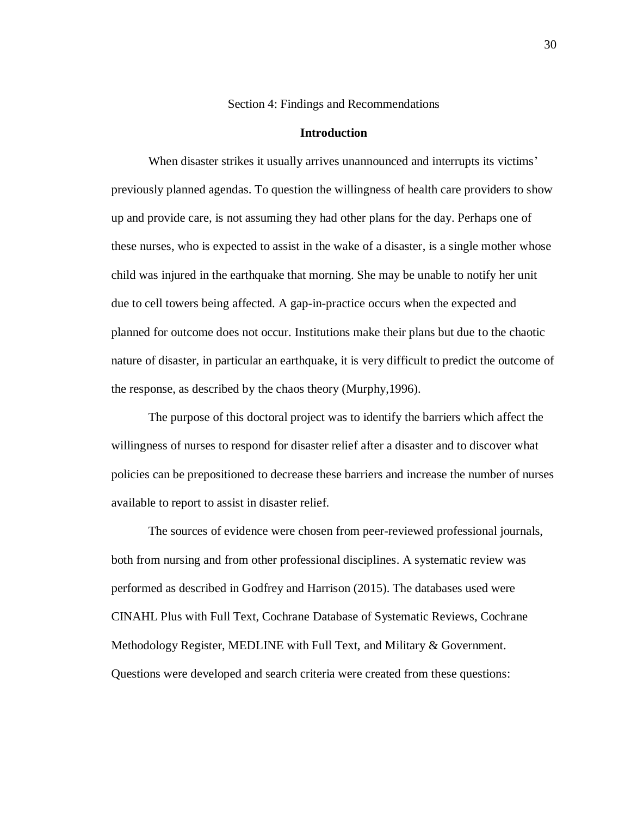Section 4: Findings and Recommendations

# **Introduction**

When disaster strikes it usually arrives unannounced and interrupts its victims' previously planned agendas. To question the willingness of health care providers to show up and provide care, is not assuming they had other plans for the day. Perhaps one of these nurses, who is expected to assist in the wake of a disaster, is a single mother whose child was injured in the earthquake that morning. She may be unable to notify her unit due to cell towers being affected. A gap-in-practice occurs when the expected and planned for outcome does not occur. Institutions make their plans but due to the chaotic nature of disaster, in particular an earthquake, it is very difficult to predict the outcome of the response, as described by the chaos theory (Murphy,1996).

The purpose of this doctoral project was to identify the barriers which affect the willingness of nurses to respond for disaster relief after a disaster and to discover what policies can be prepositioned to decrease these barriers and increase the number of nurses available to report to assist in disaster relief.

The sources of evidence were chosen from peer-reviewed professional journals, both from nursing and from other professional disciplines. A systematic review was performed as described in Godfrey and Harrison (2015). The databases used were CINAHL Plus with Full Text, Cochrane Database of Systematic Reviews, Cochrane Methodology Register, MEDLINE with Full Text, and Military & Government. Questions were developed and search criteria were created from these questions: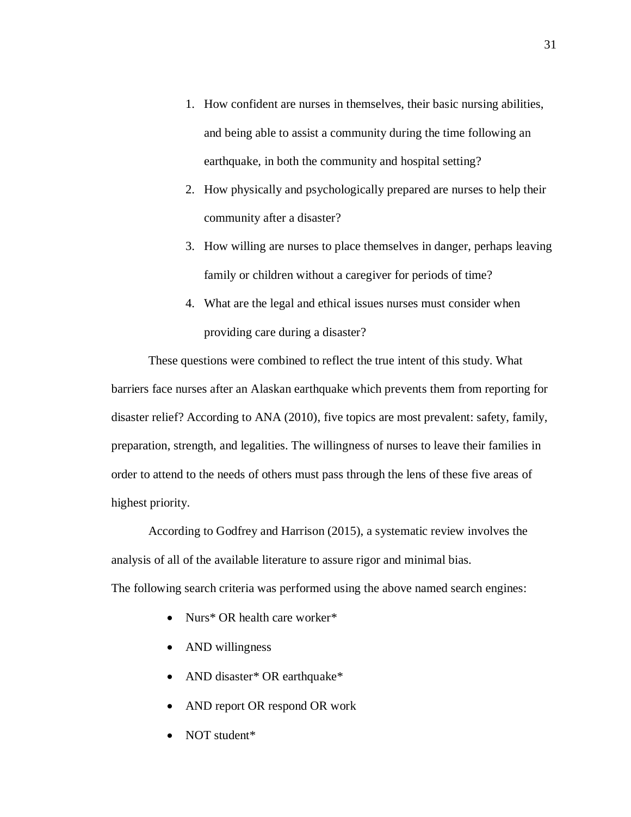- 1. How confident are nurses in themselves, their basic nursing abilities, and being able to assist a community during the time following an earthquake, in both the community and hospital setting?
- 2. How physically and psychologically prepared are nurses to help their community after a disaster?
- 3. How willing are nurses to place themselves in danger, perhaps leaving family or children without a caregiver for periods of time?
- 4. What are the legal and ethical issues nurses must consider when providing care during a disaster?

These questions were combined to reflect the true intent of this study. What barriers face nurses after an Alaskan earthquake which prevents them from reporting for disaster relief? According to ANA (2010), five topics are most prevalent: safety, family, preparation, strength, and legalities. The willingness of nurses to leave their families in order to attend to the needs of others must pass through the lens of these five areas of highest priority.

According to Godfrey and Harrison (2015), a systematic review involves the analysis of all of the available literature to assure rigor and minimal bias. The following search criteria was performed using the above named search engines:

- Nurs\* OR health care worker\*
- AND willingness
- AND disaster\* OR earthquake\*
- AND report OR respond OR work
- NOT student\*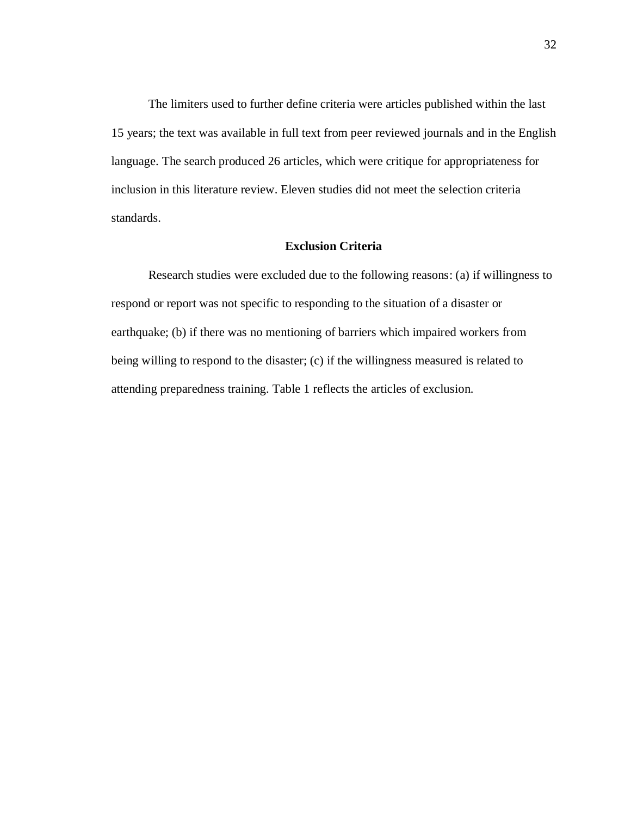The limiters used to further define criteria were articles published within the last 15 years; the text was available in full text from peer reviewed journals and in the English language. The search produced 26 articles, which were critique for appropriateness for inclusion in this literature review. Eleven studies did not meet the selection criteria standards.

# **Exclusion Criteria**

Research studies were excluded due to the following reasons: (a) if willingness to respond or report was not specific to responding to the situation of a disaster or earthquake; (b) if there was no mentioning of barriers which impaired workers from being willing to respond to the disaster; (c) if the willingness measured is related to attending preparedness training. Table 1 reflects the articles of exclusion.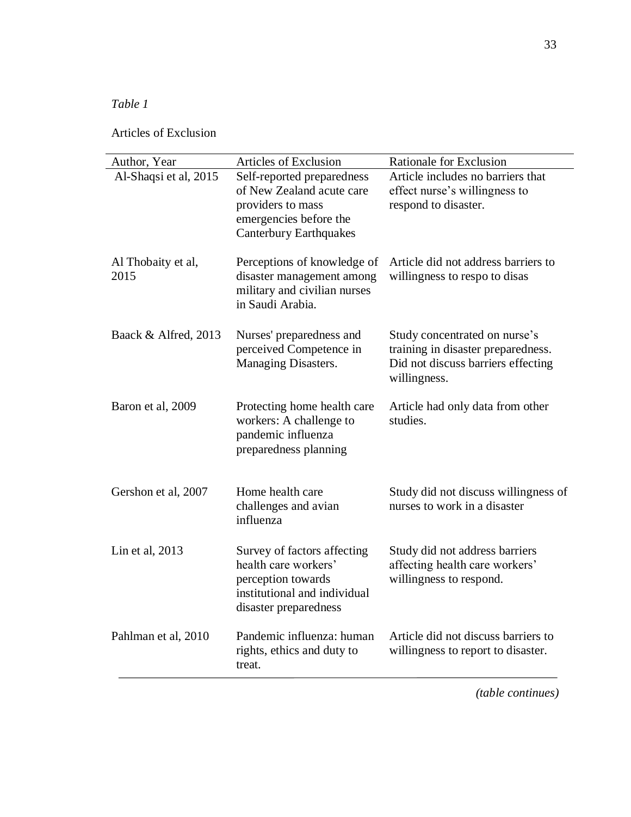# *Table 1*

Articles of Exclusion

| Author, Year               | <b>Articles of Exclusion</b>                                                                                                            | Rationale for Exclusion                                                                                                   |
|----------------------------|-----------------------------------------------------------------------------------------------------------------------------------------|---------------------------------------------------------------------------------------------------------------------------|
| Al-Shaqsi et al, 2015      | Self-reported preparedness<br>of New Zealand acute care<br>providers to mass<br>emergencies before the<br><b>Canterbury Earthquakes</b> | Article includes no barriers that<br>effect nurse's willingness to<br>respond to disaster.                                |
| Al Thobaity et al,<br>2015 | Perceptions of knowledge of<br>disaster management among<br>military and civilian nurses<br>in Saudi Arabia.                            | Article did not address barriers to<br>willingness to respo to disas                                                      |
| Baack & Alfred, 2013       | Nurses' preparedness and<br>perceived Competence in<br>Managing Disasters.                                                              | Study concentrated on nurse's<br>training in disaster preparedness.<br>Did not discuss barriers effecting<br>willingness. |
| Baron et al, 2009          | Protecting home health care<br>workers: A challenge to<br>pandemic influenza<br>preparedness planning                                   | Article had only data from other<br>studies.                                                                              |
| Gershon et al, 2007        | Home health care<br>challenges and avian<br>influenza                                                                                   | Study did not discuss willingness of<br>nurses to work in a disaster                                                      |
| Lin et al, 2013            | Survey of factors affecting<br>health care workers'<br>perception towards<br>institutional and individual<br>disaster preparedness      | Study did not address barriers<br>affecting health care workers'<br>willingness to respond.                               |
| Pahlman et al, 2010        | Pandemic influenza: human<br>rights, ethics and duty to<br>treat.                                                                       | Article did not discuss barriers to<br>willingness to report to disaster.                                                 |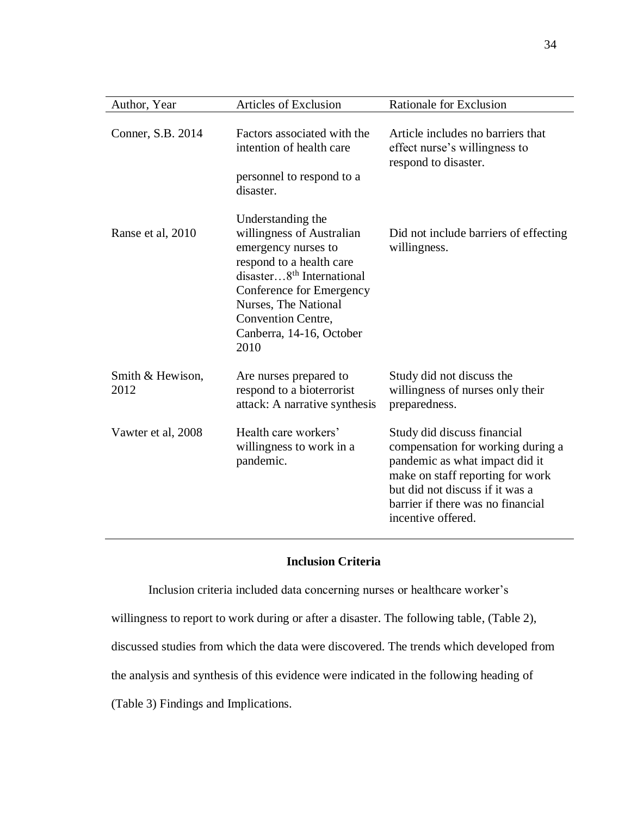| Author, Year             | <b>Articles of Exclusion</b>                                                                                                                                                                                                                             | Rationale for Exclusion                                                                                                                                                                                                              |
|--------------------------|----------------------------------------------------------------------------------------------------------------------------------------------------------------------------------------------------------------------------------------------------------|--------------------------------------------------------------------------------------------------------------------------------------------------------------------------------------------------------------------------------------|
| Conner, S.B. 2014        | Factors associated with the<br>intention of health care<br>personnel to respond to a<br>disaster.                                                                                                                                                        | Article includes no barriers that<br>effect nurse's willingness to<br>respond to disaster.                                                                                                                                           |
| Ranse et al, 2010        | Understanding the<br>willingness of Australian<br>emergency nurses to<br>respond to a health care<br>disaster8 <sup>th</sup> International<br>Conference for Emergency<br>Nurses, The National<br>Convention Centre,<br>Canberra, 14-16, October<br>2010 | Did not include barriers of effecting<br>willingness.                                                                                                                                                                                |
| Smith & Hewison,<br>2012 | Are nurses prepared to<br>respond to a bioterrorist<br>attack: A narrative synthesis                                                                                                                                                                     | Study did not discuss the<br>willingness of nurses only their<br>preparedness.                                                                                                                                                       |
| Vawter et al, 2008       | Health care workers'<br>willingness to work in a<br>pandemic.                                                                                                                                                                                            | Study did discuss financial<br>compensation for working during a<br>pandemic as what impact did it<br>make on staff reporting for work<br>but did not discuss if it was a<br>barrier if there was no financial<br>incentive offered. |

# **Inclusion Criteria**

Inclusion criteria included data concerning nurses or healthcare worker's

willingness to report to work during or after a disaster. The following table, (Table 2),

discussed studies from which the data were discovered. The trends which developed from

the analysis and synthesis of this evidence were indicated in the following heading of

(Table 3) Findings and Implications.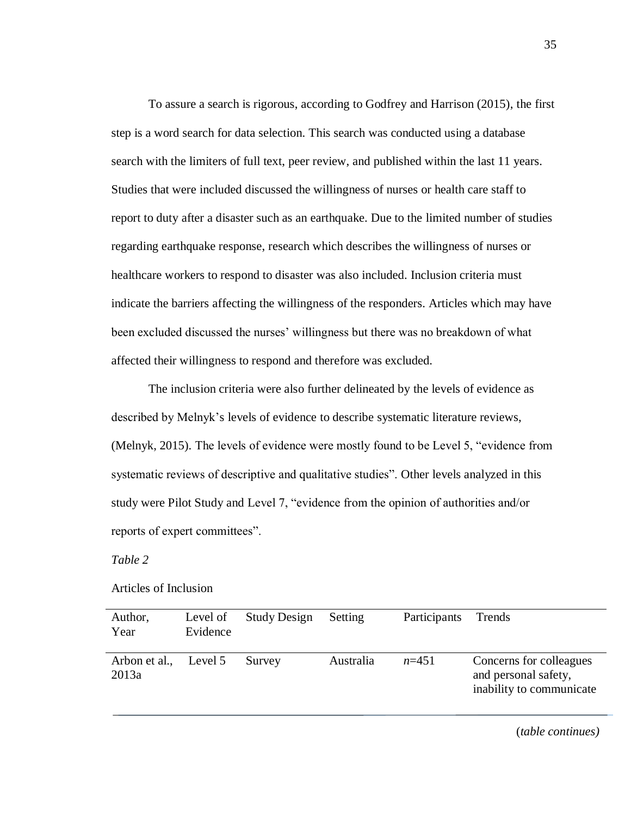To assure a search is rigorous, according to Godfrey and Harrison (2015), the first step is a word search for data selection. This search was conducted using a database search with the limiters of full text, peer review, and published within the last 11 years. Studies that were included discussed the willingness of nurses or health care staff to report to duty after a disaster such as an earthquake. Due to the limited number of studies regarding earthquake response, research which describes the willingness of nurses or healthcare workers to respond to disaster was also included. Inclusion criteria must indicate the barriers affecting the willingness of the responders. Articles which may have been excluded discussed the nurses' willingness but there was no breakdown of what affected their willingness to respond and therefore was excluded.

The inclusion criteria were also further delineated by the levels of evidence as described by Melnyk's levels of evidence to describe systematic literature reviews, (Melnyk, 2015). The levels of evidence were mostly found to be Level 5, "evidence from systematic reviews of descriptive and qualitative studies". Other levels analyzed in this study were Pilot Study and Level 7, "evidence from the opinion of authorities and/or reports of expert committees".

# *Table 2*

# Articles of Inclusion

| Author,<br>Year                | Level of<br>Evidence | <b>Study Design</b> | Setting   | Participants Trends |                                                                             |
|--------------------------------|----------------------|---------------------|-----------|---------------------|-----------------------------------------------------------------------------|
| Arbon et al., Level 5<br>2013a |                      | Survey              | Australia | $n=451$             | Concerns for colleagues<br>and personal safety,<br>inability to communicate |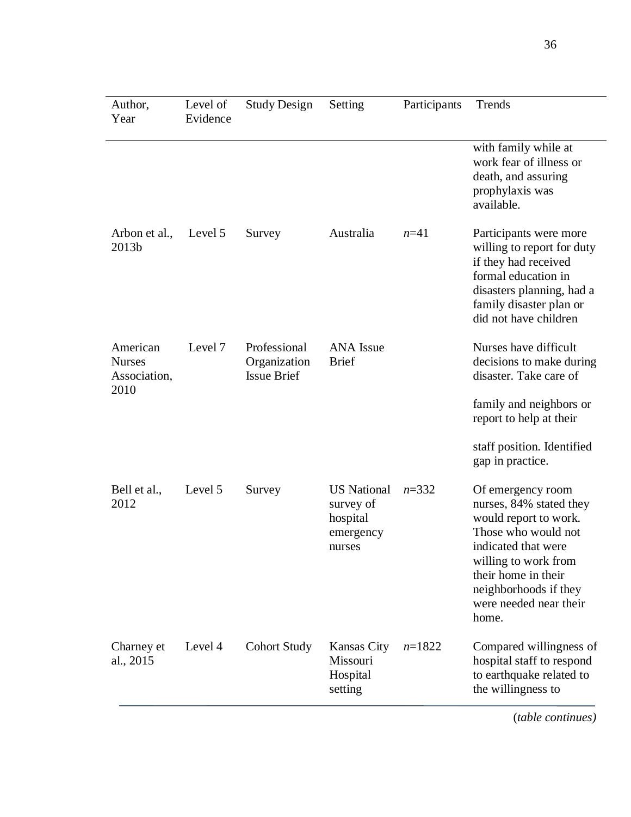| Author,<br>Year                                   | Level of<br>Evidence | <b>Study Design</b>                                | Setting                                                            | Participants | Trends                                                                                                                                                                                                                         |
|---------------------------------------------------|----------------------|----------------------------------------------------|--------------------------------------------------------------------|--------------|--------------------------------------------------------------------------------------------------------------------------------------------------------------------------------------------------------------------------------|
|                                                   |                      |                                                    |                                                                    |              | with family while at<br>work fear of illness or<br>death, and assuring<br>prophylaxis was<br>available.                                                                                                                        |
| Arbon et al.,<br>2013b                            | Level 5              | Survey                                             | Australia                                                          | $n = 41$     | Participants were more<br>willing to report for duty<br>if they had received<br>formal education in<br>disasters planning, had a<br>family disaster plan or<br>did not have children                                           |
| American<br><b>Nurses</b><br>Association,<br>2010 | Level 7              | Professional<br>Organization<br><b>Issue Brief</b> | <b>ANA</b> Issue<br><b>Brief</b>                                   |              | Nurses have difficult<br>decisions to make during<br>disaster. Take care of<br>family and neighbors or<br>report to help at their                                                                                              |
|                                                   |                      |                                                    |                                                                    |              | staff position. Identified<br>gap in practice.                                                                                                                                                                                 |
| Bell et al.,<br>2012                              | Level 5              | Survey                                             | <b>US</b> National<br>survey of<br>hospital<br>emergency<br>nurses | $n = 332$    | Of emergency room<br>nurses, 84% stated they<br>would report to work.<br>Those who would not<br>indicated that were<br>willing to work from<br>their home in their<br>neighborhoods if they<br>were needed near their<br>home. |
| Charney et<br>al., 2015                           | Level 4              | <b>Cohort Study</b>                                | <b>Kansas City</b><br>Missouri<br>Hospital<br>setting              | $n=1822$     | Compared willingness of<br>hospital staff to respond<br>to earthquake related to<br>the willingness to                                                                                                                         |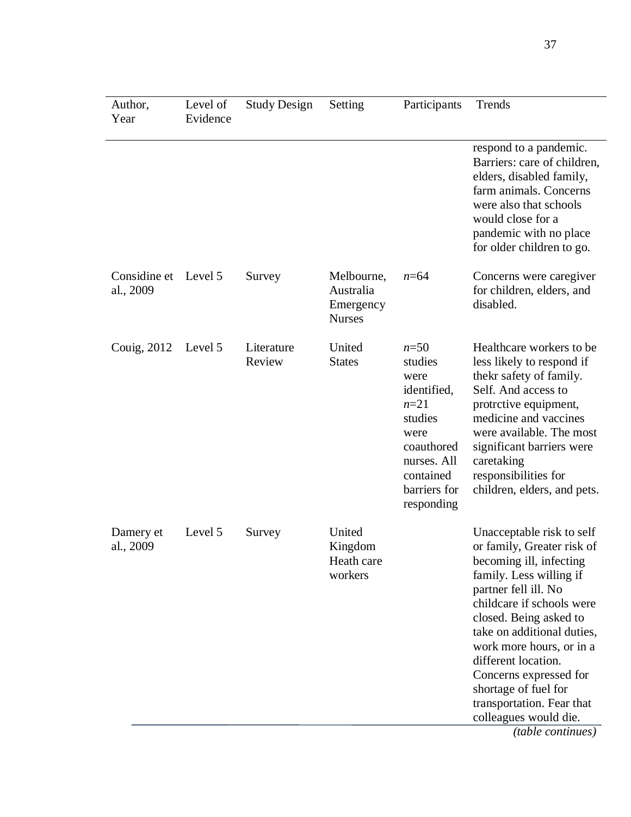| Author,<br>Year                   | Level of<br>Evidence | <b>Study Design</b>  | Setting                                               | Participants                                                                                                                                      | Trends                                                                                                                                                                                                                                                                                                                                                                                |
|-----------------------------------|----------------------|----------------------|-------------------------------------------------------|---------------------------------------------------------------------------------------------------------------------------------------------------|---------------------------------------------------------------------------------------------------------------------------------------------------------------------------------------------------------------------------------------------------------------------------------------------------------------------------------------------------------------------------------------|
|                                   |                      |                      |                                                       |                                                                                                                                                   | respond to a pandemic.<br>Barriers: care of children,<br>elders, disabled family,<br>farm animals. Concerns<br>were also that schools<br>would close for a<br>pandemic with no place<br>for older children to go.                                                                                                                                                                     |
| Considine et Level 5<br>al., 2009 |                      | Survey               | Melbourne,<br>Australia<br>Emergency<br><b>Nurses</b> | $n = 64$                                                                                                                                          | Concerns were caregiver<br>for children, elders, and<br>disabled.                                                                                                                                                                                                                                                                                                                     |
| Couig, 2012                       | Level 5              | Literature<br>Review | United<br><b>States</b>                               | $n = 50$<br>studies<br>were<br>identified,<br>$n = 21$<br>studies<br>were<br>coauthored<br>nurses. All<br>contained<br>barriers for<br>responding | Healthcare workers to be.<br>less likely to respond if<br>thekr safety of family.<br>Self. And access to<br>protrctive equipment,<br>medicine and vaccines<br>were available. The most<br>significant barriers were<br>caretaking<br>responsibilities for<br>children, elders, and pets.                                                                                              |
| Damery et<br>al., 2009            | Level 5              | Survey               | United<br>Kingdom<br>Heath care<br>workers            |                                                                                                                                                   | Unacceptable risk to self<br>or family, Greater risk of<br>becoming ill, infecting<br>family. Less willing if<br>partner fell ill. No<br>childcare if schools were<br>closed. Being asked to<br>take on additional duties,<br>work more hours, or in a<br>different location.<br>Concerns expressed for<br>shortage of fuel for<br>transportation. Fear that<br>colleagues would die. |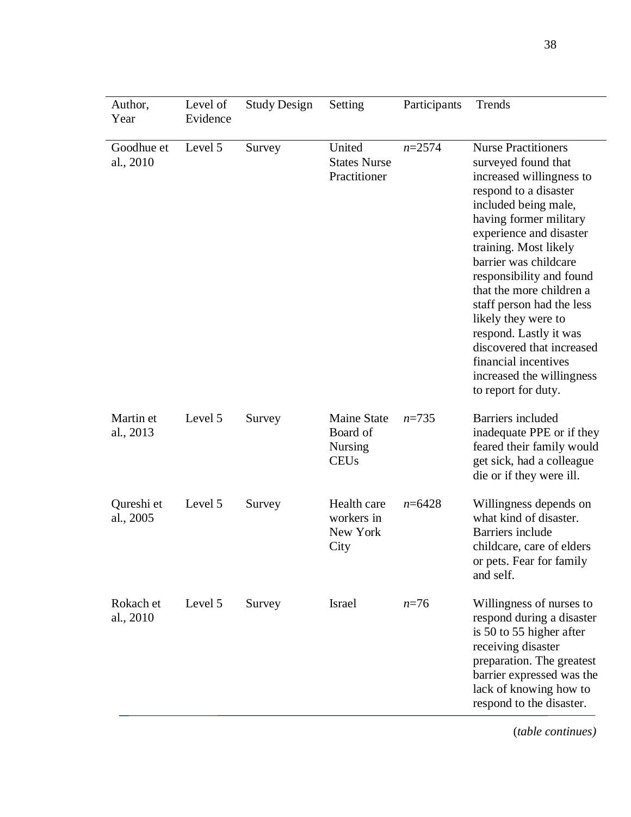| Author,<br>Year         | Level of<br>Evidence | <b>Study Design</b> | Setting                                                         | Participants | Trends                                                                                                                                                                                                                                                                                                                                                                                                                                                                               |
|-------------------------|----------------------|---------------------|-----------------------------------------------------------------|--------------|--------------------------------------------------------------------------------------------------------------------------------------------------------------------------------------------------------------------------------------------------------------------------------------------------------------------------------------------------------------------------------------------------------------------------------------------------------------------------------------|
| Goodhue et<br>al., 2010 | Level 5              | Survey              | United<br><b>States Nurse</b><br>Practitioner                   | $n = 2574$   | <b>Nurse Practitioners</b><br>surveyed found that<br>increased willingness to<br>respond to a disaster<br>included being male,<br>having former military<br>experience and disaster<br>training. Most likely<br>barrier was childcare<br>responsibility and found<br>that the more children a<br>staff person had the less<br>likely they were to<br>respond. Lastly it was<br>discovered that increased<br>financial incentives<br>increased the willingness<br>to report for duty. |
| Martin et<br>al., 2013  | Level 5              | Survey              | <b>Maine State</b><br>Board of<br><b>Nursing</b><br><b>CEUs</b> | $n = 735$    | Barriers included<br>inadequate PPE or if they<br>feared their family would<br>get sick, had a colleague<br>die or if they were ill.                                                                                                                                                                                                                                                                                                                                                 |
| Qureshi et<br>al., 2005 | Level 5              | Survey              | Health care<br>workers in<br>New York<br>City                   | $n = 6428$   | Willingness depends on<br>what kind of disaster.<br>Barriers include<br>childcare, care of elders<br>or pets. Fear for family<br>and self.                                                                                                                                                                                                                                                                                                                                           |
| Rokach et<br>al., 2010  | Level 5              | Survey              | Israel                                                          | $n = 76$     | Willingness of nurses to<br>respond during a disaster<br>is 50 to 55 higher after<br>receiving disaster<br>preparation. The greatest<br>barrier expressed was the<br>lack of knowing how to<br>respond to the disaster.                                                                                                                                                                                                                                                              |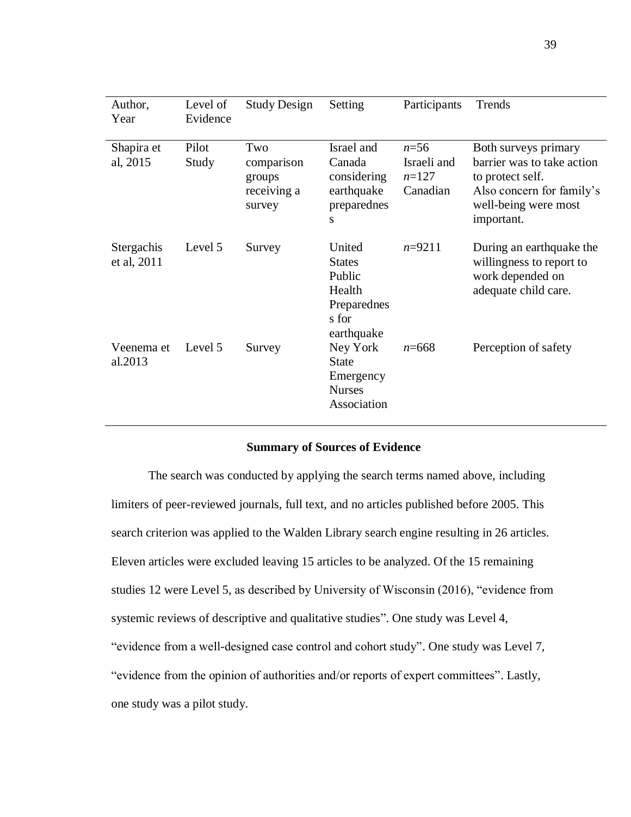| Author,<br>Year           | Level of<br>Evidence | <b>Study Design</b>                                  | Setting                                                                           | Participants                                   | Trends                                                                                                                                    |
|---------------------------|----------------------|------------------------------------------------------|-----------------------------------------------------------------------------------|------------------------------------------------|-------------------------------------------------------------------------------------------------------------------------------------------|
| Shapira et<br>al, 2015    | Pilot<br>Study       | Two<br>comparison<br>groups<br>receiving a<br>survey | Israel and<br>Canada<br>considering<br>earthquake<br>preparednes<br>S             | $n = 56$<br>Israeli and<br>$n=127$<br>Canadian | Both surveys primary<br>barrier was to take action<br>to protect self.<br>Also concern for family's<br>well-being were most<br>important. |
| Stergachis<br>et al, 2011 | Level 5              | Survey                                               | United<br><b>States</b><br>Public<br>Health<br>Preparednes<br>s for<br>earthquake | $n=9211$                                       | During an earthquake the<br>willingness to report to<br>work depended on<br>adequate child care.                                          |
| Veenema et<br>al.2013     | Level 5              | Survey                                               | Ney York<br><b>State</b><br>Emergency<br><b>Nurses</b><br>Association             | $n = 668$                                      | Perception of safety                                                                                                                      |

#### **Summary of Sources of Evidence**

The search was conducted by applying the search terms named above, including limiters of peer-reviewed journals, full text, and no articles published before 2005. This search criterion was applied to the Walden Library search engine resulting in 26 articles. Eleven articles were excluded leaving 15 articles to be analyzed. Of the 15 remaining studies 12 were Level 5, as described by University of Wisconsin (2016), "evidence from systemic reviews of descriptive and qualitative studies". One study was Level 4, "evidence from a well-designed case control and cohort study". One study was Level 7, "evidence from the opinion of authorities and/or reports of expert committees". Lastly, one study was a pilot study.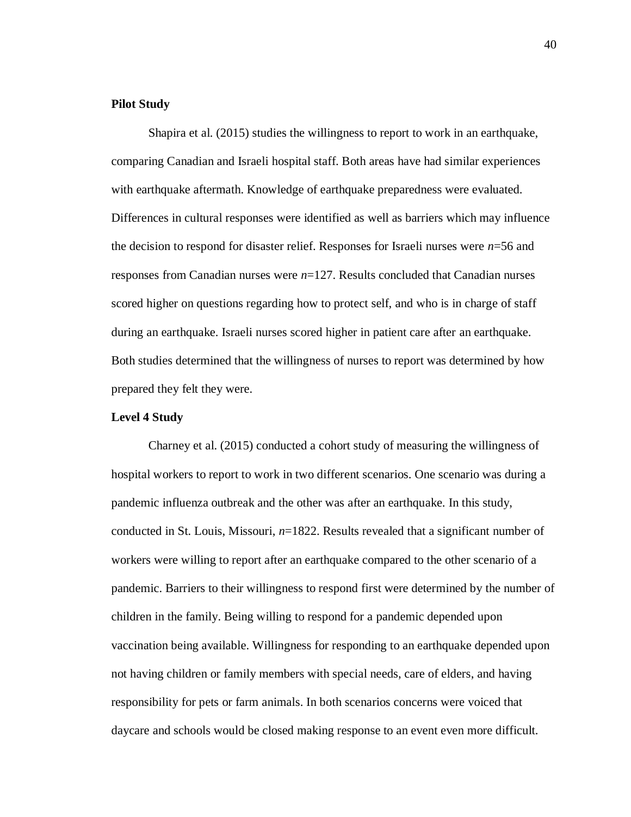# **Pilot Study**

Shapira et al. (2015) studies the willingness to report to work in an earthquake, comparing Canadian and Israeli hospital staff. Both areas have had similar experiences with earthquake aftermath. Knowledge of earthquake preparedness were evaluated. Differences in cultural responses were identified as well as barriers which may influence the decision to respond for disaster relief. Responses for Israeli nurses were *n*=56 and responses from Canadian nurses were *n*=127. Results concluded that Canadian nurses scored higher on questions regarding how to protect self, and who is in charge of staff during an earthquake. Israeli nurses scored higher in patient care after an earthquake. Both studies determined that the willingness of nurses to report was determined by how prepared they felt they were.

# **Level 4 Study**

Charney et al. (2015) conducted a cohort study of measuring the willingness of hospital workers to report to work in two different scenarios. One scenario was during a pandemic influenza outbreak and the other was after an earthquake. In this study, conducted in St. Louis, Missouri, *n*=1822. Results revealed that a significant number of workers were willing to report after an earthquake compared to the other scenario of a pandemic. Barriers to their willingness to respond first were determined by the number of children in the family. Being willing to respond for a pandemic depended upon vaccination being available. Willingness for responding to an earthquake depended upon not having children or family members with special needs, care of elders, and having responsibility for pets or farm animals. In both scenarios concerns were voiced that daycare and schools would be closed making response to an event even more difficult.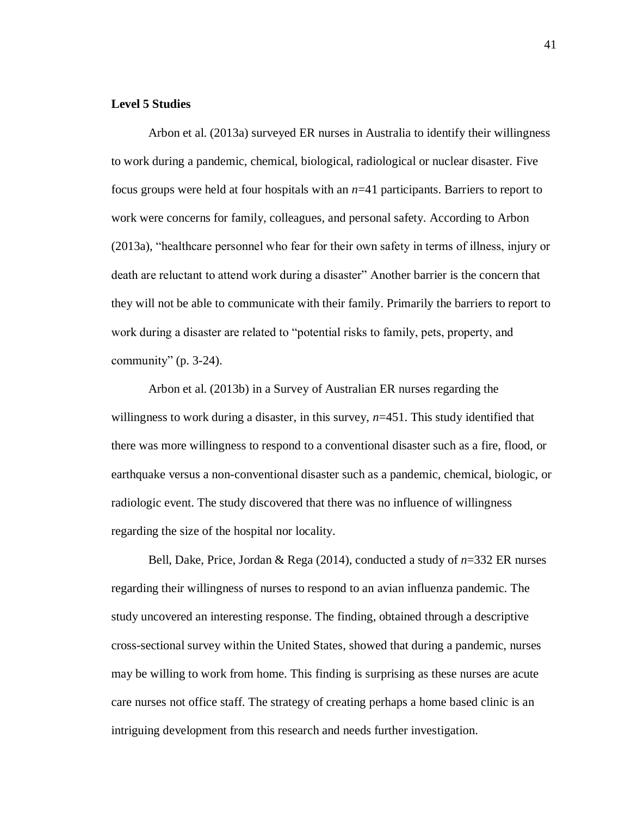# **Level 5 Studies**

Arbon et al. (2013a) surveyed ER nurses in Australia to identify their willingness to work during a pandemic, chemical, biological, radiological or nuclear disaster. Five focus groups were held at four hospitals with an *n*=41 participants. Barriers to report to work were concerns for family, colleagues, and personal safety. According to Arbon (2013a), "healthcare personnel who fear for their own safety in terms of illness, injury or death are reluctant to attend work during a disaster" Another barrier is the concern that they will not be able to communicate with their family. Primarily the barriers to report to work during a disaster are related to "potential risks to family, pets, property, and community"  $(p. 3-24)$ .

Arbon et al. (2013b) in a Survey of Australian ER nurses regarding the willingness to work during a disaster, in this survey,  $n=451$ . This study identified that there was more willingness to respond to a conventional disaster such as a fire, flood, or earthquake versus a non-conventional disaster such as a pandemic, chemical, biologic, or radiologic event. The study discovered that there was no influence of willingness regarding the size of the hospital nor locality.

Bell, Dake, Price, Jordan & Rega (2014), conducted a study of *n*=332 ER nurses regarding their willingness of nurses to respond to an avian influenza pandemic. The study uncovered an interesting response. The finding, obtained through a descriptive cross-sectional survey within the United States, showed that during a pandemic, nurses may be willing to work from home. This finding is surprising as these nurses are acute care nurses not office staff. The strategy of creating perhaps a home based clinic is an intriguing development from this research and needs further investigation.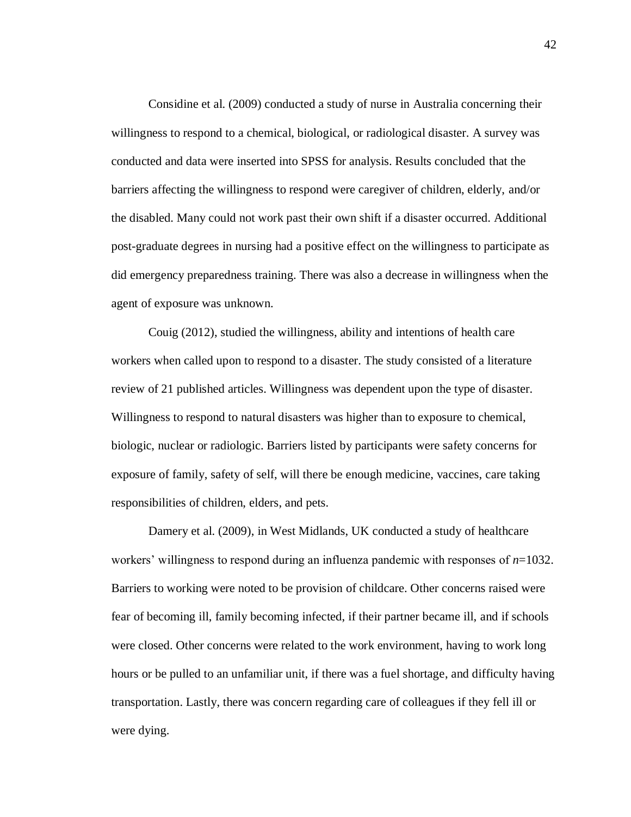Considine et al. (2009) conducted a study of nurse in Australia concerning their willingness to respond to a chemical, biological, or radiological disaster. A survey was conducted and data were inserted into SPSS for analysis. Results concluded that the barriers affecting the willingness to respond were caregiver of children, elderly, and/or the disabled. Many could not work past their own shift if a disaster occurred. Additional post-graduate degrees in nursing had a positive effect on the willingness to participate as did emergency preparedness training. There was also a decrease in willingness when the agent of exposure was unknown.

Couig (2012), studied the willingness, ability and intentions of health care workers when called upon to respond to a disaster. The study consisted of a literature review of 21 published articles. Willingness was dependent upon the type of disaster. Willingness to respond to natural disasters was higher than to exposure to chemical, biologic, nuclear or radiologic. Barriers listed by participants were safety concerns for exposure of family, safety of self, will there be enough medicine, vaccines, care taking responsibilities of children, elders, and pets.

Damery et al. (2009), in West Midlands, UK conducted a study of healthcare workers' willingness to respond during an influenza pandemic with responses of *n*=1032. Barriers to working were noted to be provision of childcare. Other concerns raised were fear of becoming ill, family becoming infected, if their partner became ill, and if schools were closed. Other concerns were related to the work environment, having to work long hours or be pulled to an unfamiliar unit, if there was a fuel shortage, and difficulty having transportation. Lastly, there was concern regarding care of colleagues if they fell ill or were dying.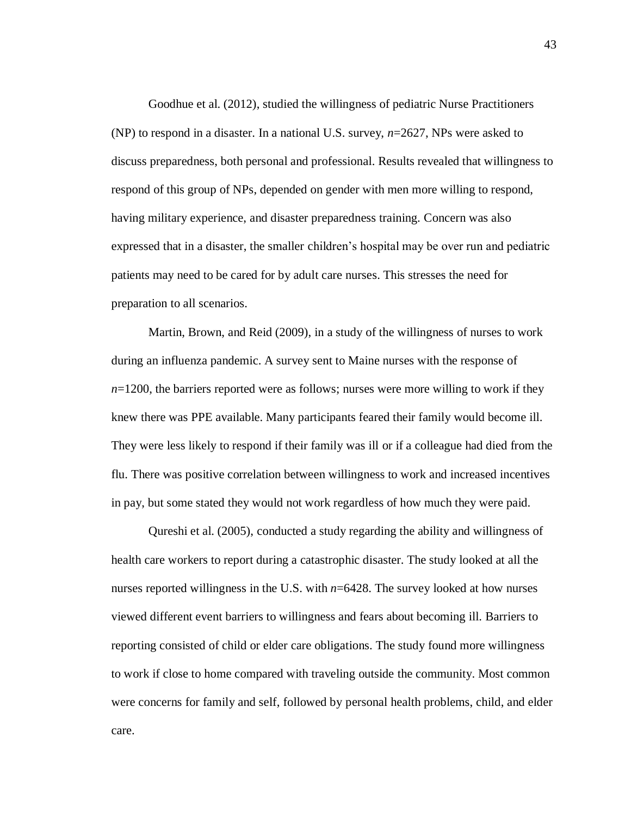Goodhue et al. (2012), studied the willingness of pediatric Nurse Practitioners (NP) to respond in a disaster. In a national U.S. survey, *n*=2627, NPs were asked to discuss preparedness, both personal and professional. Results revealed that willingness to respond of this group of NPs, depended on gender with men more willing to respond, having military experience, and disaster preparedness training. Concern was also expressed that in a disaster, the smaller children's hospital may be over run and pediatric patients may need to be cared for by adult care nurses. This stresses the need for preparation to all scenarios.

Martin, Brown, and Reid (2009), in a study of the willingness of nurses to work during an influenza pandemic. A survey sent to Maine nurses with the response of  $n=1200$ , the barriers reported were as follows; nurses were more willing to work if they knew there was PPE available. Many participants feared their family would become ill. They were less likely to respond if their family was ill or if a colleague had died from the flu. There was positive correlation between willingness to work and increased incentives in pay, but some stated they would not work regardless of how much they were paid.

Qureshi et al. (2005), conducted a study regarding the ability and willingness of health care workers to report during a catastrophic disaster. The study looked at all the nurses reported willingness in the U.S. with *n*=6428. The survey looked at how nurses viewed different event barriers to willingness and fears about becoming ill. Barriers to reporting consisted of child or elder care obligations. The study found more willingness to work if close to home compared with traveling outside the community. Most common were concerns for family and self, followed by personal health problems, child, and elder care.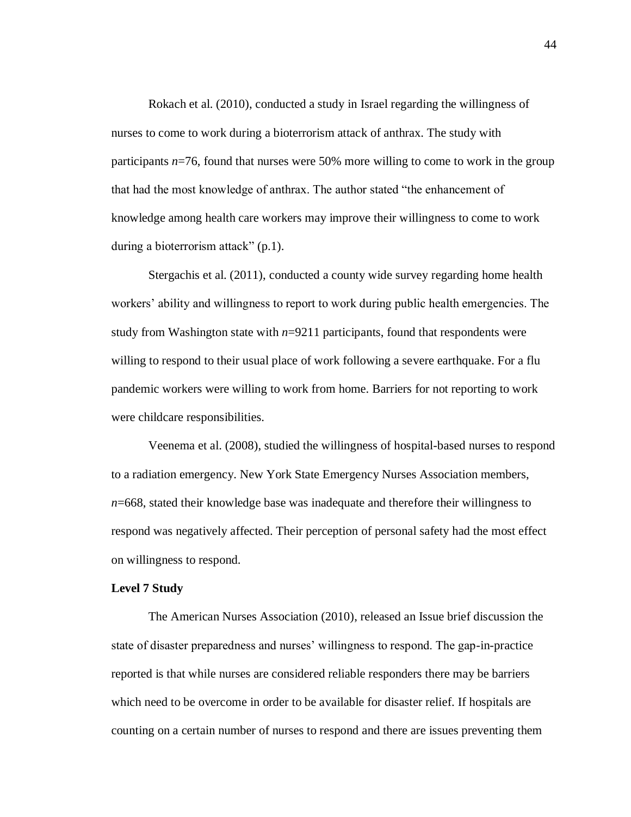Rokach et al. (2010), conducted a study in Israel regarding the willingness of nurses to come to work during a bioterrorism attack of anthrax. The study with participants *n*=76, found that nurses were 50% more willing to come to work in the group that had the most knowledge of anthrax. The author stated "the enhancement of knowledge among health care workers may improve their willingness to come to work during a bioterrorism attack" (p.1).

Stergachis et al. (2011), conducted a county wide survey regarding home health workers' ability and willingness to report to work during public health emergencies. The study from Washington state with  $n=9211$  participants, found that respondents were willing to respond to their usual place of work following a severe earthquake. For a flu pandemic workers were willing to work from home. Barriers for not reporting to work were childcare responsibilities.

Veenema et al. (2008), studied the willingness of hospital-based nurses to respond to a radiation emergency. New York State Emergency Nurses Association members, *n*=668, stated their knowledge base was inadequate and therefore their willingness to respond was negatively affected. Their perception of personal safety had the most effect on willingness to respond.

#### **Level 7 Study**

The American Nurses Association (2010), released an Issue brief discussion the state of disaster preparedness and nurses' willingness to respond. The gap-in-practice reported is that while nurses are considered reliable responders there may be barriers which need to be overcome in order to be available for disaster relief. If hospitals are counting on a certain number of nurses to respond and there are issues preventing them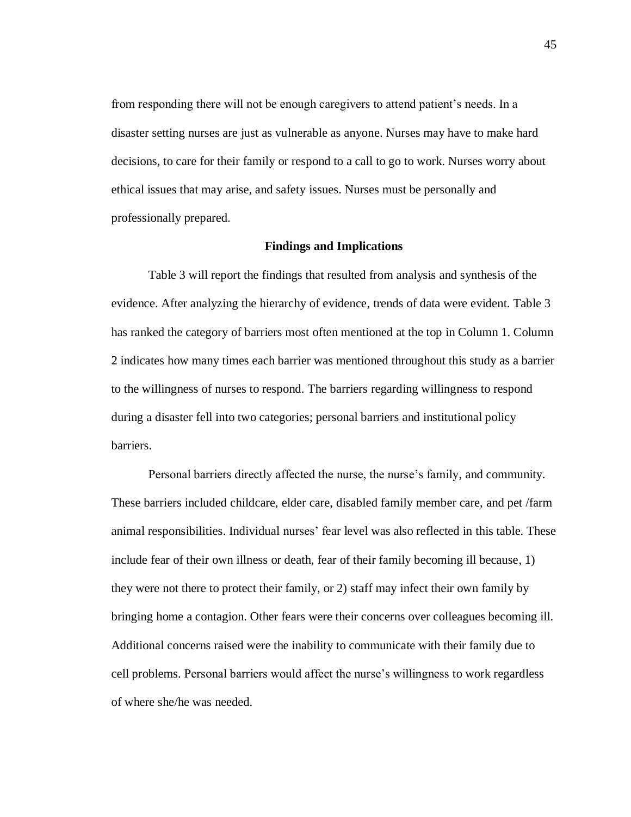from responding there will not be enough caregivers to attend patient's needs. In a disaster setting nurses are just as vulnerable as anyone. Nurses may have to make hard decisions, to care for their family or respond to a call to go to work. Nurses worry about ethical issues that may arise, and safety issues. Nurses must be personally and professionally prepared.

# **Findings and Implications**

Table 3 will report the findings that resulted from analysis and synthesis of the evidence. After analyzing the hierarchy of evidence, trends of data were evident. Table 3 has ranked the category of barriers most often mentioned at the top in Column 1. Column 2 indicates how many times each barrier was mentioned throughout this study as a barrier to the willingness of nurses to respond. The barriers regarding willingness to respond during a disaster fell into two categories; personal barriers and institutional policy barriers.

Personal barriers directly affected the nurse, the nurse's family, and community. These barriers included childcare, elder care, disabled family member care, and pet /farm animal responsibilities. Individual nurses' fear level was also reflected in this table. These include fear of their own illness or death, fear of their family becoming ill because, 1) they were not there to protect their family, or 2) staff may infect their own family by bringing home a contagion. Other fears were their concerns over colleagues becoming ill. Additional concerns raised were the inability to communicate with their family due to cell problems. Personal barriers would affect the nurse's willingness to work regardless of where she/he was needed.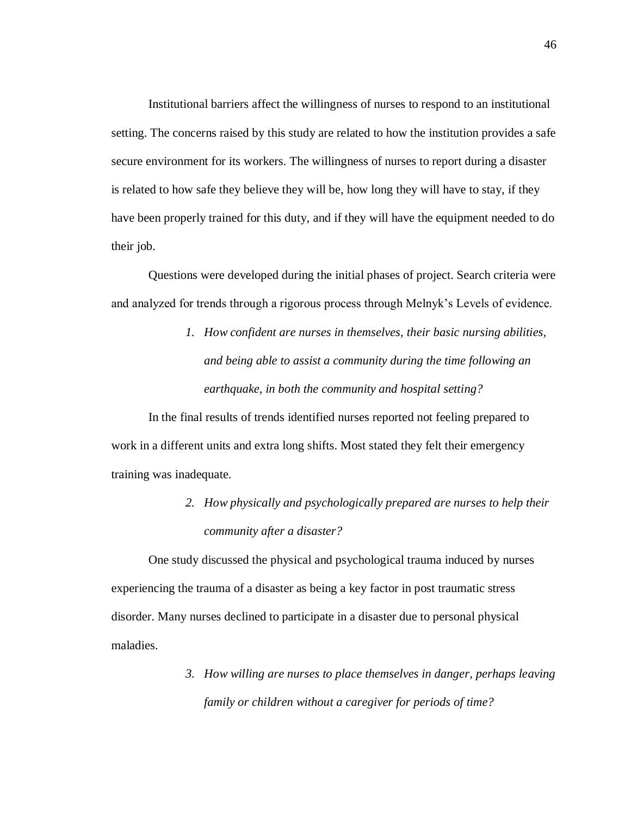Institutional barriers affect the willingness of nurses to respond to an institutional setting. The concerns raised by this study are related to how the institution provides a safe secure environment for its workers. The willingness of nurses to report during a disaster is related to how safe they believe they will be, how long they will have to stay, if they have been properly trained for this duty, and if they will have the equipment needed to do their job.

Questions were developed during the initial phases of project. Search criteria were and analyzed for trends through a rigorous process through Melnyk's Levels of evidence.

> *1. How confident are nurses in themselves, their basic nursing abilities, and being able to assist a community during the time following an earthquake, in both the community and hospital setting?*

In the final results of trends identified nurses reported not feeling prepared to work in a different units and extra long shifts. Most stated they felt their emergency training was inadequate.

> *2. How physically and psychologically prepared are nurses to help their community after a disaster?*

One study discussed the physical and psychological trauma induced by nurses experiencing the trauma of a disaster as being a key factor in post traumatic stress disorder. Many nurses declined to participate in a disaster due to personal physical maladies.

> *3. How willing are nurses to place themselves in danger, perhaps leaving family or children without a caregiver for periods of time?*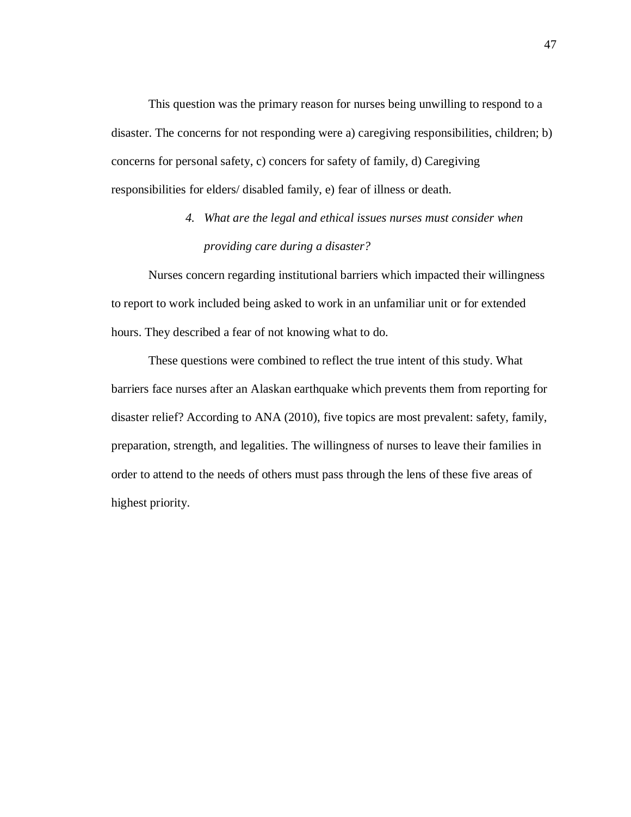This question was the primary reason for nurses being unwilling to respond to a disaster. The concerns for not responding were a) caregiving responsibilities, children; b) concerns for personal safety, c) concers for safety of family, d) Caregiving responsibilities for elders/ disabled family, e) fear of illness or death.

# *4. What are the legal and ethical issues nurses must consider when providing care during a disaster?*

Nurses concern regarding institutional barriers which impacted their willingness to report to work included being asked to work in an unfamiliar unit or for extended hours. They described a fear of not knowing what to do.

These questions were combined to reflect the true intent of this study. What barriers face nurses after an Alaskan earthquake which prevents them from reporting for disaster relief? According to ANA (2010), five topics are most prevalent: safety, family, preparation, strength, and legalities. The willingness of nurses to leave their families in order to attend to the needs of others must pass through the lens of these five areas of highest priority.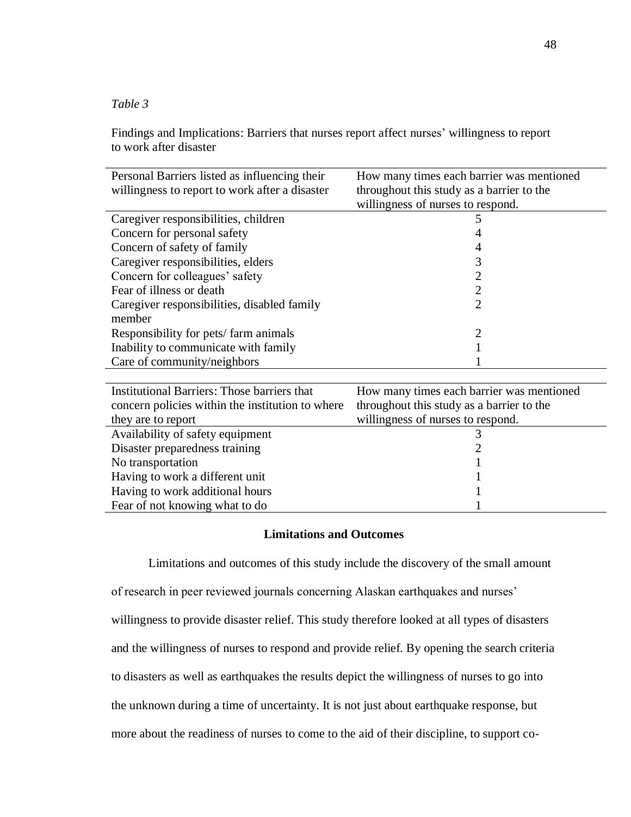# *Table 3*

Findings and Implications: Barriers that nurses report affect nurses' willingness to report to work after disaster

| Personal Barriers listed as influencing their    | How many times each barrier was mentioned |
|--------------------------------------------------|-------------------------------------------|
| willingness to report to work after a disaster   | throughout this study as a barrier to the |
|                                                  | willingness of nurses to respond.         |
| Caregiver responsibilities, children             |                                           |
| Concern for personal safety                      |                                           |
| Concern of safety of family                      |                                           |
| Caregiver responsibilities, elders               | 3                                         |
| Concern for colleagues' safety                   |                                           |
| Fear of illness or death                         | 2                                         |
| Caregiver responsibilities, disabled family      | $\mathcal{D}_{\mathcal{L}}$               |
| member                                           |                                           |
| Responsibility for pets/farm animals             | 2                                         |
| Inability to communicate with family             |                                           |
| Care of community/neighbors                      |                                           |
|                                                  |                                           |
| Institutional Barriers: Those barriers that      | How many times each barrier was mentioned |
| concern policies within the institution to where | throughout this study as a barrier to the |
| they are to report                               | willingness of nurses to respond.         |
| Availability of safety equipment                 | 3                                         |
| Disaster preparedness training                   |                                           |
| No transportation                                |                                           |
| Having to work a different unit                  |                                           |

# **Limitations and Outcomes**

Having to work additional hours 1 Fear of not knowing what to do 1

Limitations and outcomes of this study include the discovery of the small amount of research in peer reviewed journals concerning Alaskan earthquakes and nurses' willingness to provide disaster relief. This study therefore looked at all types of disasters and the willingness of nurses to respond and provide relief. By opening the search criteria to disasters as well as earthquakes the results depict the willingness of nurses to go into the unknown during a time of uncertainty. It is not just about earthquake response, but more about the readiness of nurses to come to the aid of their discipline, to support co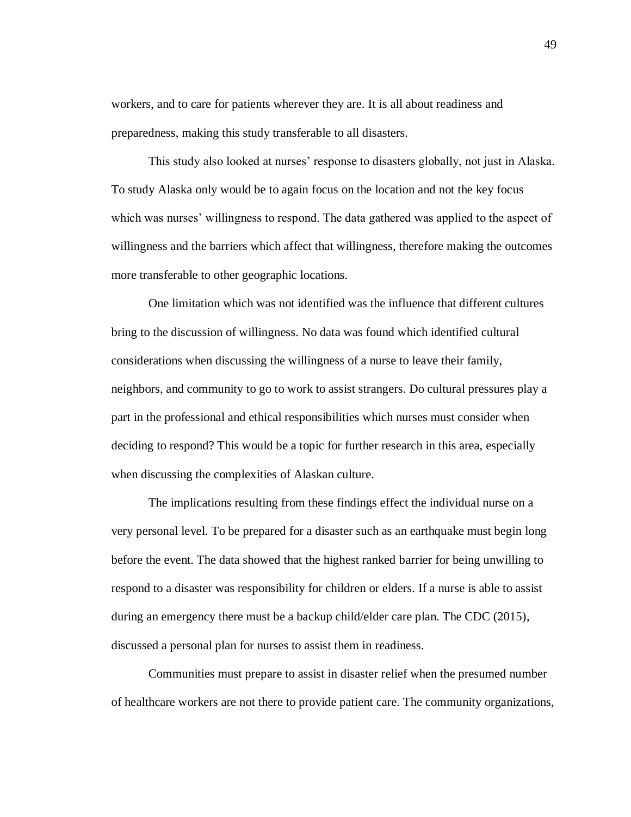workers, and to care for patients wherever they are. It is all about readiness and preparedness, making this study transferable to all disasters.

This study also looked at nurses' response to disasters globally, not just in Alaska. To study Alaska only would be to again focus on the location and not the key focus which was nurses' willingness to respond. The data gathered was applied to the aspect of willingness and the barriers which affect that willingness, therefore making the outcomes more transferable to other geographic locations.

One limitation which was not identified was the influence that different cultures bring to the discussion of willingness. No data was found which identified cultural considerations when discussing the willingness of a nurse to leave their family, neighbors, and community to go to work to assist strangers. Do cultural pressures play a part in the professional and ethical responsibilities which nurses must consider when deciding to respond? This would be a topic for further research in this area, especially when discussing the complexities of Alaskan culture.

The implications resulting from these findings effect the individual nurse on a very personal level. To be prepared for a disaster such as an earthquake must begin long before the event. The data showed that the highest ranked barrier for being unwilling to respond to a disaster was responsibility for children or elders. If a nurse is able to assist during an emergency there must be a backup child/elder care plan. The CDC (2015), discussed a personal plan for nurses to assist them in readiness.

Communities must prepare to assist in disaster relief when the presumed number of healthcare workers are not there to provide patient care. The community organizations,

49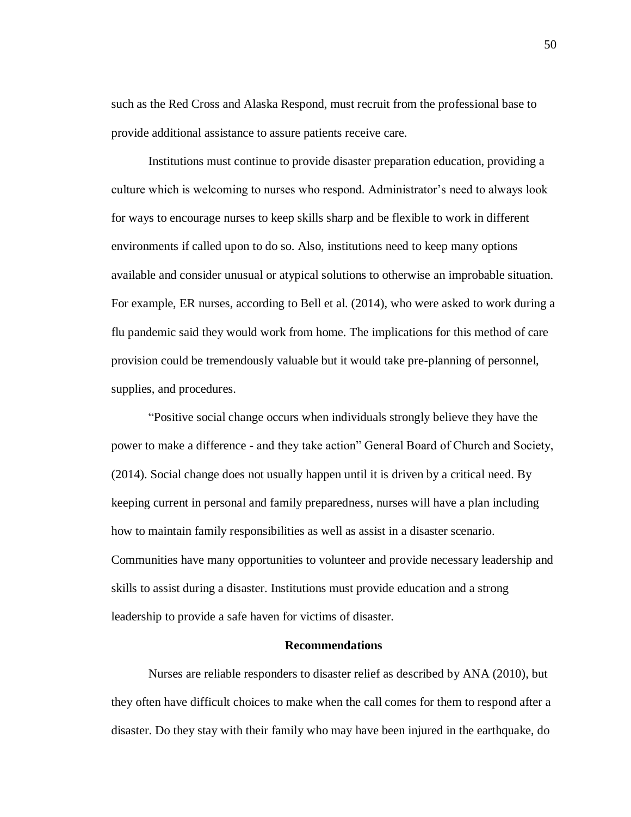such as the Red Cross and Alaska Respond, must recruit from the professional base to provide additional assistance to assure patients receive care.

Institutions must continue to provide disaster preparation education, providing a culture which is welcoming to nurses who respond. Administrator's need to always look for ways to encourage nurses to keep skills sharp and be flexible to work in different environments if called upon to do so. Also, institutions need to keep many options available and consider unusual or atypical solutions to otherwise an improbable situation. For example, ER nurses, according to Bell et al. (2014), who were asked to work during a flu pandemic said they would work from home. The implications for this method of care provision could be tremendously valuable but it would take pre-planning of personnel, supplies, and procedures.

"Positive social change occurs when individuals strongly believe they have the power to make a difference - and they take action" General Board of Church and Society, (2014). Social change does not usually happen until it is driven by a critical need. By keeping current in personal and family preparedness, nurses will have a plan including how to maintain family responsibilities as well as assist in a disaster scenario. Communities have many opportunities to volunteer and provide necessary leadership and skills to assist during a disaster. Institutions must provide education and a strong leadership to provide a safe haven for victims of disaster.

#### **Recommendations**

Nurses are reliable responders to disaster relief as described by ANA (2010), but they often have difficult choices to make when the call comes for them to respond after a disaster. Do they stay with their family who may have been injured in the earthquake, do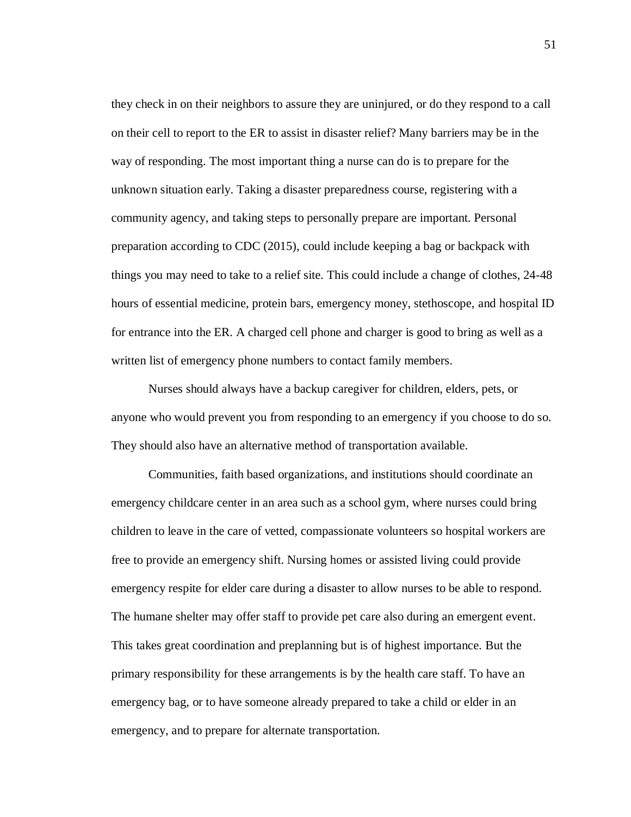they check in on their neighbors to assure they are uninjured, or do they respond to a call on their cell to report to the ER to assist in disaster relief? Many barriers may be in the way of responding. The most important thing a nurse can do is to prepare for the unknown situation early. Taking a disaster preparedness course, registering with a community agency, and taking steps to personally prepare are important. Personal preparation according to CDC (2015), could include keeping a bag or backpack with things you may need to take to a relief site. This could include a change of clothes, 24-48 hours of essential medicine, protein bars, emergency money, stethoscope, and hospital ID for entrance into the ER. A charged cell phone and charger is good to bring as well as a written list of emergency phone numbers to contact family members.

Nurses should always have a backup caregiver for children, elders, pets, or anyone who would prevent you from responding to an emergency if you choose to do so. They should also have an alternative method of transportation available.

Communities, faith based organizations, and institutions should coordinate an emergency childcare center in an area such as a school gym, where nurses could bring children to leave in the care of vetted, compassionate volunteers so hospital workers are free to provide an emergency shift. Nursing homes or assisted living could provide emergency respite for elder care during a disaster to allow nurses to be able to respond. The humane shelter may offer staff to provide pet care also during an emergent event. This takes great coordination and preplanning but is of highest importance. But the primary responsibility for these arrangements is by the health care staff. To have an emergency bag, or to have someone already prepared to take a child or elder in an emergency, and to prepare for alternate transportation.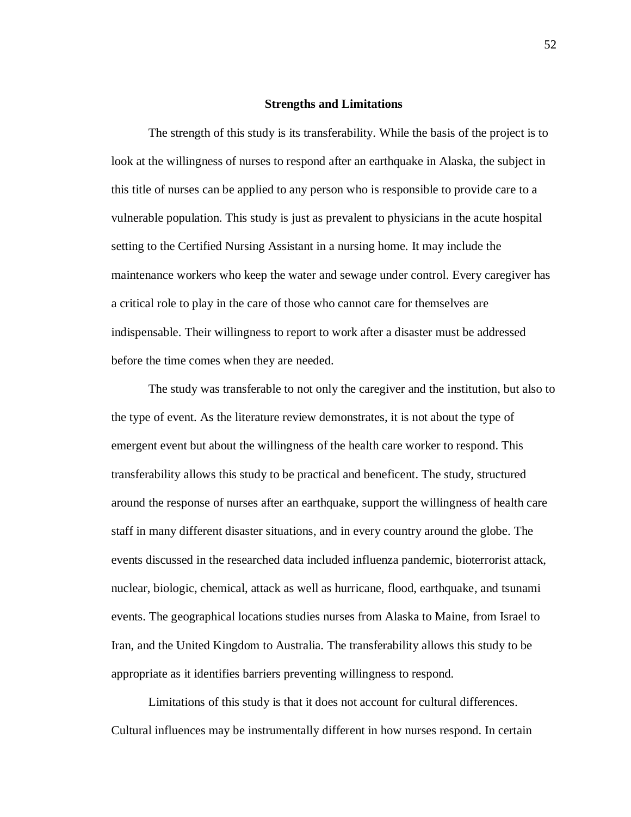# **Strengths and Limitations**

The strength of this study is its transferability. While the basis of the project is to look at the willingness of nurses to respond after an earthquake in Alaska, the subject in this title of nurses can be applied to any person who is responsible to provide care to a vulnerable population. This study is just as prevalent to physicians in the acute hospital setting to the Certified Nursing Assistant in a nursing home. It may include the maintenance workers who keep the water and sewage under control. Every caregiver has a critical role to play in the care of those who cannot care for themselves are indispensable. Their willingness to report to work after a disaster must be addressed before the time comes when they are needed.

The study was transferable to not only the caregiver and the institution, but also to the type of event. As the literature review demonstrates, it is not about the type of emergent event but about the willingness of the health care worker to respond. This transferability allows this study to be practical and beneficent. The study, structured around the response of nurses after an earthquake, support the willingness of health care staff in many different disaster situations, and in every country around the globe. The events discussed in the researched data included influenza pandemic, bioterrorist attack, nuclear, biologic, chemical, attack as well as hurricane, flood, earthquake, and tsunami events. The geographical locations studies nurses from Alaska to Maine, from Israel to Iran, and the United Kingdom to Australia. The transferability allows this study to be appropriate as it identifies barriers preventing willingness to respond.

Limitations of this study is that it does not account for cultural differences. Cultural influences may be instrumentally different in how nurses respond. In certain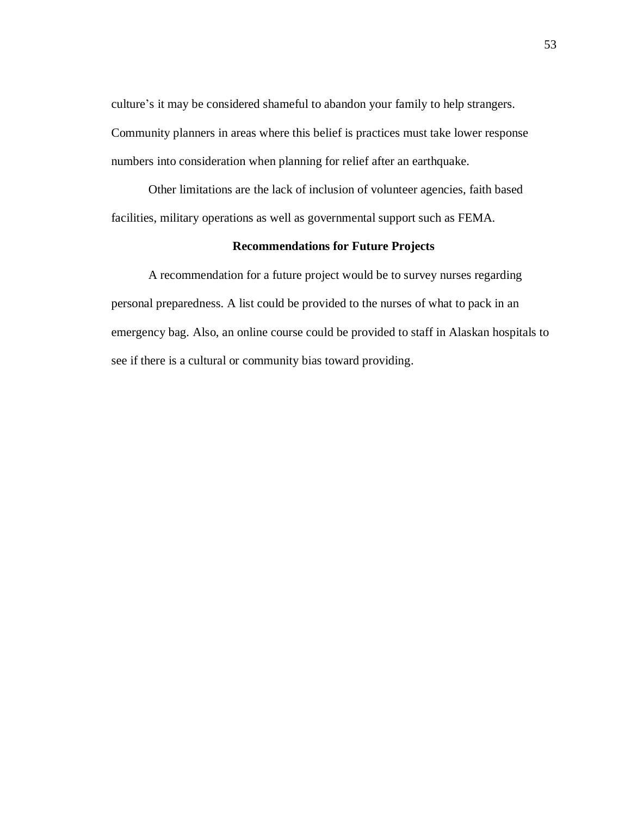culture's it may be considered shameful to abandon your family to help strangers. Community planners in areas where this belief is practices must take lower response numbers into consideration when planning for relief after an earthquake.

Other limitations are the lack of inclusion of volunteer agencies, faith based facilities, military operations as well as governmental support such as FEMA.

# **Recommendations for Future Projects**

A recommendation for a future project would be to survey nurses regarding personal preparedness. A list could be provided to the nurses of what to pack in an emergency bag. Also, an online course could be provided to staff in Alaskan hospitals to see if there is a cultural or community bias toward providing.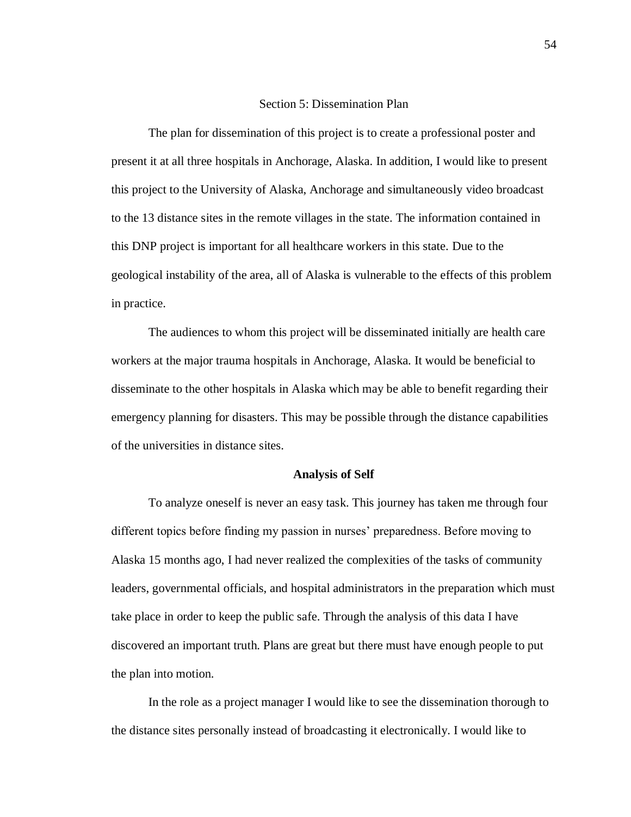# Section 5: Dissemination Plan

The plan for dissemination of this project is to create a professional poster and present it at all three hospitals in Anchorage, Alaska. In addition, I would like to present this project to the University of Alaska, Anchorage and simultaneously video broadcast to the 13 distance sites in the remote villages in the state. The information contained in this DNP project is important for all healthcare workers in this state. Due to the geological instability of the area, all of Alaska is vulnerable to the effects of this problem in practice.

The audiences to whom this project will be disseminated initially are health care workers at the major trauma hospitals in Anchorage, Alaska. It would be beneficial to disseminate to the other hospitals in Alaska which may be able to benefit regarding their emergency planning for disasters. This may be possible through the distance capabilities of the universities in distance sites.

#### **Analysis of Self**

To analyze oneself is never an easy task. This journey has taken me through four different topics before finding my passion in nurses' preparedness. Before moving to Alaska 15 months ago, I had never realized the complexities of the tasks of community leaders, governmental officials, and hospital administrators in the preparation which must take place in order to keep the public safe. Through the analysis of this data I have discovered an important truth. Plans are great but there must have enough people to put the plan into motion.

In the role as a project manager I would like to see the dissemination thorough to the distance sites personally instead of broadcasting it electronically. I would like to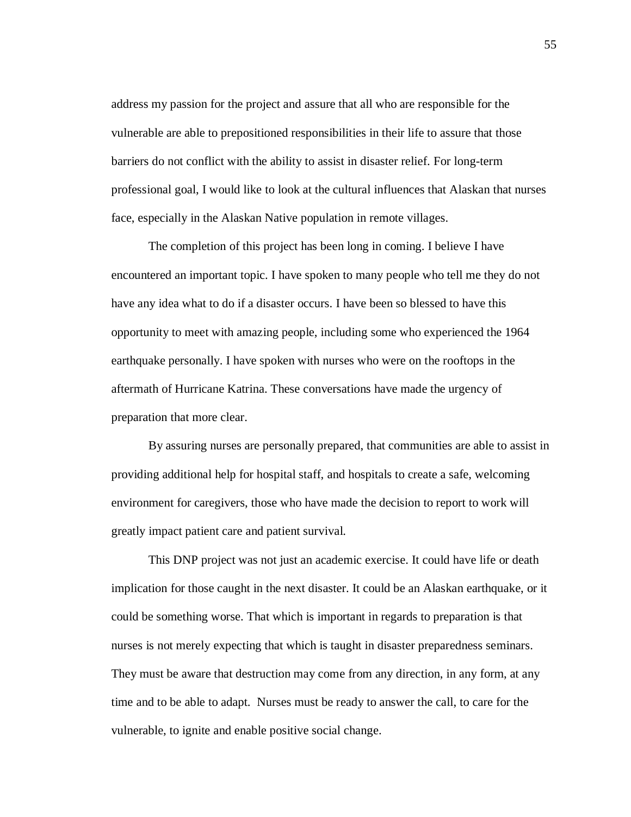address my passion for the project and assure that all who are responsible for the vulnerable are able to prepositioned responsibilities in their life to assure that those barriers do not conflict with the ability to assist in disaster relief. For long-term professional goal, I would like to look at the cultural influences that Alaskan that nurses face, especially in the Alaskan Native population in remote villages.

The completion of this project has been long in coming. I believe I have encountered an important topic. I have spoken to many people who tell me they do not have any idea what to do if a disaster occurs. I have been so blessed to have this opportunity to meet with amazing people, including some who experienced the 1964 earthquake personally. I have spoken with nurses who were on the rooftops in the aftermath of Hurricane Katrina. These conversations have made the urgency of preparation that more clear.

By assuring nurses are personally prepared, that communities are able to assist in providing additional help for hospital staff, and hospitals to create a safe, welcoming environment for caregivers, those who have made the decision to report to work will greatly impact patient care and patient survival.

This DNP project was not just an academic exercise. It could have life or death implication for those caught in the next disaster. It could be an Alaskan earthquake, or it could be something worse. That which is important in regards to preparation is that nurses is not merely expecting that which is taught in disaster preparedness seminars. They must be aware that destruction may come from any direction, in any form, at any time and to be able to adapt. Nurses must be ready to answer the call, to care for the vulnerable, to ignite and enable positive social change.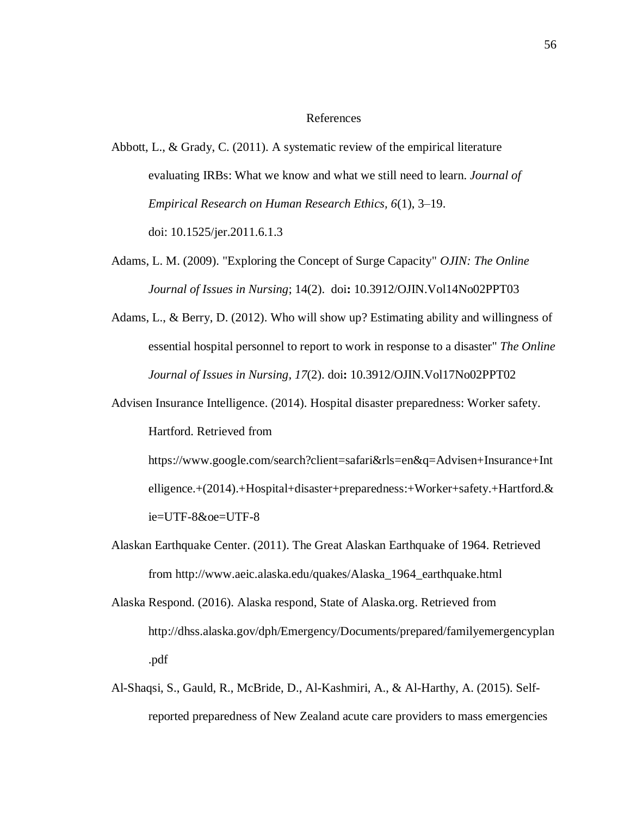### References

- Abbott, L., & Grady, C. (2011). A systematic review of the empirical literature evaluating IRBs: What we know and what we still need to learn. *Journal of Empirical Research on Human Research Ethics, 6*(1), 3–19. doi: 10.1525/jer.2011.6.1.3
- Adams, L. M. (2009). "Exploring the Concept of Surge Capacity" *OJIN: The Online Journal of Issues in Nursing*; 14(2). doi**:** 10.3912/OJIN.Vol14No02PPT03
- Adams, L., & Berry, D. (2012). Who will show up? Estimating ability and willingness of essential hospital personnel to report to work in response to a disaster" *The Online Journal of Issues in Nursing, 17*(2). doi**:** 10.3912/OJIN.Vol17No02PPT02
- Advisen Insurance Intelligence. (2014). Hospital disaster preparedness: Worker safety. Hartford. Retrieved from

[https://www.google.com/search?client=safari&rls=en&q=Advisen+Insurance+Int](https://www.google.com/search?client=safari&rls=en&q=Advisen+Insurance+Intelligence.+(2014).+Hospital+disaster+preparedness:+Worker+safety.+Hartford.&ie=UTF-8&oe=UTF-8) [elligence.+\(2014\).+Hospital+disaster+preparedness:+Worker+safety.+Hartford.&](https://www.google.com/search?client=safari&rls=en&q=Advisen+Insurance+Intelligence.+(2014).+Hospital+disaster+preparedness:+Worker+safety.+Hartford.&ie=UTF-8&oe=UTF-8) [ie=UTF-8&oe=UTF-8](https://www.google.com/search?client=safari&rls=en&q=Advisen+Insurance+Intelligence.+(2014).+Hospital+disaster+preparedness:+Worker+safety.+Hartford.&ie=UTF-8&oe=UTF-8)

- Alaskan Earthquake Center. (2011). The Great Alaskan Earthquake of 1964. Retrieved from http://www.aeic.alaska.edu/quakes/Alaska\_1964\_earthquake.html
- Alaska Respond. (2016). Alaska respond, State of Alaska.org. Retrieved from <http://dhss.alaska.gov/dph/Emergency/Documents/prepared/familyemergencyplan> .pdf
- Al-Shaqsi, S., Gauld, R., McBride, D., Al-Kashmiri, A., & Al-Harthy, A. (2015). Selfreported preparedness of New Zealand acute care providers to mass emergencies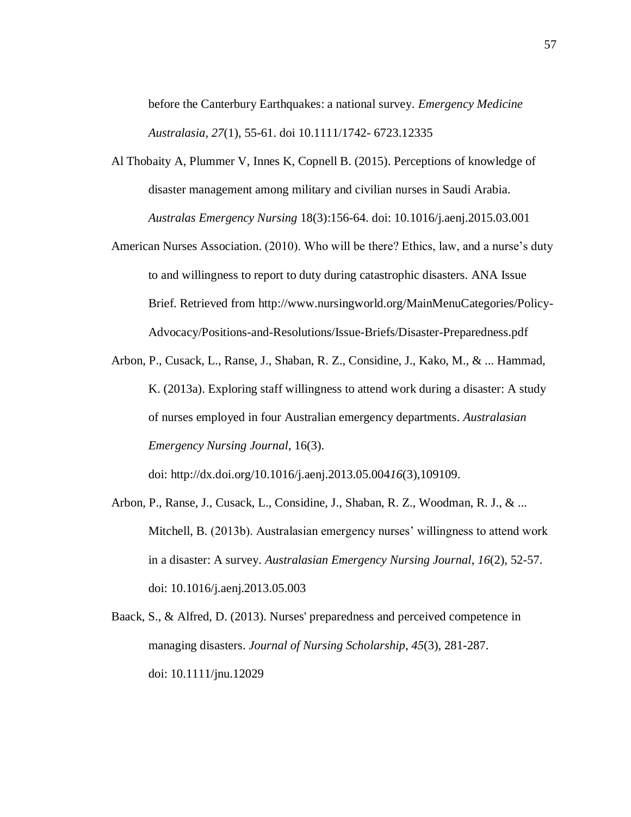before the Canterbury Earthquakes: a national survey. *Emergency Medicine Australasia*, *27*(1), 55-61. doi 10.1111/1742- 6723.12335

- [Al Thobaity A,](https://www.ncbi.nlm.nih.gov/pubmed/?term=Al%20Thobaity%20A%5BAuthor%5D&cauthor=true&cauthor_uid=25864385) [Plummer V,](https://www.ncbi.nlm.nih.gov/pubmed/?term=Plummer%20V%5BAuthor%5D&cauthor=true&cauthor_uid=25864385) [Innes K,](https://www.ncbi.nlm.nih.gov/pubmed/?term=Innes%20K%5BAuthor%5D&cauthor=true&cauthor_uid=25864385) [Copnell B.](https://www.ncbi.nlm.nih.gov/pubmed/?term=Copnell%20B%5BAuthor%5D&cauthor=true&cauthor_uid=25864385) (2015). Perceptions of knowledge of disaster management among military and civilian nurses in Saudi Arabia. *Australas Emergency Nursing* 18(3):156-64. doi: 10.1016/j.aenj.2015.03.001
- American Nurses Association. (2010). Who will be there? Ethics, law, and a nurse's duty to and willingness to report to duty during catastrophic disasters. ANA Issue Brief. Retrieved from [http://www.nursingworld.org/MainMenuCategories/Policy-](http://www.nursingworld.org/MainMenuCategories/Policy-Advocacy/Positions-and-Resolutions/Issue-Briefs/Disaster-Preparedness.pdf)[Advocacy/Positions-and-Resolutions/Issue-Briefs/Disaster-Preparedness.pdf](http://www.nursingworld.org/MainMenuCategories/Policy-Advocacy/Positions-and-Resolutions/Issue-Briefs/Disaster-Preparedness.pdf)
- Arbon, P., Cusack, L., Ranse, J., Shaban, R. Z., Considine, J., Kako, M., & ... Hammad, K. (2013a). Exploring staff willingness to attend work during a disaster: A study of nurses employed in four Australian emergency departments. *Australasian Emergency Nursing Journal*, 16(3).

doi: <http://dx.doi.org/10.1016/j.aenj.2013.05.004>*16*(3),109109.

- Arbon, P., Ranse, J., Cusack, L., Considine, J., Shaban, R. Z., Woodman, R. J., & ... Mitchell, B. (2013b). Australasian emergency nurses' willingness to attend work in a disaster: A survey. *Australasian Emergency Nursing Journal*, *16*(2), 52-57. doi: 10.1016/j.aenj.2013.05.003
- Baack, S., & Alfred, D. (2013). Nurses' preparedness and perceived competence in managing disasters. *Journal of Nursing Scholarship*, *45*(3), 281-287. doi: [10.1111/jnu.12029](https://dx.doi.org/10.1111/jnu.12029)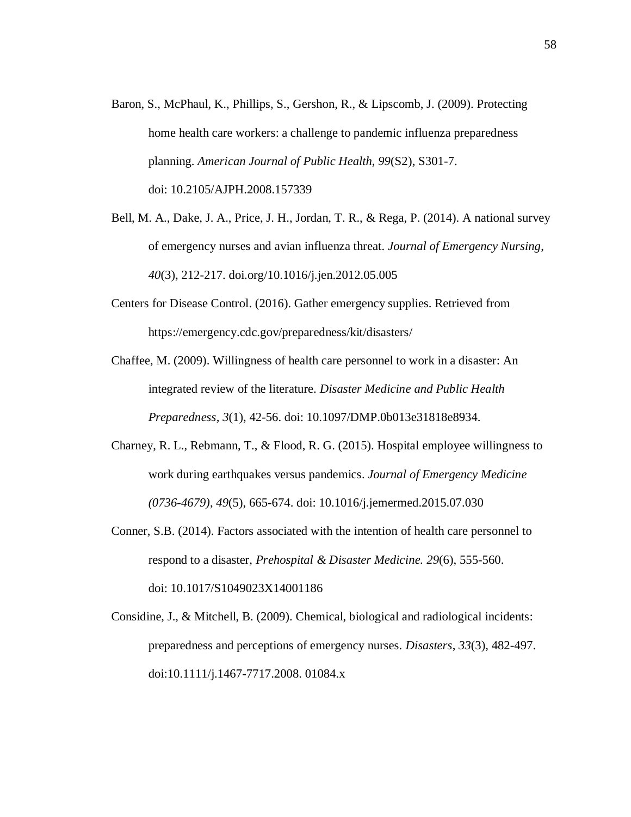Baron, S., McPhaul, K., Phillips, S., Gershon, R., & Lipscomb, J. (2009). Protecting home health care workers: a challenge to pandemic influenza preparedness planning. *American Journal of Public Health*, *99*(S2), S301-7. doi: 10.2105/AJPH.2008.157339

Bell, M. A., Dake, J. A., Price, J. H., Jordan, T. R., & Rega, P. (2014). A national survey of emergency nurses and avian influenza threat. *Journal of Emergency Nursing*, *40*(3), 212-217. doi.org/10.1016/j.jen.2012.05.005

Centers for Disease Control. (2016). Gather emergency supplies. Retrieved fro[m](http://emergency.cdc.gov/preparedness/kit/disasters/) [https://emergency.cdc.gov/preparedness/kit/disasters/](http://emergency.cdc.gov/preparedness/kit/disasters/)

Chaffee, M. (2009). Willingness of health care personnel to work in a disaster: An integrated review of the literature. *Disaster Medicine and Public Health Preparedness, 3*(1), 42-56. doi: 10.1097/DMP.0b013e31818e8934.

- Charney, R. L., Rebmann, T., & Flood, R. G. (2015). Hospital employee willingness to work during earthquakes versus pandemics. *Journal of Emergency Medicine (0736-4679)*, *49*(5), 665-674. doi: 10.1016/j.jemermed.2015.07.030
- Conner, S.B. (2014). Factors associated with the intention of health care personnel to respond to a disaster, *Prehospital & Disaster Medicine. 29*(6), 555-560. doi: [10.1017/S1049023X14001186](https://dx.doi.org/10.1017/S1049023X14001186)
- Considine, J., & Mitchell, B. (2009). Chemical, biological and radiological incidents: preparedness and perceptions of emergency nurses. *Disasters*, *33*(3), 482-497. doi:10.1111/j.1467-7717.2008. 01084.x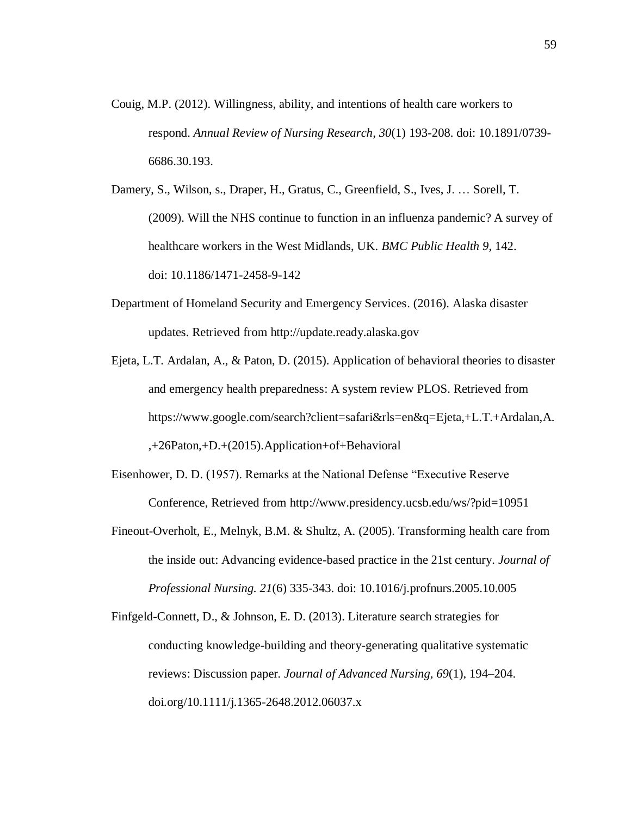- Couig, M.P. (2012). Willingness, ability, and intentions of health care workers to respond. *Annual Review of Nursing Research, 30*(1) 193-208. doi: 10.1891/0739- 6686.30.193.
- Damery, S., Wilson, s., Draper, H., Gratus, C., Greenfield, S., Ives, J. … Sorell, T. (2009). Will the NHS continue to function in an influenza pandemic? A survey of healthcare workers in the West Midlands, UK. *BMC Public Health 9*, 142. doi: 10.1186/1471-2458-9-142
- Department of Homeland Security and Emergency Services. (2016). Alaska disaster updates. Retrieved from http://update.ready.alaska.gov
- Ejeta, L.T. Ardalan, A., & Paton, D. (2015). Application of behavioral theories to disaster and emergency health preparedness: A system review PLOS. Retrieved from ht[tps://ww](http://www.google.com/search?client=safari&rls=en&q=Ejeta%2C%2BL.T.%2BArdalan%2CA)w[.google.com/search?client=safari&rls=en&q=Ejeta,+L.T.+Ardalan,A.](http://www.google.com/search?client=safari&rls=en&q=Ejeta%2C%2BL.T.%2BArdalan%2CA) ,+26Paton,+D.+(2015).Application+of+Behavioral
- Eisenhower, D. D. (1957). Remarks at the National Defense "Executive Reserve Conference, Retrieved from<http://www.presidency.ucsb.edu/ws/?pid=10951>
- Fineout-Overholt, E., Melnyk, B.M. & Shultz, A. (2005). Transforming health care from the inside out: Advancing evidence-based practice in the 21st century. *Journal of Professional Nursing. 21*(6) 335-343. doi: [10.1016/j.profnurs.2005.10.005](https://dx.doi.org/10.1016/j.profnurs.2005.10.005)
- Finfgeld-Connett, D., & Johnson, E. D. (2013). Literature search strategies for conducting knowledge-building and theory-generating qualitative systematic reviews: Discussion paper*. Journal of Advanced Nursing, 69*(1), 194–204[.](http://doi.org/10.1111/j.1365-2648.2012.06037.x) [doi.org/10.1111/j.1365-2648.2012.06037.x](http://doi.org/10.1111/j.1365-2648.2012.06037.x)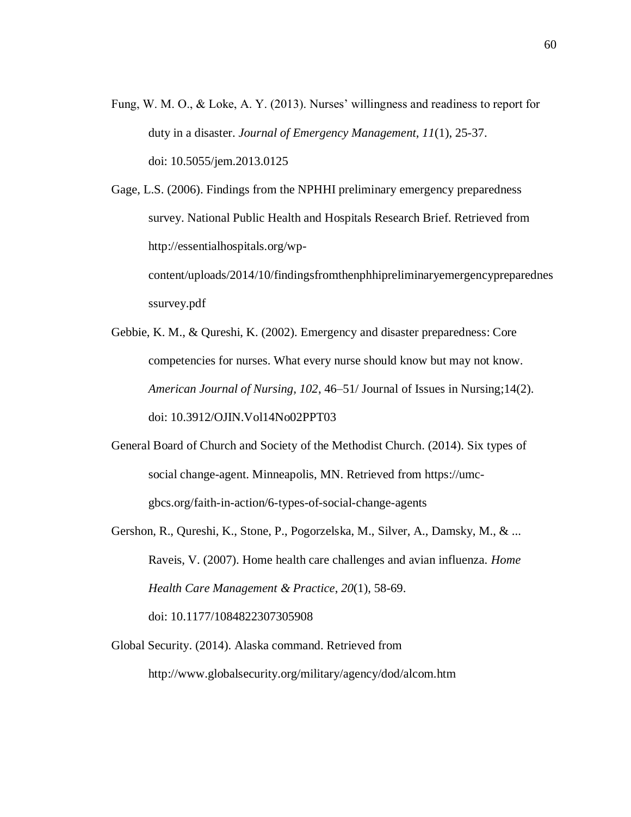Fung, W. M. O., & Loke, A. Y. (2013). Nurses' willingness and readiness to report for duty in a disaster. *Journal of Emergency Management, 11*(1), 25-37. doi: 10.5055/jem.2013.0125

Gage, L.S. (2006). Findings from the NPHHI preliminary emergency preparedness survey. National Public Health and Hospitals Research Brief. Retrieved from [http://essentialhospitals.org/wp-](http://essentialhospitals.org/wp-content/uploads/2014/10/findingsfromthenphhipreliminaryemergencypreparednesssurvey.pdf)

[content/uploads/2014/10/findingsfromthenphhipreliminaryemergencypreparednes](http://essentialhospitals.org/wp-content/uploads/2014/10/findingsfromthenphhipreliminaryemergencypreparednesssurvey.pdf) [ssurvey.pdf](http://essentialhospitals.org/wp-content/uploads/2014/10/findingsfromthenphhipreliminaryemergencypreparednesssurvey.pdf)

- Gebbie, K. M., & Qureshi, K. (2002). Emergency and disaster preparedness: Core competencies for nurses. What every nurse should know but may not know. *American Journal of Nursing, 102*, 46–51/ Journal of Issues in Nursing;14(2). doi: 10.3912/OJIN.Vol14No02PPT03
- General Board of Church and Society of the Methodist Church. (2014). Six types of social change-agent. Minneapolis, MN. Retrieved from https://umcgbcs.org/faith-in-action/6-types-of-social-change-agents
- Gershon, R., Qureshi, K., Stone, P., Pogorzelska, M., Silver, A., Damsky, M., & ... Raveis, V. (2007). Home health care challenges and avian influenza. *Home Health Care Management & Practice*, *20*(1), 58-69. doi: 10.1177/1084822307305908
- Global Security. (2014). Alaska command. Retrieved from <http://www.globalsecurity.org/military/agency/dod/alcom.htm>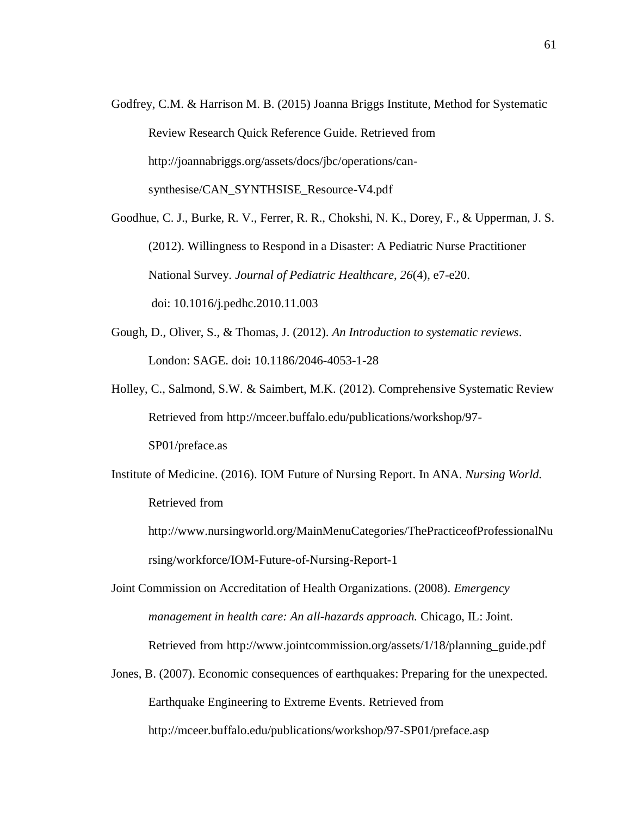- Godfrey, C.M. & Harrison M. B. (2015) Joanna Briggs Institute, Method for Systematic Review Research Quick Reference Guide. Retrieved from [http://joannabriggs.org/assets/docs/jbc/operations/can](http://joannabriggs.org/assets/docs/jbc/operations/can-synthesise/CAN_SYNTHSISE_Resource-V4.pdf)[synthesise/CAN\\_SYNTHSISE\\_Resource-V4.pdf](http://joannabriggs.org/assets/docs/jbc/operations/can-synthesise/CAN_SYNTHSISE_Resource-V4.pdf)
- Goodhue, C. J., Burke, R. V., Ferrer, R. R., Chokshi, N. K., Dorey, F., & Upperman, J. S. (2012). Willingness to Respond in a Disaster: A Pediatric Nurse Practitioner National Survey. *Journal of Pediatric Healthcare*, *26*(4), e7-e20. doi: [10.1016/j.pedhc.2010.11.003](https://dx.doi.org/10.1016/j.pedhc.2010.11.003)
- Gough, D., Oliver, S., & Thomas, J. (2012). *An Introduction to systematic reviews*. London: SAGE. doi**:** 10.1186/2046-4053-1-28
- Holley, C., Salmond, S.W. & Saimbert, M.K. (2012). Comprehensive Systematic Review Retrieved from [http://mceer.buffalo.edu/publications/workshop/97-](http://mceer.buffalo.edu/publications/workshop/97-SP01/preface.as) [SP01/preface.as](http://mceer.buffalo.edu/publications/workshop/97-SP01/preface.as)
- Institute of Medicine. (2016). IOM Future of Nursing Report. In ANA. *Nursing World.* Retrieved fro[m](http://www.nursingworld.org/MainMenuCategories/ThePracticeofProfessionalNursi)

[http://www.nursingworld.org/MainMenuCategories/ThePracticeofProfessionalNu](http://www.nursingworld.org/MainMenuCategories/ThePracticeofProfessionalNursi) [rsin](http://www.nursingworld.org/MainMenuCategories/ThePracticeofProfessionalNursi)g/workforce/IOM-Future-of-Nursing-Report-1

Joint Commission on Accreditation of Health Organizations. (2008). *Emergency management in health care: An all-hazards approach.* Chicago, IL: Joint. Retrieved from [http://www.jointcommission.org/assets/1/18/planning\\_guide.pdf](http://www.jointcommission.org/assets/1/18/planning_guide.pdf)

Jones, B. (2007). Economic consequences of earthquakes: Preparing for the unexpected. Earthquake Engineering to Extreme Events. Retrieved fro[m](http://mceer.buffalo.edu/publications/workshop/97-SP01/preface.asp) <http://mceer.buffalo.edu/publications/workshop/97-SP01/preface.asp>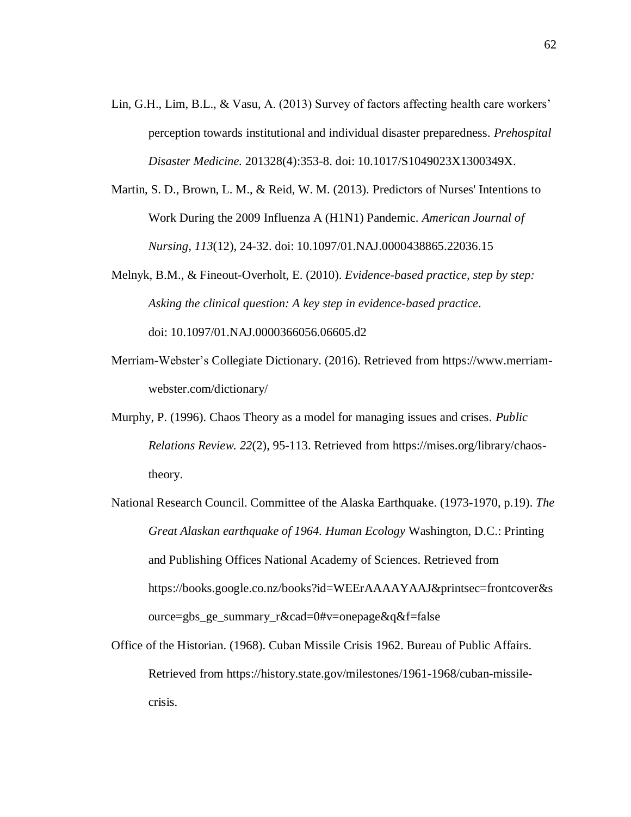- Lin, G.H., Lim, B.L., & Vasu, A. (2013) Survey of factors affecting health care workers' perception towards institutional and individual disaster preparedness. *Prehospital Disaster Medicine.* 201328(4):353-8. doi: 10.1017/S1049023X1300349X.
- Martin, S. D., Brown, L. M., & Reid, W. M. (2013). Predictors of Nurses' Intentions to Work During the 2009 Influenza A (H1N1) Pandemic. *American Journal of Nursing*, *113*(12), 24-32. doi: 10.1097/01.NAJ.0000438865.22036.15
- Melnyk, B.M., & Fineout-Overholt, E. (2010). *Evidence-based practice, step by step: Asking the clinical question: A key step in evidence-based practice*. doi: [10.1097/01.NAJ.0000366056.06605.d2](https://dx.doi.org/10.1097/01.NAJ.0000366056.06605.d2)
- Merriam-Webster's Collegiate Dictionary. (2016). Retrieved from [https://www.merriam](https://www.merriam-/)webster.com/dictionary/
- Murphy, P. (1996). Chaos Theory as a model for managing issues and crises. *Public Relations Review. 22*(2), 95-113. Retrieved from https://mises.org/library/chaostheory.
- National Research Council. Committee of the Alaska Earthquake. (1973-1970, p.19). *The Great Alaskan earthquake of 1964. Human Ecology* Washington, D.C.: Printing and Publishing Offices National Academy of Sciences. Retrieved from https://books.google.co.nz/books?id=WEErAAAAYAAJ&printsec=frontcover&s ource=gbs\_ge\_summary\_r&cad=0#v=onepage&q&f=false
- Office of the Historian. (1968). Cuban Missile Crisis 1962. Bureau of Public Affairs. Retrieved from https://history.state.gov/milestones/1961-1968/cuban-missilecrisis.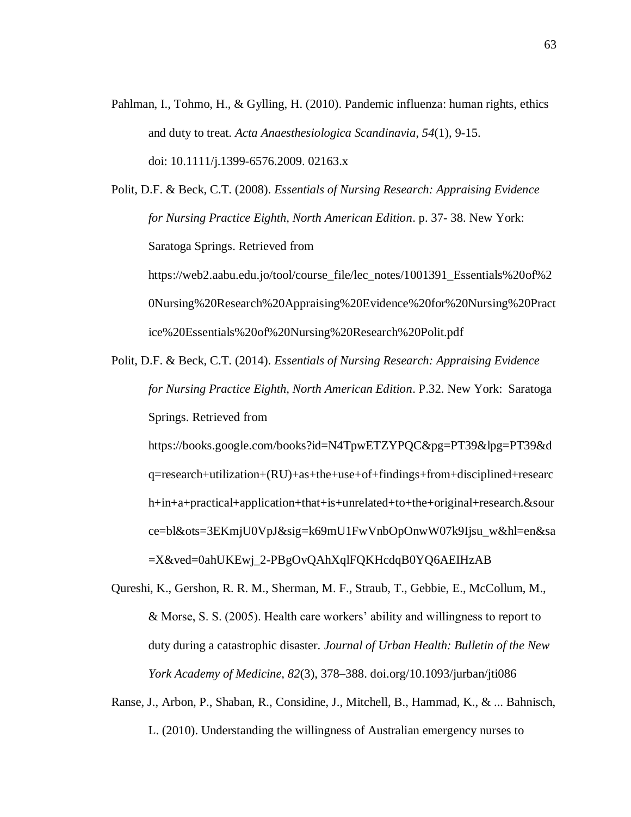Pahlman, I., Tohmo, H., & Gylling, H. (2010). Pandemic influenza: human rights, ethics and duty to treat. *Acta Anaesthesiologica Scandinavia*, *54*(1), 9-15. doi: 10.1111/j.1399-6576.2009. 02163.x

Polit, D.F. & Beck, C.T. (2008). *Essentials of Nursing Research: Appraising Evidence for Nursing Practice Eighth, North American Edition*. p. 37- 38. New York: Saratoga Springs. Retrieved from [https://web2.aabu.edu.jo/tool/course\\_file/lec\\_notes/1001391\\_Essentials%20of%2](https://web2.aabu.edu.jo/tool/course_file/lec_notes/1001391_Essentials%20of%20Nursing%20Research%20Appraising%20Evidence%20for%20Nursing%20Practice%20Essentials%20of%20Nursing%20Research%20Polit.pdf) [0Nursing%20Research%20Appraising%20Evidence%20for%20Nursing%20Pract](https://web2.aabu.edu.jo/tool/course_file/lec_notes/1001391_Essentials%20of%20Nursing%20Research%20Appraising%20Evidence%20for%20Nursing%20Practice%20Essentials%20of%20Nursing%20Research%20Polit.pdf)

[ice%20Essentials%20of%20Nursing%20Research%20Polit.pdf](https://web2.aabu.edu.jo/tool/course_file/lec_notes/1001391_Essentials%20of%20Nursing%20Research%20Appraising%20Evidence%20for%20Nursing%20Practice%20Essentials%20of%20Nursing%20Research%20Polit.pdf)

Polit, D.F. & Beck, C.T. (2014). *Essentials of Nursing Research: Appraising Evidence for Nursing Practice Eighth, North American Edition*. P.32. New York: Saratoga Springs. Retrieved from

https://books.google.com/books?id=N4TpwETZYPQC&pg=PT39&lpg=PT39&d q=research+utilization+(RU)+as+the+use+of+findings+from+disciplined+researc h+in+a+practical+application+that+is+unrelated+to+the+original+research.&sour ce=bl&ots=3EKmjU0VpJ&sig=k69mU1FwVnbOpOnwW07k9Ijsu\_w&hl=en&sa =X&ved=0ahUKEwj\_2-PBgOvQAhXqlFQKHcdqB0YQ6AEIHzAB

- Qureshi, K., Gershon, R. R. M., Sherman, M. F., Straub, T., Gebbie, E., McCollum, M., & Morse, S. S. (2005). Health care workers' ability and willingness to report to duty during a catastrophic disaster. *Journal of Urban Health: Bulletin of the New York Academy of Medicine, 82*(3), 378–388. [doi.org/10.1093/jurban/jti086](http://doi.org/10.1093/jurban/jti086)
- Ranse, J., Arbon, P., Shaban, R., Considine, J., Mitchell, B., Hammad, K., & ... Bahnisch, L. (2010). Understanding the willingness of Australian emergency nurses to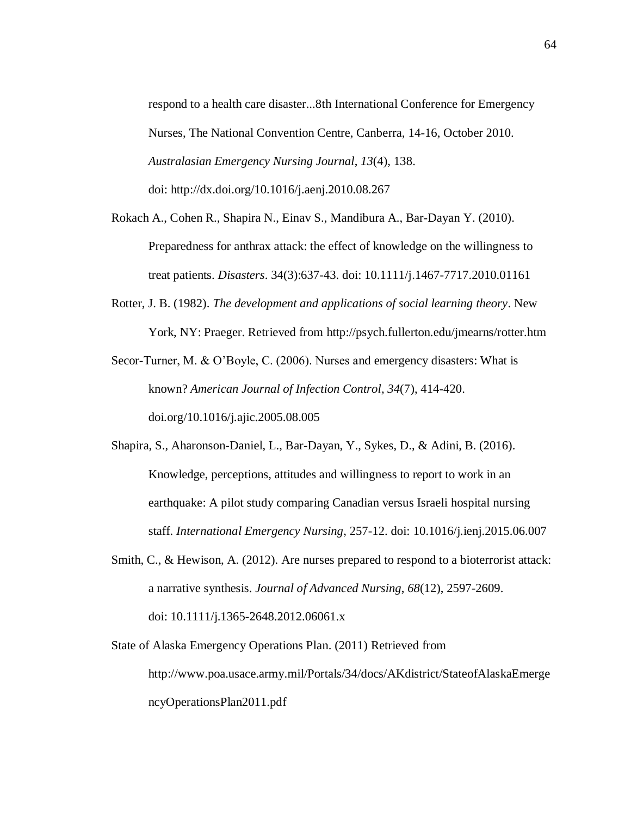respond to a health care disaster...8th International Conference for Emergency Nurses, The National Convention Centre, Canberra, 14-16, October 2010. *Australasian Emergency Nursing Journal*, *13*(4), 138. doi:<http://dx.doi.org/10.1016/j.aenj.2010.08.267>

- [Rokach A.](https://www.ncbi.nlm.nih.gov/pubmed/?term=Rokach%20A%5BAuthor%5D&cauthor=true&cauthor_uid=20187905), [Cohen R.](https://www.ncbi.nlm.nih.gov/pubmed/?term=Cohen%20R%5BAuthor%5D&cauthor=true&cauthor_uid=20187905), [Shapira N.](https://www.ncbi.nlm.nih.gov/pubmed/?term=Shapira%20N%5BAuthor%5D&cauthor=true&cauthor_uid=20187905), [Einav S.](https://www.ncbi.nlm.nih.gov/pubmed/?term=Einav%20S%5BAuthor%5D&cauthor=true&cauthor_uid=20187905), [Mandibura A.](https://www.ncbi.nlm.nih.gov/pubmed/?term=Mandibura%20A%5BAuthor%5D&cauthor=true&cauthor_uid=20187905), Bar-Dayan Y. (2010). Preparedness for anthrax attack: the effect of knowledge on the willingness to treat patients. *Disasters*. 34(3):637-43. doi: 10.1111/j.1467-7717.2010.01161
- Rotter, J. B. (1982). *The development and applications of social learning theory*. New York, NY: Praeger. Retrieved from <http://psych.fullerton.edu/jmearns/rotter.htm>

Secor-Turner, M. & O'Boyle, C. (2006). Nurses and emergency disasters: What is known? *American Journal of Infection Control, 34*(7), 414-420. doi.org/10.1016/j.ajic.2005.08.005

- Shapira, S., Aharonson-Daniel, L., Bar-Dayan, Y., Sykes, D., & Adini, B. (2016). Knowledge, perceptions, attitudes and willingness to report to work in an earthquake: A pilot study comparing Canadian versus Israeli hospital nursing staff. *International Emergency Nursing*, 257-12. doi: [10.1016/j.ienj.2015.06.007](https://dx.doi.org/10.1016/j.ienj.2015.06.007)
- Smith, C., & Hewison, A. (2012). Are nurses prepared to respond to a bioterrorist attack: a narrative synthesis. *Journal of Advanced Nursing*, *68*(12), 2597-2609. doi: 10.1111/j.1365-2648.2012.06061.x
- State of Alaska Emergency Operations Plan. (2011) Retrieved from [http://www.poa.usace.army.mil/Portals/34/docs/AKdistrict/StateofAlaskaEmerge](http://www.poa.usace.army.mil/Portals/34/docs/AKdistrict/StateofAlaskaEmergencyOperationsPlan2011.pdf) [ncyOperationsPlan2011.pdf](http://www.poa.usace.army.mil/Portals/34/docs/AKdistrict/StateofAlaskaEmergencyOperationsPlan2011.pdf)